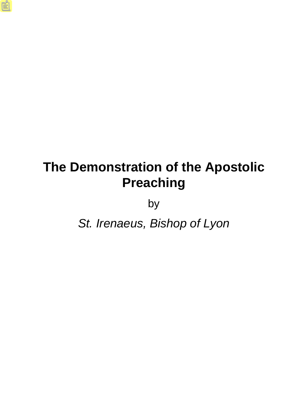# **The Demonstration of the Apostolic Preaching**

by

*St. Irenaeus, Bishop of Lyon*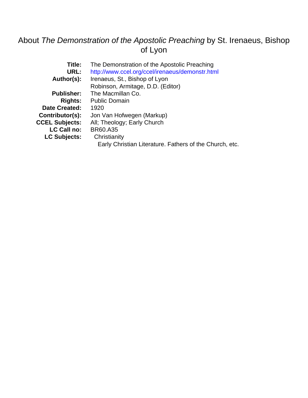## <span id="page-1-0"></span>About *The Demonstration of the Apostolic Preaching* by St. Irenaeus, Bishop of Lyon

| Title:                | The Demonstration of the Apostolic Preaching            |
|-----------------------|---------------------------------------------------------|
| URL:                  | http://www.ccel.org/ccel/irenaeus/demonstr.html         |
| Author(s):            | Irenaeus, St., Bishop of Lyon                           |
|                       | Robinson, Armitage, D.D. (Editor)                       |
| <b>Publisher:</b>     | The Macmillan Co.                                       |
| <b>Rights:</b>        | <b>Public Domain</b>                                    |
| Date Created:         | 1920                                                    |
| Contributor(s):       | Jon Van Hofwegen (Markup)                               |
| <b>CCEL Subjects:</b> | All; Theology; Early Church                             |
| <b>LC Call no:</b>    | <b>BR60.A35</b>                                         |
| <b>LC Subjects:</b>   | Christianity                                            |
|                       | Early Christian Literature. Fathers of the Church, etc. |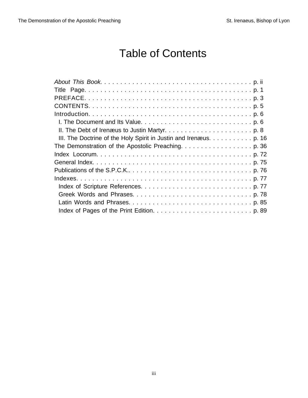# Table of Contents

| III. The Doctrine of the Holy Spirit in Justin and Irenæus. p. 16 |
|-------------------------------------------------------------------|
|                                                                   |
|                                                                   |
|                                                                   |
|                                                                   |
|                                                                   |
|                                                                   |
|                                                                   |
|                                                                   |
|                                                                   |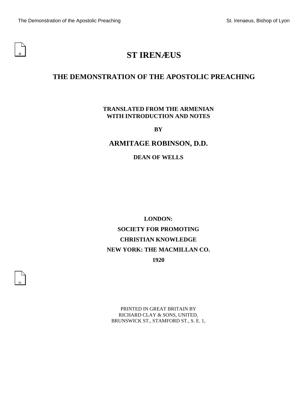<span id="page-4-0"></span>

[iv](http://www.ccel.org/ccel/irenaeus/demonstr/png/0002=iv.htm)

## **ST IRENÆUS**

## **THE DEMONSTRATION OF THE APOSTOLIC PREACHING**

## **TRANSLATED FROM THE ARMENIAN WITH INTRODUCTION AND NOTES**

**BY**

## **ARMITAGE ROBINSON, D.D.**

**DEAN OF WELLS**

**LONDON: SOCIETY FOR PROMOTING CHRISTIAN KNOWLEDGE NEW YORK: THE MACMILLAN CO. 1920**

PRINTED IN GREAT BRITAIN BY RICHARD CLAY & SONS, UNITED, BRUNSWICK ST., STAMFORD ST., S. E. 1,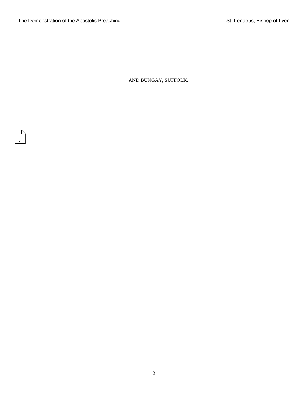AND BUNGAY, SUFFOLK.

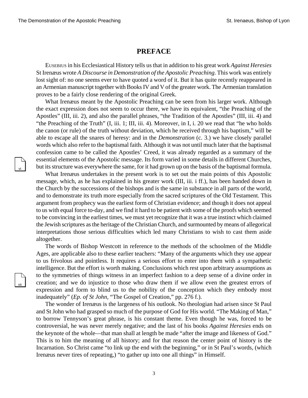[vi](http://www.ccel.org/ccel/irenaeus/demonstr/png/0004=vi.htm)

[vii](http://www.ccel.org/ccel/irenaeus/demonstr/png/0005=vii.htm)

### **PREFACE**

<span id="page-6-0"></span>EUSEBIUS in his Ecclesiastical History tells us that in addition to his great work *Against Heresies* St Irenæus wrote *A Discourse in Demonstration of the Apostolic Preaching.* This work was entirely lost sight of: no one seems ever to have quoted a word of it. But it has quite recently reappeared in an Armenian manuscript together with Books IV and V of the greater work. The Armenian translation proves to be a fairly close rendering of the original Greek.

What Irenæus meant by the Apostolic Preaching can be seen from his larger work. Although the exact expression does not seem to occur there, we have its equivalent, "the Preaching of the Apostles" (III, iii. 2), and also the parallel phrases, "the Tradition of the Apostles" (III, iii. 4) and "the Preaching of the Truth" (I, iii. 1; III, iii. 4). Moreover, in I, i. 20 we read that "he who holds the canon (or rule) of the truth without deviation, which he received through his baptism," will be able to escape all the snares of heresy: and in the *Demonstration* (c. 3.) we have closely parallel words which also refer to the baptismal faith. Although it was not until much later that the baptismal confession came to be called the Apostles' Creed, it was already regarded as a summary of the essential elements of the Apostolic message. Its form varied in some details in different Churches, but its structure was everywhere the same, for it had grown up on the basis of the baptismal formula.

What Irenæus undertakes in the present work is to set out the main points of this Apostolic message, which, as he has explained in his greater work (III, iii. i ff.), has been handed down in the Church by the successions of the bishops and is the same in substance in all parts of the world, and to demonstrate its truth more especially from the sacred scriptures of the Old Testament. This argument from prophecy was the earliest form of Christian evidence; and though it does not appeal to us with equal force to-day, and we find it hard to be patient with some of the proofs which seemed to be convincing in the earliest times, we must yet recognize that it was a true instinct which claimed the Jewish scriptures as the heritage of the Christian Church, and surmounted by means of allegorical interpretations those serious difficulties which led many Christians to wish to cast them aside altogether.

The words of Bishop Westcott in reference to the methods of the schoolmen of the Middle Ages, are applicable also to these earlier teachers: "Many of the arguments which they use appear to us frivolous and pointless. It requires a serious effort to enter into them with a sympathetic intelligence. But the effort is worth making. Conclusions which rest upon arbitrary assumptions as to the symmetries of things witness in an imperfect fashion to a deep sense of a divine order in creation; and we do injustice to those who draw them if we allow even the greatest errors of expression and form to blind us to the nobility of the conception which they embody most inadequately" (*Ep. of St John,* "The Gospel of Creation," pp. 276 f.).

The wonder of Irenæus is the largeness of his outlook. No theologian had arisen since St Paul and St John who had grasped so much of the purpose of God for His world. "The Making of Man," to borrow Tennyson's great phrase, is his constant theme. Even though he was, forced to be controversial, he was never merely negative; and the last of his books *Against Heresies* ends on the keynote of the whole—that man shall at length be made "after the image and likeness of God." This is to him the meaning of all history; and for that reason the center point of history is the Incarnation. So Christ came "to link up the end with the beginning," or in St Paul's words, (which Irenæus never tires of repeating,) "to gather up into one all things" in Himself.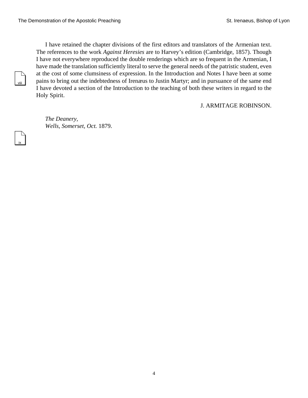

I have retained the chapter divisions of the first editors and translators of the Armenian text. The references to the work *Against Heresies* are to Harvey's edition (Cambridge, 1857). Though I have not everywhere reproduced the double renderings which are so frequent in the Armenian, I have made the translation sufficiently literal to serve the general needs of the patristic student, even at the cost of some clumsiness of expression. In the Introduction and Notes I have been at some pains to bring out the indebtedness of Irenæus to Justin Martyr; and in pursuance of the same end I have devoted a section of the Introduction to the teaching of both these writers in regard to the Holy Spirit.

## J. ARMITAGE ROBINSON.

*The Deanery, Wells, Somerset, Oct.* 1879.

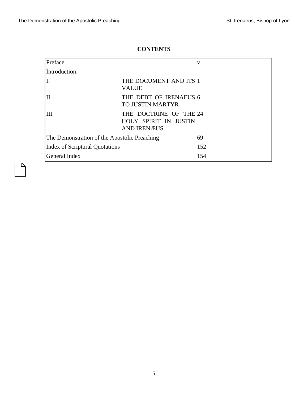$\begin{array}{c}\n\searrow \\
\hline\n\downarrow\n\end{array}$ 

## **CONTENTS**

<span id="page-8-0"></span>

| Preface                                      |                                                                       | V   |
|----------------------------------------------|-----------------------------------------------------------------------|-----|
| Introduction:                                |                                                                       |     |
| I.                                           | THE DOCUMENT AND ITS 1<br><b>VALUE</b>                                |     |
| II.                                          | THE DEBT OF IRENAEUS 6<br><b>TO JUSTIN MARTYR</b>                     |     |
| III.                                         | THE DOCTRINE OF THE 24<br>HOLY SPIRIT IN JUSTIN<br><b>AND IRENÆUS</b> |     |
| The Demonstration of the Apostolic Preaching |                                                                       | 69  |
| <b>Index of Scriptural Quotations</b>        |                                                                       | 152 |
| General Index                                |                                                                       | 154 |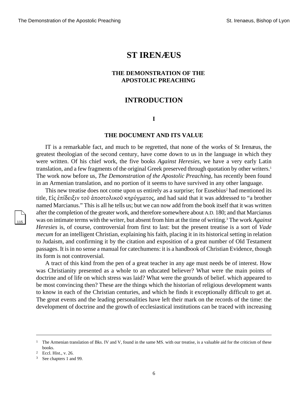## **ST IRENÆUS**

## <span id="page-9-0"></span>**THE DEMONSTRATION OF THE APOSTOLIC PREACHING**

## **INTRODUCTION**

### **I**

#### **THE DOCUMENT AND ITS VALUE**

<span id="page-9-1"></span>IT is a remarkable fact, and much to be regretted, that none of the works of St Irenæus, the greatest theologian of the second century, have come down to us in the language in which they were written. Of his chief work, the five books *Against Heresies,* we have a very early Latin translation, and a few fragments of the original Greek preserved through quotation by other writers.<sup>1</sup> The work now before us, *The Demonstration of the Apostolic Preaching,* has recently been found in an Armenian translation, and no portion of it seems to have survived in any other language.

This new treatise does not come upon us entirely as a surprise; for Eusebius<sup>2</sup> had mentioned its title, Εἰς ἐπίδειξιν τοῦ ἀποστολικοῦ κηρύγματος, and had said that it was addressed to "a brother named Marcianus." This is all he tells us; but we can now add from the book itself that it was written after the completion of the greater work, and therefore somewhere about A.D. 180; and that Marcianus was on intimate terms with the writer, but absent from him at the time of writing.<sup>3</sup> The work *Against Heresies* is*,* of course, controversial from first to last: but the present treatise is a sort of *Vade mecum* for an intelligent Christian, explaining his faith, placing it in its historical setting in relation to Judaism, and confirming it by the citation and exposition of a great number of Old Testament passages. It is in no sense a manual for catechumens: it is a handbook of Christian Evidence, though its form is not controversial.

A tract of this kind from the pen of a great teacher in any age must needs be of interest. How was Christianity presented as a whole to an educated believer? What were the main points of doctrine and of life on which stress was laid? What were the grounds of belief. which appeared to be most convincing then? These are the things which the historian of religious development wants to know in each of the Christian centuries, and which he finds it exceptionally difficult to get at. The great events and the leading personalities have left their mark on the records of the time: the development of doctrine and the growth of ecclesiastical institutions can be traced with increasing

<sup>&</sup>lt;sup>1</sup> The Armenian translation of Bks. IV and V, found in the same MS, with our treatise, is a valuable aid for the criticism of these books.

<sup>2</sup> Eccl. Hist., v. 26.

See chapters 1 and 99.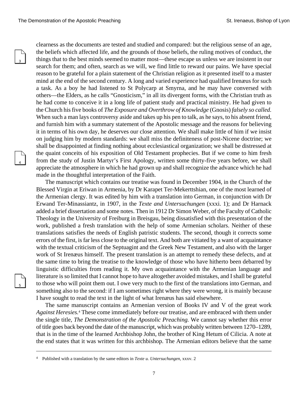[4](http://www.ccel.org/ccel/irenaeus/demonstr/png/0012=4.htm)

[5](http://www.ccel.org/ccel/irenaeus/demonstr/png/0013=5.htm)

clearness as the documents are tested and studied and compared: but the religious sense of an age, the beliefs which affected life, and the grounds of those beliefs, the ruling motives of conduct, the things that to the best minds seemed to matter most—these escape us unless we are insistent in our search for them; and often, search as we will, we find little to reward our pains. We have special reason to be grateful for a plain statement of the Christian religion as it presented itself to a master mind at the end of the second century. A long and varied experience had qualified Irenæus for such a task. As a boy he had listened to St Polycarp at Smyrna, and he may have conversed with others—the Elders, as he calls "Gnosticism," in all its divergent forms, with the Christian truth as he had come to conceive it in a long life of patient study and practical ministry. He had given to the Church his five books of *The Exposure and Overthrow of Knowledge* (Gnosis) *falsely so called.* When such a man lays controversy aside and takes up his pen to talk, as he says, to his absent friend, and furnish him with a summary statement of the Apostolic message and the reasons for believing it in terms of his own day, he deserves our close attention. We shall make little of him if we insist on judging him by modern standards: we shall miss the definiteness of post-Nicene doctrine; we shall be disappointed at finding nothing about ecclesiastical organization; we shall be distressed at the quaint conceits of his exposition of Old Testament prophecies. But if we come to him fresh from the study of Justin Martyr's First Apology, written some thirty-five years before, we shall appreciate the atmosphere in which he had grown up and shall recognize the advance which he had made in the thoughtful interpretation of the Faith.

The manuscript which contains our treatise was found in December 1904, in the Church of the Blessed Virgin at Eriwan in Armenia, by Dr Karapet Ter-Mekerttshian, one of the most learned of the Armenian clergy. It was edited by him with a translation into German, in conjunction with Dr Erwand Ter-Minassiantz, in 1907, in the *Texte and Untersuchungen* (xxxi. 1); and Dr Harnack added a brief dissertation and some notes. Then in 1912 Dr Simon Weber, of the Faculty of Catholic Theology in the University of Freiburg in Breisgau, being dissatisfied with this presentation of the work, published a fresh translation with the help of some Armenian scholars. Neither of these translations satisfies the needs of English patristic students. The second, though it corrects some errors of the first, is far less close to the original text. And both are vitiated by a want of acquaintance with the textual criticism of the Septuagint and the Greek New Testament, and also with the larger work of St Irenæus himself. The present translation is an attempt to remedy these defects, and at the same time to bring the treatise to the knowledge of those who have hitherto been debarred by linguistic difficulties from reading it. My own acquaintance with the Armenian language and literature is so limited that I cannot hope to have altogether avoided mistakes, and I shall be grateful to those who will point them out. I owe very much to the first of the translations into German, and something also to the second: if I am sometimes right where they were wrong, it is mainly because I have sought to read the text in the light of what Irenæus has said elsewhere.

The same manuscript contains an Armenian version of Books IV and V of the great work Against Heresies.<sup>4</sup> These come immediately before our treatise, and are embraced with them under the single title, *The Demonstration of the Apostolic Preaching.* We cannot say whether this error of title goes back beyond the date of the manuscript, which was probably written between 1270–1289, that is in the time of the learned Archbishop John, the brother of King Hetum of Cilicia. A note at the end states that it was written for this archbishop. The Armenian editors believe that the same

<sup>4</sup> Published with a translation by the same editors in *Texte u. Untersuchungen*, xxxv. 2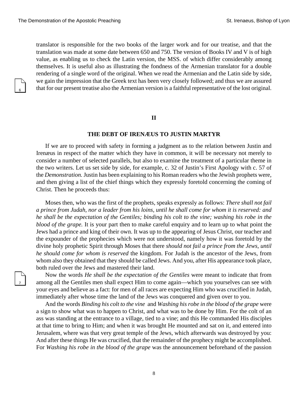[7](http://www.ccel.org/ccel/irenaeus/demonstr/png/0015=7.htm)

translator is responsible for the two books of the larger work and for our treatise, and that the translation was made at some date between 650 and 750. The version of Books IV and V is of high value, as enabling us to check the Latin version, the MSS. of which differ considerably among themselves. It is useful also as illustrating the fondness of the Armenian translator for a double rendering of a single word of the original. When we read the Armenian and the Latin side by side, we gain the impression that the Greek text has been very closely followed; and thus we are assured that for our present treatise also the Armenian version is a faithful representative of the lost original.

#### **II**

#### **THE DEBT OF IRENÆUS TO JUSTIN MARTYR**

<span id="page-11-0"></span>If we are to proceed with safety in forming a judgment as to the relation between Justin and Irenæus in respect of the matter which they have in common, it will be necessary not merely to consider a number of selected parallels, but also to examine the treatment of a particular theme in the two writers. Let us set side by side, for example, c. 32 of Justin's First Apology with c. 57 of the *Demonstration.* Justin has been explaining to his Roman readers who the Jewish prophets were, and then giving a list of the chief things which they expressly foretold concerning the coming of Christ. Then he proceeds thus:

Moses then, who was the first of the prophets, speaks expressly as follows: *There shall not fail a prince from Judah, nor a leader from his loins, until he shall come for whom it is reserved: and he shall be the expectation of the Gentiles; binding his colt to the vine; washing his robe in the blood of the grape.* It is your part then to make careful enquiry and to learn up to what point the Jews had a prince and king of their own. It was up to the appearing of Jesus Christ, our teacher and the expounder of the prophecies which were not understood, namely how it was foretold by the divine holy prophetic Spirit through Moses that there *should not fail a prince from the Jews, until he should come for whom is reserved* the kingdom. For Judah is the ancestor of the Jews, from whom also they obtained that they should be called Jews. And you, after His appearance took place, both ruled over the Jews and mastered their land.

Now the words *He shall be the expectation of the Gentiles* were meant to indicate that from among all the Gentiles men shall expect Him to come again—which you yourselves can see with your eyes and believe as a fact: for men of all races are expecting Him who was crucified in Judah, immediately after whose time the land of the Jews was conquered and given over to you.

And the words *Binding his colt to the vine* and *Washing his robe in the blood of the grape* were a sign to show what was to happen to Christ, and what was to be done by Him. For the colt of an ass was standing at the entrance to a village, tied to a vine; and this He commanded His disciples at that time to bring to Him; and when it was brought He mounted and sat on it, and entered into Jerusalem, where was that very great temple of the Jews, which afterwards was destroyed by you: And after these things He was crucified, that the remainder of the prophecy might be accomplished. For *Washing his robe in the blood of the grape* was the announcement beforehand of the passion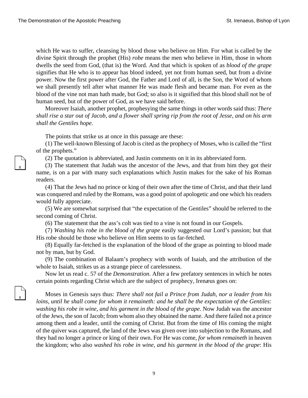which He was to suffer, cleansing by blood those who believe on Him. For what is called by the divine Spirit through the prophet (His) *robe* means the men who believe in Him, those in whom dwells the seed from God, (that is) the Word. And that which is spoken of as *blood of the grape* signifies that He who is to appear has blood indeed, yet not from human seed, but from a divine power. Now the first power after God, the Father and Lord of all, is the Son, the Word of whom we shall presently tell after what manner He was made flesh and became man. For even as the blood of the vine not man hath made, but God; so also is it signified that this blood shall not be of human seed, but of the power of God, as we have said before.

Moreover Isaiah, another prophet, prophesying the same things in other words said thus: *There shall rise a star out of Jacob, and a flower shall spring rip from the root of Jesse, and on his arm shall the Gentiles hope.*

The points that strike us at once in this passage are these:

(1) The well-known Blessing of Jacob is cited as the prophecy of Moses, who is called the "first of the prophets."

(2) The quotation is abbreviated, and Justin comments on it in its abbreviated form.

(3) The statement that Judah was the ancestor of the Jews, and that from him they got their name, is on a par with many such explanations which Justin makes for the sake of his Roman readers.

(4) That the Jews had no prince or king of their own after the time of Christ, and that their land was conquered and ruled by the Romans, was a good point of apologetic and one which his readers would fully appreciate.

(5) We are somewhat surprised that "the expectation of the Gentiles" should be referred to the second coming of Christ.

(6) The statement that the ass's colt was tied to a vine is not found in our Gospels.

(7) *Washing his robe in the blood of the grape* easily suggested our Lord's passion; but that His robe should be those who believe on Him seems to us far-fetched.

(8) Equally far-fetched is the explanation of the blood of the grape as pointing to blood made not by man, but by God.

(9) The combination of Balaam's prophecy with words of Isaiah, and the attribution of the whole to Isaiah, strikes us as a strange piece of carelessness.

Now let us read c. 57 of the *Demonstration.* After a few prefatory sentences in which he notes certain points regarding Christ which are the subject of prophecy, Irenæus goes on:

[9](http://www.ccel.org/ccel/irenaeus/demonstr/png/0017=9.htm) Moses in Genesis says thus: *There shall not fail a Prince from Judah, nor a leader from his loins, until he shall come for whom it remaineth: and he shall be the expectation of the Gentiles: washing his robe in wine, and his garment in the blood of the grape.* Now Judah was the ancestor of the Jews, the son of Jacob; from whom also they obtained the name. And there failed not a prince among them and a leader, until the coming of Christ. But from the time of His coming the might of the quiver was captured, the land of the Jews was given over into subjection to the Romans, and they had no longer a prince or king of their own. For He was come, *for whom remaineth* in heaven the kingdom; who also *washed his robe in wine, and his garment in the blood of the grape*: His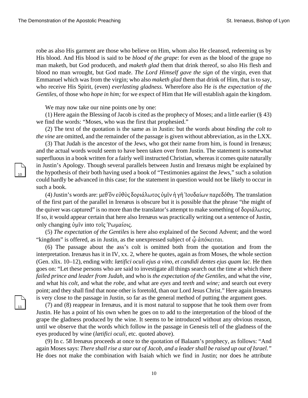[11](http://www.ccel.org/ccel/irenaeus/demonstr/png/0019=11.htm)

robe as also His garment are those who believe on Him, whom also He cleansed, redeeming us by His blood. And His blood is said to be *blood of the grape*: for even as the blood of the grape no man maketh, but God produceth, and *maketh glad* them that drink thereof, so also His flesh and blood no man wrought, but God made. *The Lord Himself gave the sign* of the virgin, even that Emmanuel which was from the virgin; who also *maketh glad* them that drink of Him, that is to say, who receive His Spirit, (even) *everlasting gladness.* Wherefore also He *is the expectation of the Gentiles,* of those who *hope in him;* for we expect of Him that He will establish again the kingdom.

We may now take our nine points one by one:

(1) Here again the Blessing of Jacob is cited as the prophecy of Moses; and a little earlier (§ 43) we find the words: "Moses, who was the first that prophesied."

(2) The text of the quotation is the same as in Justin: but the words about *binding the colt to the vine* are omitted, and the remainder of the passage is given without abbreviation, as in the LXX.

(3) That Judah is the ancestor of the Jews, who got their name from him, is found in Irenæus; and the actual words would seem to have been taken over from Justin. The statement is somewhat superfluous in a book written for a fairly well instructed Christian, whereas it comes quite naturally in Justin's Apology. Though several parallels between Justin and Irenæus might be explained by the hypothesis of their both having used a book of "Testimonies against the Jews," such a solution could hardly be advanced in this case; for the statement in question would not be likely to occur in such a book.

(4) Justin's words are: μεθ᾽ὃν εὐθὺς δοριάλωτος ὑμῖν ἡ γῆ Ἰουδαίων παρεδόθη. The translation of the first part of the parallel in Irenæus is obscure but it is possible that the phrase "the might of the quiver was captured" is no more than the translator's attempt to make something of δοριάλωτος. If so, it would appear certain that here also Irenæus was practically writing out a sentence of Justin, only changing ὑμῖν into τοῖς Ῥωμαίοις.

(5) *The expectation of the Gentiles* is here also explained of the Second Advent; and the word "kingdom" is offered, as in Justin, as the unexpressed subject of  $\tilde{\omega}$  απόκειται.

(6) The passage about the ass's colt is omitted both from the quotation and from the interpretation. Irenæus has it in IV, xx. 2, where he quotes, again as from Moses, the whole section ([Gen. xlix. 10–12\)](http://www.ccel.org/b/bible/asv/xml/asv.Gen.49.xml#Gen.49.10), ending with: *lætifici oculi ejus a vino, et candidi dentes ejus quam lac.* He then goes on: "Let these persons who are said to investigate all things search out the time at which there *failed prince and leader from Judah,* and who is *the expectation of the Gentiles,* and what the *vine,* and what his *colt,* and what the *robe,* and what are *eyes* and *teeth* and *wine;* and search out every point; and they shall find that none other is foretold, than our Lord Jesus Christ." Here again Irenæus is very close to the passage in Justin, so far as the general method of putting the argument goes.

(7) and (8) reappear in Irenæus, and it is most natural to suppose that he took them over from Justin. He has a point of his own when he goes on to add to the interpretation of the blood of the grape the gladness produced by the wine. It seems to be introduced without any obvious reason, until we observe that the words which follow in the passage in Genesis tell of the gladness of the eyes produced by wine (*lætifici oculi*, etc. quoted above).

(9) In c. 58 Irenæus proceeds at once to the quotation of Balaam's prophecy, as follows: "And again Moses says: *There shall rise a star out of Jacob, and a leader shall be raised up out of Israel."* He does not make the combination with Isaiah which we find in Justin; nor does he attribute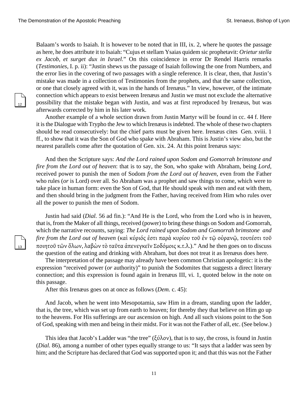Balaam's words to Isaiah. It is however to be noted that in III, ix. 2, where he quotes the passage as here, he does attribute it to Isaiah: "Cujus et stellam Ysaias quidem sic prophetavit: *Orietur stella ex Jacob, et surget dux in Israel.*" On this coincidence in error Dr Rendel Harris remarks (*Testimonies*, I. p. ii): "Justin shews us the passage of Isaiah following the one from Numbers, and the error lies in the covering of two passages with a single reference. It is clear, then, that Justin's mistake was made in a collection of Testimonies from the prophets, and that the same collection, or one that closely agreed with it, was in the hands of Irenæus." In view, however, of the intimate connection which appears to exist between Irenæus and Justin we must not exclude the alternative possibility that the mistake began with Justin, and was at first reproduced by Irenæus, but was afterwards corrected by him in his later work.

Another example of a whole section drawn from Justin Martyr will be found in cc. 44 f. Here it is the Dialogue with Trypho the Jew to which Irenæus is indebted. The whole of these two chapters should be read consecutively: but the chief parts must be given here. Irenæus cites [Gen. xviii. 1](http://www.ccel.org/b/bible/asv/xml/asv.Gen.18.xml#Gen.18.1) [ff.,](http://www.ccel.org/b/bible/asv/xml/asv.Gen.18.xml#Gen.18.1) to show that it was the Son of God who spake with Abraham. This is Justin's view also, but the nearest parallels come after the quotation of [Gen. xix. 24.](http://www.ccel.org/b/bible/asv/xml/asv.Gen.19.xml#Gen.19.24) At this point Irenæus says:

And then the Scripture says: *And the Lord rained upon Sodom and Gomorrah brimstone and fire from the Lord out of heaven*: that is to say, the Son, who spake with Abraham, being *Lord,* received power to punish the men of Sodom *from the Lord out of heaven,* even from the Father who rules (*or* is Lord) over all. So Abraham was a prophet and saw things to come, which were to take place in human form: even the Son of God, that He should speak with men and eat with them, and then should bring in the judgment from the Father, having received from Him who rules over all the power to punish the men of Sodom.

Justin had said (*Dial.* 56 ad fin.): "And He is the Lord, who from the Lord who is in heaven, that is, from the Maker of all things, received (power) to bring these things on Sodom and Gomorrah, which the narrative recounts, saying: *The Lord rained upon Sodom and Gomorrah brimstone and fire from the Lord out of heaven* (καὶ κύριός ἐστι παρὰ κυρίου τοῦ ἐν τῷ οὐρανῷ, τουτέστι τοῦ ποιητοῦ τῶν ὅλων, λαβὼν τὸ ταῦτα ἀπενεγκεῖν Σοδόμοις κ.τ.λ.)." And he then goes on to discuss the question of the eating and drinking with Abraham, but does not treat it as Irenæus does here.

The interpretation of the passage may already have been common Christian apologetic: it is the expression "received power (*or* authority)" to punish the Sodomites that suggests a direct literary connection; and this expression is found again in Irenæus III, vi. 1, quoted below in the note on this passage.

After this Irenæus goes on at once as follows (*Dem.* c. 45):

And Jacob, when he went into Mesopotamia, saw Him in a dream, standing upon *the* ladder, that is, the tree, which was set up from earth to heaven; for thereby they that believe on Him go up to the heavens. For His sufferings are our ascension on high. And all such visions point to the Son of God, speaking with men and being in their midst. For it was not the Father of all, etc. (See below.)

This idea that Jacob's Ladder was "the tree" (ξύλον), that is to say, the cross, is found in Justin (*Dial.* 86), among a number of other types equally strange to us: "It says that a ladder was seen by him; and the Scripture has declared that God was supported upon it; and that this was not the Father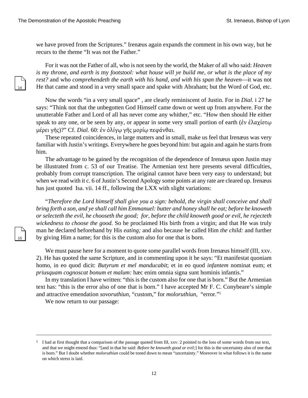[15](http://www.ccel.org/ccel/irenaeus/demonstr/png/0023=15.htm)

we have proved from the Scriptures." Irenæus again expands the comment in his own way, but he recurs to the theme "It was not the Father."

For it was not the Father of all, who is not seen by the world, the Maker of all who said: *Heaven is my throne, and earth is* my *footstool: what house will ye build me, or what is the place of my rest?* and who *comprehendeth the earth with his hand, and with his span the heaven—it was not* He that came and stood in a very small space and spake with Abraham; but the Word of God, etc.

Now the words "in a very small space" , are clearly reminiscent of Justin. For in *Dial.* i 27 he says: "Think not that the unbegotten God Himself came down or went up from anywhere. For the unutterable Father and Lord of all has never come any whither," etc. "How then should He either speak to any one, or be seen by any, or appear in some very small portion of earth (ἐν ἐλαχίστῳ μέρει γῆς)?" Cf. *Dial.* 60: ἐν ὀλίγῳ γῆς μορίῳ πεφάνθαι.

These repeated coincidences, in large matters and in small, make us feel that Irenæus was very familiar with Justin's writings. Everywhere he goes beyond him: but again and again he starts from him.

The advantage to be gained by the recognition of the dependence of Irenæus upon Justin may be illustrated from c. 53 of our Treatise. The Armenian text here presents several difficulties, probably from corrupt transcription. The original cannot have been very easy to understand; but when we read with it c. 6 of Justin's Second Apology some points at any rate are cleared up. Irenæus has just quoted [Isa. vii. 14 ff.,](http://www.ccel.org/b/bible/asv/xml/asv.Isa.7.xml#Isa.7.14) following the LXX with slight variations:

"*Therefore the Lord himself shall give you a sign: behold, the virgin shall conceive and shall bring forth a son, and ye shall call him Emmanuel: butter and honey shall he eat; before he knoweth or selecteth the evil, he chooseth the good; for, before the child knoweth good or evil, he rejecteth wickedness to choose the good.* So he proclaimed His birth from a virgin; and that He was truly man he declared beforehand by His *eating;* and also because he called Him *the child:* and further by giving Him a name; for this is the custom also for one that is born.

We must pause here for a moment to quote some parallel words from Irenæus himself (III, xxv. 2). He has quoted the same Scripture, and in commenting upon it he says: "Et manifestat quoniam homo, in eo quod dicit: *Butyrum et mel manducabit*; et in eo quod *infantem* nominat eum; et *priusquam cognoscat bonum et malum:* hæc enim omnia signa sunt hominis infantis."

In my translation I have written: "this is the custom also for one that is born." But the Armenian text has: "this is the error also of one that is born." I have accepted Mr F. C. Conybeare's simple and attractive emendation *sovoruthiun,* "custom," for *moloruthiun,* "error."<sup>5</sup>

We now return to our passage:

<sup>&</sup>lt;sup>5</sup> I had at first thought that a comparison of the passage quoted from III, xxv. 2 pointed to the loss of some words from our text, and that we might emend thus: "[and in that he said: *Before he knoweth good or evil;*] for this is the uncertainty also of one that is born." But I doubt whether *moloruthiun* could be toned down to mean "uncertainty." Moreover in what follows it is the name on which stress is laid.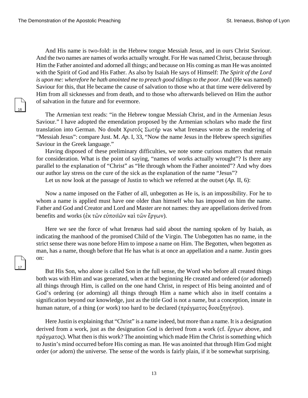[17](http://www.ccel.org/ccel/irenaeus/demonstr/png/0025=17.htm)

And His name is two-fold: in the Hebrew tongue Messiah Jesus, and in ours Christ Saviour. And the two names are names of works actually wrought. For He was named Christ, because through Him the Father anointed and adorned all things; and because on His coming as man He was anointed with the Spirit of God and His Father. As also by Isaiah He says of Himself: *The Spirit of the Lord is upon me: wherefore he hath anointed me to preach good tidings to the poor.* And (He was named) Saviour for this, that He became the cause of salvation to those who at that time were delivered by Him from all sicknesses and from death, and to those who afterwards believed on Him the author of salvation in the future and for evermore.

The Armenian text reads: "in the Hebrew tongue Messiah Christ, and in the Armenian Jesus Saviour." I have adopted the emendation proposed by the Armenian scholars who made the first translation into German. No doubt Χριστός Σωτήρ was what Irenæus wrote as the rendering of "Messiah Jesus": compare Just. M. *Ap*. I, 33, "Now the name Jesus in the Hebrew speech signifies Saviour in the Greek language."

Having disposed of these preliminary difficulties, we note some curious matters that remain for consideration. What is the point of saying, "names of works actually wrought"? Is there any parallel to the explanation of "Christ" as "He through whom the Father anointed"? And why does our author lay stress on the cure of the sick as the explanation of the name "Jesus"?

Let us now look at the passage of Justin to which we referred at the outset (*Ap.* II, 6):

Now a name imposed on the Father of all, unbegotten as He is, is an impossibility. For he to whom a name is applied must have one older than himself who has imposed on him the name. Father and God and Creator and Lord and Master are not names: they are appellations derived from benefits and works (ἐκ τῶν εὐποιϊῶν καὶ τῶν ἔργων).

Here we see the force of what Irenæus had said about the naming spoken of by Isaiah, as indicating the manhood of the promised Child of the Virgin. The Unbegotten has no name, in the strict sense there was none before Him to impose a name on Him. The Begotten, when begotten as man, has a name, though before that He has what is at once an appellation and a name. Justin goes on:

But His Son, who alone is called Son in the full sense, the Word who before all created things both was with Him and was generated, when at the beginning He created and ordered (*or* adorned) all things through Him, is called on the one hand Christ, in respect of His being anointed and of God's ordering (or adorning) all things through Him a name which also in itself contains a signification beyond our knowledge, just as the title God is not a name, but a conception, innate in human nature, of a thing (*or* work) too hard to be declared (πράγματος δυσεξηγήτου).

Here Justin is explaining that "Christ" is a name indeed, but more than a name. It is a designation derived from a work, just as the designation God is derived from a work (cf. ἔργων above, and πράγματος). What then is this work? The anointing which made Him the Christ is something which to Justin's mind occurred before His coming as man. He was anointed that through Him God might order (*or* adorn) the universe. The sense of the words is fairly plain, if it be somewhat surprising.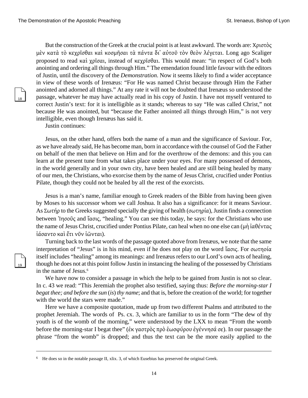But the construction of the Greek at the crucial point is at least awkward. The words are: Χριστὸς μὲν κατὰ τὸ κεχρῖσθαι καὶ κοσμῆσαι τὰ πάντα δι᾽ αὐτοῦ τὸν θεὸν λέγεται. Long ago Scaliger proposed to read καὶ χρῖσαι, instead of κεχρῖσθαι. This would mean: "in respect of God's both anointing and ordering all things through Him." The emendation found little favour with the editors of Justin, until the discovery of the *Demonstration*. Now it seems likely to find a wider acceptance in view of these words of Irenæus: "For He was named Christ because through Him the Father anointed and adorned all things." At any rate it will not be doubted that Irenæus so understood the passage, whatever he may have actually read in his copy of Justin. I have not myself ventured to correct Justin's text: for it is intelligible as it stands; whereas to say "He was called Christ," not because He was anointed, but "because the Father anointed all things through Him," is not very intelligible, even though Irenæus has said it.

Justin continues:

[18](http://www.ccel.org/ccel/irenaeus/demonstr/png/0026=18.htm)

[19](http://www.ccel.org/ccel/irenaeus/demonstr/png/0027=19.htm)

Jesus, on the other hand, offers both the name of a man and the significance of Saviour. For, as we have already said, He has become man, born in accordance with the counsel of God the Father on behalf of the men that believe on Him and for the overthrow of the demons: and this you can learn at the present tune from what takes place under your eyes. For many possessed of demons, in the world generally and in your own city, have been healed and are still being healed by many of our men, the Christians, who exorcise them by the name of Jesus Christ, crucified under Pontius Pilate, though they could not be healed by all the rest of the exorcists.

Jesus is a man's name, familiar enough to Greek readers of the Bible from having been given by Moses to his successor whom we call Joshua. It also has a significance: for it means Saviour. As Σωτήρ to the Greeks suggested specially the giving of health (σωτηρία), Justin finds a connection between Ἰησοῦς and ἴασις, "healing." You can see this today, he says: for the Christians who use the name of Jesus Christ, crucified under Pontius Pilate, can heal when no one else can (μὴ ἰαθέντας ἰάσαντο καὶ ἔτι νῦν ἰῶνται).

Turning back to the last words of the passage quoted above from Irenæus, we note that the same interpretation of "Jesus" is in his mind, even if he does not play on the word ἴασις. For σωτηοία itself includes "healing" among its meanings: and Irenæus refers to our Lord's own acts of healing, though he does not at this point follow Justin in instancing the healing of the possessed by Christians in the name of Jesus.<sup>6</sup>

We have now to consider a passage in which the help to be gained from Justin is not so clear. In c. 43 we read: "This Jeremiah the prophet also testified, saying thus: *Before the morning-star I begat thee; and before the sun* (*is*) *thy name*; and that is, before the creation of the world; for together with the world the stars were made."

Here we have a composite quotation, made up from two different Psalms and attributed to the prophet Jeremiah. The words of [Ps. cx. 3,](http://www.ccel.org/b/bible/asv/xml/asv.Ps.110.xml#Ps.110.3) which are familiar to us in the form "The dew of thy youth is of the womb of the morning," were understood by the LXX to mean "From the womb before the morning-star I begat thee" (ἐκ γαστρὸς πρὸ ἑωσφύρου ἐγέννησά σε). In our passage the phrase "from the womb" is dropped; and thus the text can be the more easily applied to the

<sup>6</sup> He does so in the notable passage II, xlix. 3, of which Eusebius has preserved the original Greek.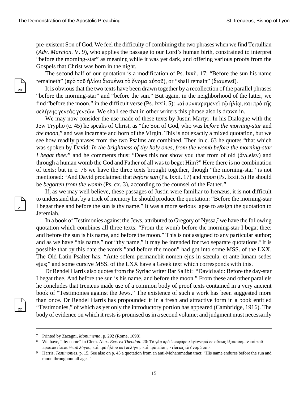pre-existent Son of God. We feel the difficulty of combining the two phrases when we find Tertullian (*Adv. Marcion.* V. 9), who applies the passage to our Lord's human birth, constrained to interpret "before the morning-star" as meaning while it was yet dark, and offering various proofs from the Gospels that Christ was born in the night.

The second half of our quotation is a modification of [Ps. lxxii. 17:](http://www.ccel.org/b/bible/asv/xml/asv.Ps.72.xml#Ps.72.17) "Before the sun his name remaineth" (πρὸ τοῦ ἡλίου διαμένει τὸ ὄνομα αὐτοῦ), or "shall remain" (διαμενεῖ).

It is obvious that the two texts have been drawn together by a recollection of the parallel phrases "before the morning-star" and "before the sun." But again, in the neighborhood of the latter, we find "before the moon," in the difficult verse [\(Ps. lxxii. 5\)](http://www.ccel.org/b/bible/asv/xml/asv.Ps.72.xml#Ps.72.5): καὶ συνπαραμενεῖ τῷ ἡλίῳ, καὶ πρὸ τῆς σελήνης γενεὰς γενεῶν. We shall see that in other writers this phrase also is drawn in.

We may now consider the use made of these texts by Justin Martyr. In his Dialogue with the Jew Trypho (c. 45) he speaks of Christ, as "the Son of God, who was *before the morning-star* and *the moon*," and was incarnate and born of the Virgin. This is not exactly a mixed quotation, but we see how readily phrases from the two Psalms are combined. Then in c. 63 he quotes "that which was spoken by David: *In the brightness of thy holy ones, from the womb before the morning-star I begat thee:*" and he comments thus: "Does this not show you that from of old (ἄνωθεν) and through a human womb the God and Father of all was to beget Him?" Here there is no combination of texts: but in c. 76 we have the three texts brought together, though "the morning-star" is not mentioned: "And David proclaimed that *before sun* ([Ps. lxxii. 17\)](http://www.ccel.org/b/bible/asv/xml/asv.Ps.72.xml#Ps.72.17) and *moon* ([Ps. lxxii. 5](http://www.ccel.org/b/bible/asv/xml/asv.Ps.72.xml#Ps.72.5)) He should be *begotten from the womb* ([Ps. cx. 3](http://www.ccel.org/b/bible/asv/xml/asv.Ps.110.xml#Ps.110.3)), according to the counsel of the Father."

If, as we may well believe, these passages of Justin were familiar to Irenæus, it is not difficult to understand that by a trick of memory he should produce the quotation: "Before the morning-star I begat thee and before the sun is thy name." It was a more serious lapse to assign the quotation to Jeremiah.

In a book of Testimonies against the Jews, attributed to Gregory of Nyssa,<sup>7</sup> we have the following quotation which combines all three texts: "From the womb before the morning-star I begat thee: and before the sun is his name, and before the moon." This is not assigned to any particular author; and as we have "his name," not "thy name," it may be intended for two separate quotations.<sup>8</sup> It is possible that by this date the words "and before the moon" had got into some MSS. of the LXX. The Old Latin Psalter has: "Ante solem permanebit nomen ejus in sæcula, et ante lunam sedes ejus;" and some cursive MSS. of the LXX have a Greek text which corresponds with this.

Dr Rendel Harris also quotes from the Syriac writer Bar Salibi:<sup>9</sup> "David said: Before the day-star I begat thee. And before the sun is his name, and before the moon." From these and other parallels he concludes that Irenæus made use of a common body of proof texts contained in a very ancient book of "Testimonies against the Jews." The existence of such a work has been suggested more than once. Dr Rendel Harris has propounded it in a fresh and attractive form in a book entitled "Testimonies," of which as yet only the introductory portion has appeared (Cambridge, 1916). The body of evidence on which it rests is promised us in a second volume; and judgment must necessarily

[20](http://www.ccel.org/ccel/irenaeus/demonstr/png/0028=20.htm)

[21](http://www.ccel.org/ccel/irenaeus/demonstr/png/0029=21.htm)

<sup>7</sup> Printed by Zacagni, *Monumenta*, p. 292 (Rome, 1698).

<sup>8</sup> We have, "thy name" in Clem. Alex. *Exc. ex Theodoto* 20: Τὸ γὰρ πρὸ ἑωσφόρου ἐγέννησά σε οὕτως ἐξακούομεν ἐπὶ τοῦ πρωτοκτίστου θεοῦ λόγου, καὶ πρὸ ἡλίου καὶ σελήνης καὶ πρὸ πάσης κτίσεως τὸ ὄνομά σου.

<sup>9</sup> Harris, *Testimonies*, p. 15. See also on p. 45 a quotation from an anti-Mohammedan tract: "His name endures before the sun and moon throughout all ages."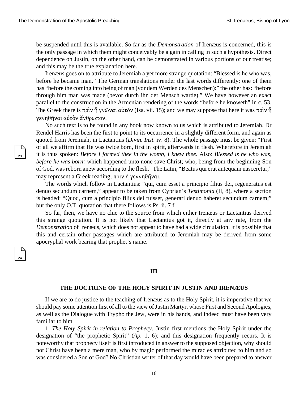<span id="page-19-0"></span>[24](http://www.ccel.org/ccel/irenaeus/demonstr/png/0032=24.htm)

be suspended until this is available. So far as the *Demonstration* of Irenæus is concerned, this is the only passage in which them might conceivably be a gain in calling in such a hypothesis. Direct dependence on Justin, on the other hand, can be demonstrated in various portions of our treatise; and this may be the true explanation here.

Irenæus goes on to attribute to Jeremiah a yet more strange quotation: "Blessed is he who was, before he became man." The German translations render the last words differently: one of them has "before the coming into being of man (vor dem Werden des Menschen):" the other has: "before through him man was made (bevor durch ihn der Mensch warde)." We have however an exact parallel to the construction in the Armenian rendering of the words "before he knoweth" in c. 53. The Greek there is πρὶν ἢ γνῶναι αὐτόν ([Isa. vii. 15\)](http://www.ccel.org/b/bible/asv/xml/asv.Isa.7.xml#Isa.7.15); and we may suppose that here it was πρὶν ἢ γενηθῆναι αὐτὸν ἄνθρωπον.

No such text is to be found in any book now known to us which is attributed to Jeremiah. Dr Rendel Harris has been the first to point to its occurrence in a slightly different form, and again as quoted from Jeremiah, in Lactantius (*Divin. Inst.* iv. 8). The whole passage must be given: "First of all we affirm that He was twice born, first in spirit, afterwards in flesh. Wherefore in Jeremiah it is thus spoken: *Before I formed thee in the womb, I knew thee.* Also: *Blessed is he who was, before he was born:* which happened unto none save Christ; who, being from the beginning Son of God, was reborn anew according to the flesh." The Latin, "Beatus qui erat antequam nasceretur," may represent a Greek reading, πρὶν ἢ γεννηθῆναι.

The words which follow in Lactantius: "qui, cum esset a principio filius dei, regeneratus est denuo secundum carnem," appear to be taken from Cyprian's *Testimonia* (II, 8), where a section is headed: "Quod, cum a principio filius dei fuisset, generari denuo haberet secundum carnem;" but the only O.T. quotation that there follows is [Ps. ii. 7 f.](http://www.ccel.org/b/bible/asv/xml/asv.Ps.2.xml#Ps.2.7)

So far, then, we have no clue to the source from which either Irenæus or Lactantius derived this strange quotation. It is not likely that Lactantius got it, directly at any rate, from the *Demonstration* of Irenæus, which does not appear to have had a wide circulation. It is possible that this and certain other passages which are attributed to Jeremiah may be derived from some apocryphal work bearing that prophet's name.

#### **III**

#### **THE DOCTRINE OF THE HOLY SPIRIT IN JUSTIN AND IRENÆUS**

If we are to do justice to the teaching of Irenæus as to the Holy Spirit, it is imperative that we should pay some attention first of all to the view of Justin Martyr, whose First and Second Apologies, as well as the Dialogue with Trypho the Jew, were in his hands, and indeed must have been very familiar to him.

1. *The Holy Spirit in relation to Prophecy*. Justin first mentions the Holy Spirit under the designation of "the prophetic Spirit" (*Ap.* 1, 6); and this designation frequently recurs. It is noteworthy that prophecy itself is first introduced in answer to the supposed objection, why should not Christ have been a mere man, who by magic performed the miracles attributed to him and so was considered a Son of God? No Christian writer of that day would have been prepared to answer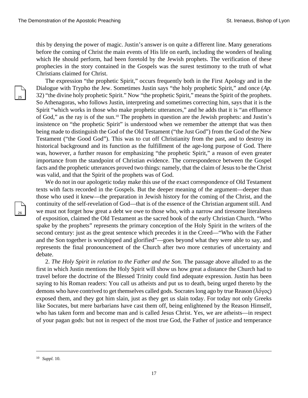this by denying the power of magic. Justin's answer is on quite a different line. Many generations before the coming of Christ the main events of His life on earth, including the wonders of healing which He should perform, had been foretold by the Jewish prophets. The verification of these prophecies in the story contained in the Gospels was the surest testimony to the truth of what Christians claimed for Christ.

The expression "the prophetic Spirit," occurs frequently both in the First Apology and in the Dialogue with Trypho the Jew. Sometimes Justin says "the holy prophetic Spirit," and once (*Ap.* 32) "the divine holy prophetic Spirit." Now "the prophetic Spirit," means the Spirit of the prophets. So Athenagoras, who follows Justin, interpreting and sometimes correcting him, says that it is the Spirit "which works in those who make prophetic utterances," and he adds that it is "an effluence of God," as the ray is of the sun.10 The prophets in question are the Jewish prophets: and Justin's insistence on "the prophetic Spirit" is understood when we remember the attempt that was then being made to distinguish the God of the Old Testament ("the Just God") from the God of the New Testament ("the Good God"). This was to cut off Christianity from the past, and to destroy its historical background and its function as the fulfillment of the age-long purpose of God. There was, however, a further reason for emphasizing "the prophetic Spirit," a reason of even greater importance from the standpoint of Christian evidence. The correspondence between the Gospel facts and the prophetic utterances proved two things: namely, that the claim of Jesus to be the Christ was valid, and that the Spirit of the prophets was of God.

We do not in our apologetic today make this use of the exact correspondence of Old Testament texts with facts recorded in the Gospels. But the deeper meaning of the argument—deeper than those who used it knew—the preparation in Jewish history for the coming of the Christ, and the continuity of the self-revelation of God—that is of the essence of the Christian argument still. And we must not forget how great a debt we owe to those who, with a narrow and tiresome literalness of exposition, claimed the Old Testament as the sacred book of the early Christian Church. "Who spake by the prophets" represents the primary conception of the Holy Spirit in the writers of the second century: just as the great sentence which precedes it in the Creed—"Who with the Father and the Son together is worshipped and glorified"—goes beyond what they were able to say, and represents the final pronouncement of the Church after two more centuries of uncertainty and debate.

2. *The Holy Spirit in relation to the Father and the Son.* The passage above alluded to as the first in which Justin mentions the Holy Spirit will show us how great a distance the Church had to travel before the doctrine of the Blessed Trinity could find adequate expression. Justin has been saying to his Roman readers: You call us atheists and put us to death, being urged thereto by the demons who have contrived to get themselves called gods. Socrates long ago by true Reason (λόγος) exposed them, and they got him slain, just as they get us slain today. For today not only Greeks like Socrates, but mere barbarians have cast them off, being enlightened by the Reason Himself, who has taken form and become man and is called Jesus Christ. Yes, we are atheists—in respect of your pagan gods: but not in respect of the most true God, the Father of justice and temperance

[<sup>25</sup>](http://www.ccel.org/ccel/irenaeus/demonstr/png/0033=25.htm)

<sup>10</sup> *Suppl.* 10.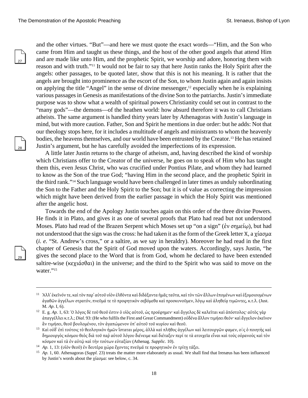[28](http://www.ccel.org/ccel/irenaeus/demonstr/png/0036=28.htm)

[29](http://www.ccel.org/ccel/irenaeus/demonstr/png/0037=29.htm)

and the other virtues. "But"—and here we must quote the exact words—"Him, and the Son who came from Him and taught us these things, and the host of the other good angels that attend Him and are made like unto Him, and the prophetic Spirit, we worship and adore, honoring them with reason and with truth."11 It would not be fair to say that here Justin ranks the Holy Spirit after the angels: other passages, to be quoted later, show that this is not his meaning. It is rather that the angels are brought into prominence as the escort of the Son, to whom Justin again and again insists on applying the title "Angel" in the sense of divine messenger, $12$  especially when he is explaining various passages in Genesis as manifestations of the divine Son to the patriarchs. Justin's immediate purpose was to show what a wealth of spiritual powers Christianity could set out in contrast to the "many gods"—the demons—of the heathen world: how absurd therefore it was to call Christians atheists. The same argument is handled thirty years later by Athenagoras with Justin's language in mind, but with more caution. Father, Son and Spirit he mentions in due order: but he adds: Not that our theology stops here, for it includes a multitude of angels and ministrants to whom the heavenly bodies, the heavens themselves, and our world have been entrusted by the Creator.13 He has retained Justin's argument, but he has carefully avoided the imperfections of its expression.

A little later Justin returns to the charge of atheism, and, having described the kind of worship which Christians offer to the Creator of the universe, he goes on to speak of Him who has taught them this, even Jesus Christ, who was crucified under Pontius Pilate, and whom they had learned to know as the Son of the true God; "having Him in the second place, and the prophetic Spirit in the third rank."14 Such language would have been challenged in later times as unduly subordinating the Son to the Father and the Holy Spirit to the Son; but it is of value as correcting the impression which might have been derived from the earlier passage in which the Holy Spirit was mentioned after the angelic host.

Towards the end of the Apology Justin touches again on this order of the three divine Powers. He finds it in Plato, and gives it as one of several proofs that Plato had read but not understood Moses. Plato had read of the Brazen Serpent which Moses set up "on a sign" (ἐν σημείῳ), but had not understood that the sign was the cross: he had taken it as the form of the Greek letter Χ, a χίασμα (*i. e.* "St. Andrew's cross," or a saltire, as we say in heraldry). Moreover he had read in the first chapter of Genesis that the Spirit of God moved upon the waters. Accordingly, says Justin, "he gives the second place to the Word that is from God, whom he declared to have been extended saltire-wise (κεχιάσθαι) in the universe; and the third to the Spirit who was said to move on the water."<sup>15</sup>

<sup>11</sup> Ἀλλ᾽ ἐκεῖνόν τε, καὶ τὸν παρ᾽ αὐτοῦ υἱὸν ἐλθὸντα καὶ διδάξαντα ἡμᾶς ταῦτα, καὶ τὸν τῶν ἄλλων ἑπομένων καὶ ἐξομοιουμένων ἀγαθῶν ἀγγέλων στρατόν, πνεῦμά τε τὸ προφητικὸν σεβόμεθα καὶ προσκυνοῦμεν, λόγῳ καὶ ἀληθείᾳ τιμῶντες, κ.τ.λ. (Just. M. *Ap*. I, 6).

<sup>12</sup> E. g. *Ap.* 1, 63: Ὁ λόγος δὲ τοῦ θεοῦ ἐστιν ὁ υἱὸς αὐτοῦ, ὡς προέφημεν· καὶ ἄγγελος δὲ καλεῖται καὶ ἀπόστολος· αὐτὸς γὰρ ἀπαγγέλλει κ.τ.λ.; *Dial.* 93: (He who fulfils the First and Great Commandment) οὐδένα ἄλλον τιμήσει θεόν· καὶ ἄγγελον ἐκεῖνον ἂν τιμήσει, θεοῦ βουλομένου, τὸν ἀγαπώμενον ὑπ᾽ αὐτοῦ τοῦ κυρίου καὶ θεοῦ.

<sup>13</sup> Καὶ οὐδ᾽ ἐπὶ τούτοις τὸ θεολογικὸν ἡμῶν ἵσταται μέρος, ἀλλὰ καὶ πλῆθος ἀγγέλων καὶ λειτουργῶν φαμεν, οὓς ὁ ποιητὴς καὶ δημιουργὸς κόσμου θεὸς διὰ τοῦ παῤ αὐτοῦ λόγου διένειμε καὶ διέταξεν περί τε τὰ ατοιχεῖα εἶναι καὶ τοὺς οὐρανοὺς καὶ τὸν κόσμον καὶ τὰ ἐν αὐτῷ καὶ τὴν τούτων εὐταξίαν (Athenag. *Supplic.* 10).

<sup>14</sup> *Ap.* 1, 13: (υἱὸν θεοῦ) ἐν δευτἑρα χώρα ἔχοντες πνεῦμά τε προφητικὸν ἐν τρίτῃ τάξει.

<sup>15</sup> *Ap.* 1, 60. Athenagoras (*Suppl.* 23) treats the matter more elaborately as usual. We shall find that Irenæus has been influenced by Justin's words about the χίασμα: see below, c. 34.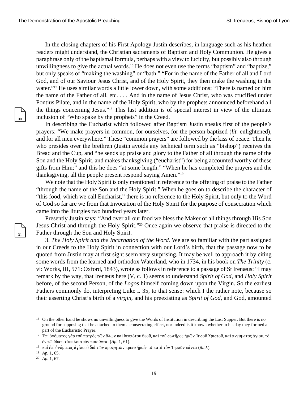[31](http://www.ccel.org/ccel/irenaeus/demonstr/png/0039=31.htm)

In the closing chapters of his First Apology Justin describes, in language such as his heathen readers might understand, the Christian sacraments of Baptism and Holy Communion. He gives a paraphrase only of the baptismal formula, perhaps with a view to lucidity, but possibly also through unwillingness to give the actual words.<sup>16</sup> He does not even use the terms "baptism" and "baptize," but only speaks of "making the washing" or "bath." "For in the name of the Father of all and Lord God, and of our Saviour Jesus Christ, and of the Holy Spirit, they then make the washing in the water."<sup>17</sup> He uses similar words a little lower down, with some additions: "There is named on him the name of the Father of all, etc. . . . And in the name of Jesus Christ, who was crucified under Pontius Pilate, and in the name of the Holy Spirit, who by the prophets announced beforehand all the things concerning Jesus."18 This last addition is of special interest in view of the ultimate inclusion of "Who spake by the prophets" in the Creed.

In describing the Eucharist which followed after Baptism Justin speaks first of the people's prayers: "We make prayers in common, for ourselves, for the person baptized (*lit.* enlightened), and for all men everywhere." These "common prayers" are followed by the kiss of peace. Then he who presides over the brethren (Justin avoids any technical term such as "bishop") receives the Bread and the Cup, and "he sends up praise and glory to the Father of all through the name of the Son and the Holy Spirit, and makes thanksgiving ("eucharist") for being accounted worthy of these gifts from Him;" and this he does "at some length." "When he has completed the prayers and the thanksgiving, all the people present respond saying Amen."<sup>19</sup>

We note that the Holy Spirit is only mentioned in reference to the offering of praise to the Father "through the name of the Son and the Holy Spirit." When he goes on to describe the character of "this food, which we call Eucharist," there is no reference to the Holy Spirit, but only to the Word of God so far are we from that Invocation of the Holy Spirit for the purpose of consecration which came into the liturgies two hundred years later.

Presently Justin says: "And over all our food we bless the Maker of all things through His Son Jesus Christ and through the Holy Spirit."20 Once again we observe that praise is directed to the Father through the Son and Holy Spirit.

3. *The Holy Spirit and the Incarnation of the Word.* We are so familiar with the part assigned in our Creeds to the Holy Spirit in connection with our Lord's birth, that the passage now to be quoted from Justin may at first sight seem very surprising. It may be well to approach it by citing some words from the learned and orthodox Waterland, who in 1734, in his book on *The Trinity* (c. vi: Works, III, 571: Oxford, 1843), wrote as follows in reference to a passage of St Irenæus: "I may remark by the way, that Irenæus here (V, c. 1) seems to understand *Spirit of God*, and *Holy Spirit* before, of the second Person, of the *Logos* himself coming down upon the Virgin. So the earliest Fathers commonly do, interpreting [Luke i. 35,](http://www.ccel.org/b/bible/asv/xml/asv.Luke.1.xml#Luke.1.35) to that sense: which I the rather note, because so their asserting Christ's birth of a *virgin*, and his preexisting as *Spirit of God*, and God, amounted

<sup>&</sup>lt;sup>16</sup> On the other hand he shows no unwillingness to give the Words of Institution in describing the Last Supper. But there is no ground for supposing that he attached to them a consecrating effect, nor indeed is it known whether in his day they formed a part of the Eucharistic Prayer.

<sup>17</sup> Ἐπ᾽ ὀνόματος γὰρ τοῦ πατρὸς τῶν ὅλων καὶ δεσπότου θεοῦ, καὶ τοῦ σωτῆρος ἠμῶν Ἰησοῦ Χριστοῦ, καὶ πνεύματος ἁγίου, τὸ ἐν τῷ ὕδατι τότε λουτρόν ποιοῦνται (*Ap.* 1, 61).

<sup>18</sup> καὶ ἐπ᾽ ὀνόματος ἁγίου, ὃ διὰ τῶν προφητῶν προεκήρυξε τὰ κατὰ τὸν Ἰησοῦν πάντα (*ibid.*).

<sup>19</sup> *Ap.* 1, 65.

<sup>20</sup> *Ap.* 1, 67.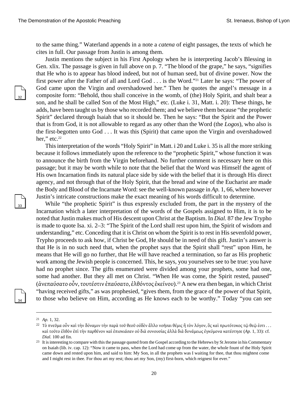[33](http://www.ccel.org/ccel/irenaeus/demonstr/png/0041=33.htm)

[34](http://www.ccel.org/ccel/irenaeus/demonstr/png/0042=34.htm)

to the same thing." Waterland appends in a note a *catena* of eight passages, the texts of which he cites in full. Our passage from Justin is among them.

Justin mentions the subject in his First Apology when he is interpreting Jacob's Blessing in [Gen. xlix.](http://www.ccel.org/b/bible/asv/xml/asv.Gen..xml#Gen..) The passage is given in full above on p. 7. "The blood of the grape," he says, "signifies that He who is to appear has blood indeed, but not of human seed, but of divine power. Now the first power after the Father of all and Lord God . . . is the Word."21 Later he says: "The power of God came upon the Virgin and overshadowed her." Then he quotes the angel's message in a composite form: "Behold, thou shall conceive in the womb, of (the) Holy Spirit, and shalt bear a son, and he shall be called Son of the Most High," etc. ([Luke i. 31,](http://www.ccel.org/b/bible/asv/xml/asv.Luke.1.xml#Luke.1.31) [Matt. i. 20](http://www.ccel.org/b/bible/asv/xml/asv.Matt.1.xml#Matt.1.20)): These things, he adds, have been taught us by those who recorded them; and we believe them because "the prophetic Spirit" declared through Isaiah that so it should be. Then he says: "But the Spirit and the Power that is from God, it is not allowable to regard as any other than the Word (the *Logos*), who also is the first-begotten unto God . . . It was this (Spirit) that came upon the Virgin and overshadowed her," etc.<sup>22</sup>

This interpretation of the words "Holy Spirit" in [Matt. i 20](http://www.ccel.org/b/bible/asv/xml/asv.Matt.1.xml#Matt.1.20) and [Luke i. 35](http://www.ccel.org/b/bible/asv/xml/asv.Luke.1.xml#Luke.1.35) is all the more striking because it follows immediately upon the reference to the "prophetic Spirit," whose function it was to announce the birth from the Virgin beforehand. No further comment is necessary here on this passage; but it may be worth while to note that the belief that the Word was Himself the agent of His own Incarnation finds its natural place side by side with the belief that it is through His direct agency, and not through that of the Holy Spirit, that the bread and wine of the Eucharist are made the Body and Blood of the Incarnate Word: see the well-known passage in *Ap.* 1, 66, where however Justin's intricate constructions make the exact meaning of his words difficult to determine.

While "the prophetic Spirit" is thus expressly excluded from, the part in the mystery of the Incarnation which a later interpretation of the words of the Gospels assigned to Him, it is to be noted that Justin makes much of His descent upon Christ at the Baptism. In *Dial.* 87 the Jew Trypho is made to quote [Isa. xi. 2–3](http://www.ccel.org/b/bible/asv/xml/asv.Isa.11.xml#Isa.11.2): "The Spirit of the Lord shall rest upon him, the Spirit of wisdom and understanding," etc. Conceding that it is Christ on whom the Spirit is to rest in His sevenfold power, Trypho proceeds to ask how, if Christ be God, He should be in need of this gift. Justin's answer is that He is in no such need that, when the prophet says that the Spirit shall "rest" upon Him, he means that He will go no further, that He will have reached a termination, so far as His prophetic work among the Jewish people is concerned. This, he says, you yourselves see to be true: you have had no prophet since. The gifts enumerated were divided among your prophets, some had one, some had another. But they all met on Christ. "When He was come, the Spirit rested, paused" (ἀνεπαύσατο οὖν, τουτέστιν ἐπαύσατο, ἐλθόντος ἐκείνου).23 A new era then began, in which Christ "having received gifts," as was prophesied, "gives them, from the grace of the power of that Spirit, to those who believe on Him, according as He knows each to be worthy." Today "you can see

<sup>21</sup> *Ap.* 1, 32.

<sup>22</sup> Τὸ πνεῦμα οὖν καὶ τὴν δύναμιν τὴν παρὰ τοῦ θεοῦ οὐδὲν ἄλλο νοῆσαι θέμις ἢ τὸν λόγον, ὃς καὶ πρωτότοκος τῷ θεῷ ἐστι . . . καὶ τοῦτο ἐλθὸν ἐπὶ τὴν παρθένον καὶ ἐπισκιάσαν οὐ διὰ συνουσίας ἀλλὰ διὰ δυνάμεως ἐγκύμονα κατέστησε (*Ap.* 1, 33): cf. *Dial.* 100 ad fin.

<sup>&</sup>lt;sup>23</sup> It is interesting to compare with this the passage quoted from the Gospel according to the Hebrews by St Jerome in his Commentary on Isaiah (lib. iv. cap. 12): "Now it came to pass, when the Lord had come up from the water, the whole fount of the Holy Spirit came down and rested upon him, and said to him: My Son, in all the prophets was I waiting for thee, that thou mightest come and I might rest in thee. For thou art my rest; thou art my Son, (my) first-born, which reignest for ever."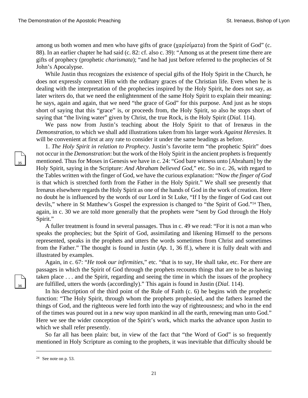among us both women and men who have gifts of grace (χαρίσίματα) from the Spirit of God" (c. 88). In an earlier chapter he had said (c. 82: cf. also c. 39): "Among us at the present time there are gifts of prophecy (prophetic *charismata*); "and he had just before referred to the prophecies of St John's Apocalypse.

While Justin thus recognizes the existence of special gifts of the Holy Spirit in the Church, he does not expressly connect Him with the ordinary graces of the Christian life. Even when he is dealing with the interpretation of the prophecies inspired by the Holy Spirit, he does not say, as later writers do, that we need the enlightenment of the same Holy Spirit to explain their meaning: he says, again and again, that we need "the grace of God" for this purpose. And just as he stops short of saying that this "grace" is, or proceeds from, the Holy Spirit, so also he stops short of saying that "the living water" given by Christ, the true Rock, is the Holy Spirit (*Dial.* 114).

We pass now from Justin's teaching about the Holy Spirit to that of Irenæus in the *Demonstration*, to which we shall add illustrations taken from his larger work *Against Heresies*. It will be convenient at first at any rate to consider it under the same headings as before.

1. *The Holy Spirit in relation to Prophecy*. Justin's favorite term "the prophetic Spirit" does not occur in the *Demonstration*: but the work of the Holy Spirit in the ancient prophets is frequently mentioned. Thus for Moses in Genesis we have in c. 24: "God bare witness unto [Abraham] by the Holy Spirit, saying in the Scripture: *And Abraham believed God*," etc. So in c. 26, with regard to the Tables written with the finger of God, we have the curious explanation: "Now *the finger of God* is that which is stretched forth from the Father in the Holy Spirit." We shall see presently that Irenæus elsewhere regards the Holy Spirit as one of the hands of God in the work of creation. Here no doubt he is influenced by the words of our Lord in St Luke, "If I by the finger of God cast out devils," where in St Matthew's Gospel the expression is changed to "the Spirit of God."24 Then, again, in c. 30 we are told more generally that the prophets were "sent by God through the Holy Spirit."

A fuller treatment is found in several passages. Thus in c. 49 we read: "For it is not a man who speaks the prophecies; but the Spirit of God, assimilating and likening Himself to the persons represented, speaks in the prophets and utters the words sometimes from Christ and sometimes from the Father." The thought is found in Justin (*Ap*. 1, 36 ff.), where it is fully dealt with and illustrated by examples.

Again, in c. 67: "*He took our infirmities*," etc. "that is to say, He shall take, etc. For there are passages in which the Spirit of God through the prophets recounts things that are to be as having taken place . . . and the Spirit, regarding and seeing the time in which the issues of the prophecy are fulfilled, utters the words (accordingly)." This again is found in Justin (*Dial.* 114).

In his description of the third point of the Rule of Faith (c. 6) he begins with the prophetic function: "The Holy Spirit, through whom the prophets prophesied, and the fathers learned the things of God, and the righteous were led forth into the way of righteousness; and who in the end of the times was poured out in a new way upon mankind in all the earth, renewing man unto God." Here we see the wider conception of the Spirit's work, which marks the advance upon Justin to which we shall refer presently.

So far all has been plain: but, in view of the fact that "the Word of God" is so frequently mentioned in Holy Scripture as coming to the prophets, it was inevitable that difficulty should be

[35](http://www.ccel.org/ccel/irenaeus/demonstr/png/0043=35.htm)

<sup>24</sup> See note on p. 53.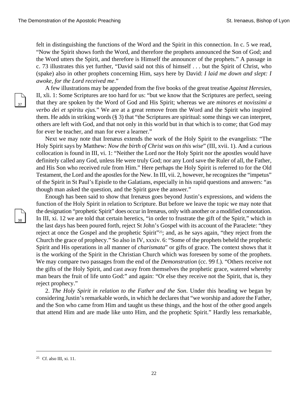felt in distinguishing the functions of the Word and the Spirit in this connection. In c. 5 we read, "Now the Spirit shows forth the Word, and therefore the prophets announced the Son of God; and the Word utters the Spirit, and therefore is Himself the announcer of the prophets." A passage in c. 73 illustrates this yet further, "David said not this of himself . . . but the Spirit of Christ, who (spake) also in other prophets concerning Him, says here by David: *I laid me down and slept: I awoke, for the Lord received me*."

A few illustrations may be appended from the five books of the great treatise *Against Heresies*, II, xli. 1: Some Scriptures are too hard for us: "but we know that the Scriptures are perfect, seeing that they are spoken by the Word of God and His Spirit; whereas we are *minores et novissimi a verbo dei et spiritu ejus.*" We are at a great remove from the Word and the Spirit who inspired them. He adds in striking words (§ 3) that "the Scriptures are spiritual: some things we can interpret, others are left with God, and that not only in this world but in that which is to come; that God may for ever be teacher, and man for ever a learner."

Next we may note that Irenæus extends the work of the Holy Spirit to the evangelists: "The Holy Spirit says by Matthew: *Now the birth of Christ was on this wise*" (III, xvii. 1). And a curious collocation is found in III, vi. 1: "Neither the Lord nor the Holy Spirit nor the apostles would have definitely called any God, unless He were truly God; nor any Lord save the Ruler of all, the Father, and His Son who received rule from Him." Here perhaps the Holy Spirit is referred to for the Old Testament, the Lord and the apostles for the New. In III, vii. 2, however, he recognizes the "impetus" of the Spirit in St Paul's Epistle to the Galatians, especially in his rapid questions and answers: "as though man asked the question, and the Spirit gave the answer."

Enough has been said to show that Irenæus goes beyond Justin's expressions, and widens the function of the Holy Spirit in relation to Scripture. But before we leave the topic we may note that the designation "prophetic Spirit" does occur in Irenæus, only with another or a modified connotation. In III, xi. 12 we are told that certain heretics, "in order to frustrate the gift of the Spirit," which in the last days has been poured forth, reject St John's Gospel with its account of the Paraclete: "they reject at once the Gospel and the prophetic Spirit"25; and, as he says again, "they reject from the Church the grace of prophecy." So also in IV, xxxiv. 6: "Some of the prophets beheld the prophetic Spirit and His operations in all manner of *charismata*" or gifts of grace. The context shows that it is the working of the Spirit in the Christian Church which was foreseen by some of the prophets. We may compare two passages from the end of the *Demonstration* (cc. 99 f.). "Others receive not the gifts of the Holy Spirit, and cast away from themselves the prophetic grace, watered whereby man bears the fruit of life unto God:" and again: "Or else they receive not the Spirit, that is, they reject prophecy."

2. *The Holy Spirit in relation to the Father and the Son*. Under this heading we began by considering Justin's remarkable words, in which he declares that "we worship and adore the Father, and the Son who came from Him and taught us these things, and the host of the other good angels that attend Him and are made like unto Him, and the prophetic Spirit." Hardly less remarkable,

[<sup>37</sup>](http://www.ccel.org/ccel/irenaeus/demonstr/png/0045=37.htm)

<sup>25</sup> Cf. also III, xi. 11.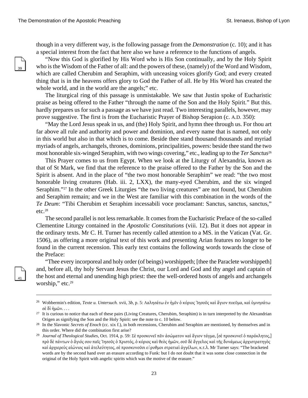though in a very different way, is the following passage from the *Demonstration* (c. 10); and it has a special interest from the fact that here also we have a reference to the functions of angels.

"Now this God is glorified by His Word who is His Son continually, and by the Holy Spirit who is the Wisdom of the Father of all: and the powers of these, (namely) of the Word and Wisdom, which are called Cherubim and Seraphim, with unceasing voices glorify God; and every created thing that is in the heavens offers glory to God the Father of all. He by His Word has created the whole world, and in the world are the angels;" etc.

The liturgical ring of this passage is unmistakable. We saw that Justin spoke of Eucharistic praise as being offered to the Father "through the name of the Son and the Holy Spirit." But this. hardly prepares us for such a passage as we have just read. Two interesting parallels, however, may prove suggestive. The first is from the Eucharistic Prayer of Bishop Serapion (c. A.D. 350):

"May the Lord Jesus speak in us, and (the) Holy Spirit, and hymn thee through us. For thou art far above all rule and authority and power and dominion, and every name that is named, not only in this world but also in that which is to come. Beside thee stand thousand thousands and myriad myriads of angels, archangels, thrones, dominions, principalities, powers: beside thee stand the two most honorable six-winged Seraphim, with two wings covering," etc., leading up to the *Ter Sanctus*<sup>26</sup>

This Prayer comes to us from Egypt. When we look at the Liturgy of Alexandria, known as that of St Mark, we find that the reference to the praise offered to the Father by the Son and the Spirit is absent. And in the place of "the two most honorable Seraphim" we read: "the two most honorable living creatures ([Hab. iii. 2](http://www.ccel.org/b/bible/asv/xml/asv.Hab.3.xml#Hab.3.2), LXX), the many-eyed Cherubim, and the six winged Seraphim."<sup>27</sup> In the other Greek Liturgies "the two living creatures" are not found, but Cherubim and Seraphim remain; and we in the West are familiar with this combination in the words of the *Te Deum*: "Tibi Cherubim et Seraphim incessabili voce proclamant: Sanctus, sanctus, sanctus,"  $etc.$ <sup>28</sup>

The second parallel is not less remarkable. It comes from the Eucharistic Preface of the so-called Clementine Liturgy contained in the *Apostolic Constitutions* (viii. 12). But it does not appear in the ordinary texts. Mr C. H. Turner has recently called attention to a MS. in the Vatican (Vat. Gr. 1506), as offering a more original text of this work and presenting Arian features no longer to be found in the current recension. This early text contains the following words towards the close of the Preface:

"Thee every incorporeal and holy order (of beings) worshippeth; [thee the Paraclete worshippeth] and, before all, thy holy Servant Jesus the Christ, our Lord and God and thy angel and captain of the host and eternal and unending high priest: thee the well-ordered hosts of angels and archangels worship," etc.<sup>29</sup>

<sup>26</sup> Wobbermin's edition, *Texte u. Untersuch.* xvii, 3*b*, p. 5: Λαλησάτω ἐν ἡμῖν ὁ κύριος Ἰησοῦς καὶ ἅγιον πυεῦμα, καὶ ὑμνησάτω σὲ δἰ ἡμῶν. . . .

<sup>&</sup>lt;sup>27</sup> It is curious to notice that each of these pairs (Living Creatures, Cherubim, Seraphim) is in turn interpreted by the Alexandrian Origen as signifying the Son and the Holy Spirit: see the note to c. 10 below.

<sup>28</sup> In the Slavonic *Secrets of Enoch* (cc. xix f.), in both recensions, Cherubim and Seraphim are mentioned, by themselves and in this order. Where did the combination first arise?

<sup>29</sup> *Journal of Theological Studies*, Oct. 1914, p. 59: Σὲ προσκυνεῖ πᾶν ἀσώματον καὶ ἅγιον τάγμα, [σὲ προσκυνεῖ ὁ παράκλητος,] πρὸ δὲ πάντων ὁ ἅγιός σου παῖς Ἰησοῦς ὁ Χριστός, ὁ κύριος καὶ θεὸς ἡμῶν, σοῦ δὲ ἄγγελος καὶ τῆς δυνάμεως ἀρχιστρατηγὸς καὶ ἀρχιερεὺς αἰώνιος καὶ ἀτελεύτητος, σὲ προσκυνοῦσι εὔρυθμοι στρατιαὶ ἀγγέλων, κ.τ.λ. Mr Turner says: "The bracketed words are by the second hand over an erasure according to Funk: but I do not doubt that it was some close connection in the original of the Holy Spirit with angelic spirits which was the motive of the erasure."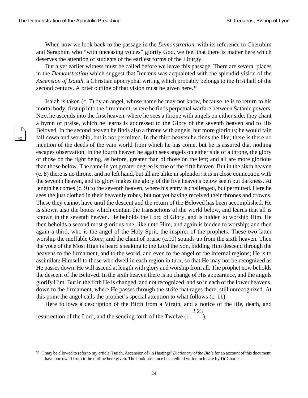When now we look back to the passage in the *Demonstration*, with its reference to Cherubim and Seraphim who "with unceasing voices" glorify God, we feel that there is matter here which deserves the attention of students of the earliest forms of the Liturgy.

But a yet earlier witness must be called before we leave this passage. There are several places in the *Demonstration* which suggest that Irenæus was acquainted with the splendid vision of the *Ascension of Isaiah*, a Christian apocryphal writing which probably belongs to the first half of the second century. A brief outline of that vision must be given here.<sup>30</sup>

Isaiah is taken (c. 7) by an angel, whose name he may not know, because he is to return to his mortal body, first up into the firmament, where he finds perpetual warfare between Satanic powers. Next he ascends into the first heaven, where he sees a throne with angels on either side; they chant a hymn of praise, which he learns is addressed to the Glory of the seventh heaven and to His Beloved. In the second heaven he finds also a throne with angels, but more glorious; he would fain fall down and worship, but is not permitted. In the third heaven he finds the like; there is there no mention of the deeds of the vain world from which he has come, but he is assured that nothing escapes observation. In the fourth heaven he again sees angels on either side of a throne, the glory of those on the right being, as before, greater than of those on the left; and all are more glorious than those below. The same in yet greater degree is true of the fifth heaven. But in the sixth heaven (c. 8) there is no throne, and no left hand, but all are alike in splendor: it is in close connection with the seventh heaven, and its glory makes the glory of the five heavens below seem but darkness. At length he comes (c. 9) to the seventh heaven, where his entry is challenged, but permitted. Here he sees the just clothed in their heavenly robes, but not yet having received their thrones and crowns. These they cannot have until the descent and the return of the Beloved has been accomplished. He is shown also the books which contain the transactions of the world below, and learns that all is known in the seventh heaven. He beholds the Lord of Glory, and is bidden to worship Him. He then beholds a second most glorious one, like unto Him, and again is bidden to worship; and then again a third, who is the angel of the Holy Sprit, the inspirer of the prophets. These two latter worship the ineffable Glory; and the chant of praise (c.10) sounds up from the sixth heaven. Then the voce of the Most High is heard speaking to the Lord the Son, bidding Him descend through the heavens to the firmament, and to the world, and even to the angel of the infernal regions; He is to assimilate Himself to those who dwell in each region in turn, so that He may not be recognized as He passes down. He will ascend at length with glory and worship from all. The prophet now beholds the descent of the Beloved. In the sixth heaven there is no change of His appearance, and the angels glorify Him. But in the fifth He is changed, and not recognized, and so in each of the lower heavens, down to the firmament, where He passes through the strife that rages there, still unrecognized. At this point the angel calls the prophet's special attention to what follows (c. 11).

Here follows a description of the Birth from a Virgin, and a notice of the life, death, and 2.23

resurrection of the Lord, and the sending forth of the Twelve (11 ).

<sup>30</sup> I may be allowed to refer to my article (Isaiah, Ascension of) in Hastings' *Dictionary of the Bible* for an account of this document. I have borrowed from it the outline here given. The book has since been edited with much care by Dr Charles.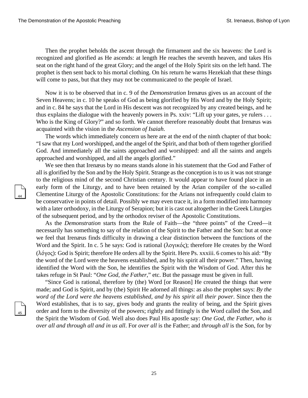[45](http://www.ccel.org/ccel/irenaeus/demonstr/png/0053=45.htm)

Then the prophet beholds the ascent through the firmament and the six heavens: the Lord is recognized and glorified as He ascends: at length He reaches the seventh heaven, and takes His seat on the right hand of the great Glory; and the angel of the Holy Spirit sits on the left hand. The prophet is then sent back to his mortal clothing. On his return he warns Hezekiah that these things will come to pass, but that they may not be communicated to the people of Israel.

Now it is to be observed that in c. 9 of the *Demonstration* Irenæus gives us an account of the Seven Heavens; in c. 10 he speaks of God as being glorified by His Word and by the Holy Spirit; and in c. 84 he says that the Lord in His descent was not recognized by any created beings, and he thus explains the dialogue with the heavenly powers in [Ps. xxiv:](http://www.ccel.org/b/bible/asv/xml/asv.Ps..xml#Ps..) "Lift up your gates, ye rulers . . . Who is the King of Glory?" and so forth. We cannot therefore reasonably doubt that Irenæus was acquainted with the vision in the *Ascension of Isaiah*.

The words which immediately concern us here are at the end of the ninth chapter of that book: "I saw that my Lord worshipped, and the angel of the Spirit, and that both of them together glorified God. And immediately all the saints approached and worshipped: and all the saints and angels approached and worshipped, and all the angels glorified."

We see then that Irenæus by no means stands alone in his statement that the God and Father of all is glorified by the Son and by the Holy Spirit. Strange as the conception is to us it was not strange to the religious mind of the second Christian century. It would appear to have found place in an early form of the Liturgy, and to have been retained by the Arian compiler of the so-called Clementine Liturgy of the Apostolic Constitutions: for the Arians not infrequently could claim to be conservative in points of detail. Possibly we may even trace it, in a form modified into harmony with a later orthodoxy, in the Liturgy of Serapion; but it is cast out altogether in the Greek Liturgies of the subsequent period, and by the orthodox reviser of the Apostolic Constitutions.

As the *Demonstration* starts from the Rule of Faith—the "three points" of the Creed—it necessarily has something to say of the relation of the Spirit to the Father and the Son: but at once we feel that Irenæus finds difficulty in drawing a clear distinction between the functions of the Word and the Spirit. In c. 5 he says: God is rational (λογικός); therefore He creates by the Word (λόγος): God is Spirit; therefore He orders all by the Spirit. Here [Ps. xxxiii. 6](http://www.ccel.org/b/bible/asv/xml/asv.Ps.33.xml#Ps.33.6) comes to his aid: "By the word of the Lord were the heavens established, and by his spirit all their power." Then, having identified the Word with the Son, he identifies the Spirit with the Wisdom of God. After this he takes refuge in St Paul: "*One God, the Father*," etc. But the passage must be given in full.

"Since God is rational, therefore by (the) Word [or Reason] He created the things that were made; and God is Spirit, and by (the) Spirit He adorned all things: as also the prophet says: *By the word of the Lord were the heavens established*, *and by his spirit all their power*. Since then the Word establishes, that is to say, gives body and grants the reality of being, and the Spirit gives order and form to the diversity of the powers; rightly and fittingly is the Word called the Son, and the Spirit the Wisdom of God. Well also does Paul His apostle say: *One God, the Father, who is over all and through all and in us all*. For *over all* is the Father; and *through all* is the Son, for by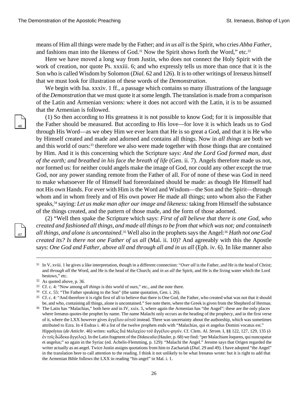[47](http://www.ccel.org/ccel/irenaeus/demonstr/png/0055=47.htm)

means of Him all things were made by the Father; and *in us all* is the Spirit, who cries *Abba Father*, and fashions man into the likeness of God.<sup>31</sup> Now the Spirit shows forth the Word," etc.<sup>32</sup>

Here we have moved a long way from Justin, who does not connect the Holy Spirit with the work of creation, nor quote [Ps. xxxiii. 6;](http://www.ccel.org/b/bible/asv/xml/asv.Ps.33.xml#Ps.33.6) and who expressly tells us more than once that it is the Son who is called Wisdom by Solomon (*Dial.* 62 and 126). It is to other writings of Irenæus himself that we must look for illustration of these words of the *Demonstration*.

We begin with [Isa. xxxiv. 1 ff.,](http://www.ccel.org/b/bible/asv/xml/asv.Isa.34.xml#Isa.34.1) a passage which contains so many illustrations of the language of the *Demonstration* that we must quote it at some length. The translation is made from a comparison of the Latin and Armenian versions: where it does not accord with the Latin, it is to be assumed that the Armenian is followed.

(1) So then according to His greatness it is not possible to know God; for it is impossible that the Father should be measured. But according to His love—for love it is which leads us to God through His Word—as we obey Him we ever learn that He is so great a God, and that it is He who by Himself created and made and adorned and contains all things. Now in *all things* are both we and this world of ours:<sup>33</sup> therefore we also were made together with those things that are contained by Him. And it is this concerning which the Scripture says: *And the Lord God formed man, dust of the earth; and breathed in his face the breath of life* ([Gen. ii. 7](http://www.ccel.org/b/bible/asv/xml/asv.Gen.2.xml#Gen.2.7)). Angels therefore made us not, nor formed us: for neither could angels make the image of God, nor could any other except the true God, nor any power standing remote from the Father of all. For of none of these was God in need to make whatsoever He of Himself had foreordained should be made: as though He Himself had not His own Hands. For ever with Him is the Word and Wisdom—the Son and the Spirit—through whom and in whom freely and of His own power He made all things; unto whom also the Father speaks,34 saying: *Let us make man after our image and likeness:* taking from Himself the substance of the things created, and the pattern of those made, and the form of those adorned.

(2) "Well then spake the Scripture which says: *First of all believe that there is one God, who created and fashioned all things, and made all things to be from that which was not; and containeth all things, and alone is uncontained*. <sup>35</sup> Well also in the prophets says the Angel:<sup>36</sup> *Hath not one God created its? Is there not one Father of us all* [\(Mal. ii. 10](http://www.ccel.org/b/bible/asv/xml/asv.Mal.2.xml#Mal.2.10))? And agreeably with this the Apostle says: *One God and Father, above all and through all and in us all* ([Eph. iv. 6\)](http://www.ccel.org/b/bible/asv/xml/asv.Eph.4.xml#Eph.4.6). In like manner also

<sup>31</sup> In V, xviii. 1 he gives a like interpretation, though in a different connection: "*Over all* is the Father, and He is the head of Christ; and *through all* the Word, and He is the head of the Church; and *in us all* the Spirit, and He is the living water which the Lord bestows," etc.

<sup>32</sup> As quoted above, p. 36.

<sup>33</sup> Cf. c. 4: "Now among *all things* is this world of ours," etc., and the note there.

<sup>34</sup> Cf. c. 55: "The Father speaking to the Son" (the same quotation, [Gen. i. 26](http://www.ccel.org/b/bible/asv/xml/asv.Gen.1.xml#Gen.1.26)).

<sup>&</sup>lt;sup>35</sup> Cf. c. 4: "And therefore it is right first of all to believe that there is One God, the Father, who created what was not that it should be, and who, containing all things, alone is uncontained." See note there, where the Greek is given from the Shepherd of Hermas.

<sup>36</sup> The Latin has "Malachias," both here and in IV, xxix. 5, where again the Armenian has "the Angel": these are the only places where Irenæus quotes the prophet by name. The name Malachi only occurs as the heading of the prophecy, and in the first verse of it, where the LXX however gives ἀγγέλου αὐτοῦ instead. There was uncertainty about the authorship, which was sometimes attributed to Ezra. In [4 Esdras i. 40](http://www.ccel.org/b/bible/asv/xml/asv...xml#..) a list of the twelve prophets ends with "Malachias, qui et angelus Domini vocatus est." Hippolytus (*de Antichr.* 46) writes: καθὼς διὰ Μαλαχίου τοῦ ἄγγέλου φησίν. Cf. Clem. Al. *Strom.* I, §§ 122, 127, 129, 135 (ὁ ἐν τοῖς δώδεκα ἄγγελος). In the Latin fragment of the *Didascalia* (Hauler, p. 68) we find: "per Malachiam loquens, qui nuncupatur et angelus;" so again in the Syriac (ed. Achelis-Flemming, p. 129): "Malachi the Angel." Jerome says that Origen regarded the writer actually as an angel. Twice Justin assigns quotations from him to Zachariah (*Dial.* 29 and 49). I have adopted "the Angel" in the translation here to call attention to the reading. I think it not unlikely to be what Irenæus wrote: but it is right to add that the Armenian Bible follows the LXX in reading "his angel" in [Mal. i. 1](http://www.ccel.org/b/bible/asv/xml/asv.Mal.1.xml#Mal.1.1).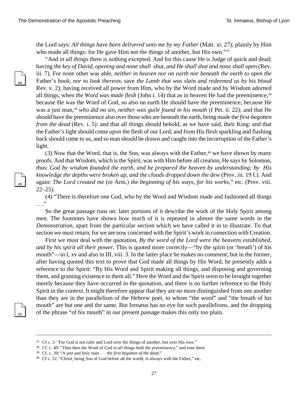[49](http://www.ccel.org/ccel/irenaeus/demonstr/png/0057=49.htm)

[50](http://www.ccel.org/ccel/irenaeus/demonstr/png/0058=50.htm)

the Lord says: *All things have been delivered unto me by my Father* ([Matt. xi. 27](http://www.ccel.org/b/bible/asv/xml/asv.Matt.11.xml#Matt.11.27)); plainly by Him who made all things: for He gave Him not the things of another, but His own."<sup>37</sup>

"And *in all things* there is nothing excepted. And for this cause He is Judge of quick and dead; having *the key of David, opening and none shall shut, and He shall shut and none shall open* ([Rev.](http://www.ccel.org/b/bible/asv/xml/asv.Rev.3.xml#Rev.3.7) [iii. 7](http://www.ccel.org/b/bible/asv/xml/asv.Rev.3.xml#Rev.3.7)). For none other was able, *neither in heaven nor on earth nor beneath the earth to open the* Father's *book, nor to look thereon*, save *the Lamb that was slain and redeemed us by his blood* [Rev. v. 2](http://www.ccel.org/b/bible/asv/xml/asv.Rev.5.xml#Rev.5.2)); having received all power from Him, who by the Word made and by Wisdom adorned all things, when *the Word was made flesh* [\(John i. 14\)](http://www.ccel.org/b/bible/asv/xml/asv.John.1.xml#John.1.14) that as in heaven He had the preeminence,<sup>38</sup> because He was the Word of God, so also on earth He should have the preeminence, because He was a just man,<sup>39</sup> *who did no sin, neither was guile found in his mouth* [\(I Pet. ii. 22](http://www.ccel.org/b/bible/asv/xml/asv.iPet.2.xml#iPet.2.22)); and that He should have the preeminence also over those who are beneath the earth, being made the *first-begotten from the dead* ([Rev. i. 5\)](http://www.ccel.org/b/bible/asv/xml/asv.Rev.1.xml#Rev.1.5): and that all things should behold, as we have said, their King: and that the Father's light should come upon the flesh of our Lord, and from His flesh sparkling and flashing back should come to us, and so man should be drawn and caught into the incorruption of the Father's light.

 $(3)$  Now that the Word, that is, the Son, was always with the Father,<sup>40</sup> we have shown by many proofs. And that Wisdom, which is the Spirit, was with Him before all creation, He says by Solomon, thus: *God by wisdom founded the earth, and he prepared the heaven by understanding: by His knowledge the depths were broken up, and the clouds dropped down the dew* ([Prov. iii. 19 f.\)](http://www.ccel.org/b/bible/asv/xml/asv.Prov.3.xml#Prov.3.19). And again: *The Lord created me* (*in* Arm.) *the beginning of his ways, for his works*," etc. ([Prov. viii.](http://www.ccel.org/b/bible/asv/xml/asv.Prov.8.xml#Prov.8.22)  $22 - 25$ ).

(4) "There is therefore one God, who by the Word and Wisdom made and fashioned all things . . .<sup>"</sup>

So the great passage runs on: later portions of it describe the work of the Holy Spirit among men. The footnotes have shown how much of it is repeated in almost the same words in the *Demonstration*, apart from the particular section which we have called it in to illustrate. To that section we must return; for we are now concerned with the Spirit's work in connection with Creation.

First we must deal with the quotation, *By the word of the Lord were the heavens established, and by his spirit all their power*. This is quoted more correctly—"by the spirit (or 'breath') of his mouth"—in I, xv and also in III, viii. 3. In the latter place he makes no comment; but in the former, after having quoted this text to prove that God made all things by His Word, he presently adds a reference to the Spirit: "By His Word and Spirit making all things, and disposing and governing them, and granting existence to them all." Here the Word and the Spirit seem to be brought together merely because they have occurred in the quotation, and there is no further reference to the Holy Spirit in the context. It might therefore appear that they are no more distinguished from one another than they are in the parallelism of the Hebrew poet, to whom "the word" and "the breath of his mouth" are but one and the same. But Irenæus has no eye for such parallelisms, and the dropping of the phrase "of his mouth" in our present passage makes this only too plain.

<sup>37</sup> Cf c. 3: "For God is not ruler and Lord over the things of another, but over His own."

<sup>38</sup> Cf. c. 40: "Thus then the Word of God *in all things hath the preeminence*," and note there

<sup>39</sup> Cf. c. 39: "A just and holy man . . . *the first begotten of the dead*."

<sup>40</sup> Cf c. 52: "Christ, being Son of God before all the world, is always with the Father," etc.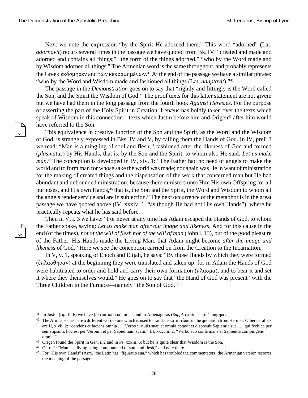[52](http://www.ccel.org/ccel/irenaeus/demonstr/png/0060=52.htm)

Next we note the expression "by the Spirit He adorned them." This word "adorned" (Lat. *adornavit*) recurs several times in the passage we have quoted from Bk. IV: "created and made and adorned and contains all things;" "the form of the things adorned," "who by the Word made and by Wisdom adorned all things." The Armenian word is the same throughout, and probably represents the Greek ἐκόσμησεν and τῶν κεκοσμημένων. <sup>41</sup> At the end of the passage we have a similar phrase: "who by the Word and Wisdom made and fashioned all things (Lat. *adaptavit*)."<sup>42</sup>

The passage in the *Demonstration* goes on to say that "rightly and fittingly is the Word called the Son, and the Spirit the Wisdom of God." The proof texts for this latter statement are not given: but we have had them in the long passage from the fourth book *Against Heresies*. For the purpose of asserting the part of the Holy Spirit in Creation, Irenæus has boldly taken over the texts which speak of Wisdom in this connection—texts which Justin before him and Origen<sup>43</sup> after him would have referred to the Son.

This equivalence in creative function of the Son and the Spirit, as the Word and the Wisdom of God, is strangely expressed in Bks. IV and V, by calling them the Hands of God. In IV, pref. 3 we read: "Man is a mingling of soul and flesh,<sup>44</sup> fashioned after the likeness of God and formed (*plasmatus*) by His Hands, that is, by the Son and the Spirit, to whom also He said: *Let us make man*." The conception is developed in IV, xiv. 1: "The Father had no need of angels to make the world and to form man for whose sake the world was made; nor again was He in want of ministration for the making of created things and the dispensation of the work that concerned man but He had abundant and unbounded ministration; because there ministers unto Him His own Offspring for all purposes, and His own Hands,<sup>45</sup> that is, the Son and the Spirit, the Word and Wisdom to whom all the angels render service and are in subjection." The next occurrence of the metaphor is in the great passage we have quoted above (IV, xxxiv. 1, "as though He had not His own Hands"), where he practically repeats what he has said before.

Then in V, i. 3 we have: "For never at any time has Adam escaped the Hands of God, to whom the Father spake, saying: *Let us make man after our image and likeness*. And for this cause in the end (of the times), *not of the will of flesh nor of the will of man* [\(John i. 13](http://www.ccel.org/b/bible/asv/xml/asv.John.1.xml#John.1.13)), but of the good pleasure of the Father, His Hands made the Living Man, that Adam might become *after the image and likeness* of God." Here we see the conception carried on from the Creation to the Incarnation.

In V, v. 1, speaking of Enoch and Elijah, he says: "By those Hands by which they were formed (ἐπλάσθησαν) at the beginning they were translated and taken up: for in Adam the Hands of God were habituated to order and hold and carry their own formation (πλάσμα), and to bear it and set it where they themselves would." He goes on to say that "the Hand of God was present "with the Three Children in the Furnace—namely "the Son of God."

<sup>41</sup> In Justin (*Ap.* II, 6) we have (ἔκτισε καὶ ἐκόσμησε, and in Athenagoras (*Suppl.* ἐποίησε καὶ ἐκόσμησε.

<sup>&</sup>lt;sup>42</sup> The Arm. also has here a different word—one which is used to translate καταρτίσας in the quotation from Hermas. Other parallels are II, xlvii. 2: "condens et faciens omnia . . . Verbo virtutis suæ; et omnia aptavit et disposuit Sapientia sua . . . qui fecit ea per semetipsum, hoc est per Verbum et per Sapientiam suam: "III, xxxviii. 2: "Verbo suo confirmans et Sapientia compingens omnia."

<sup>43</sup> Origen found the Spirit in [Gen. i. 2](http://www.ccel.org/b/bible/asv/xml/asv.Gen.1.xml#Gen.1.2) and in [Ps. xxxiii. 6](http://www.ccel.org/b/bible/asv/xml/asv.Ps.33.xml#Ps.33.6): but he is quite clear that Wisdom is the Son.

<sup>44</sup> Cf. c. 2: "Man is a living being compounded of soul and flesh," and note there.

<sup>45</sup> For "His own Hands" (Arm.) the Latin has "figuratio sua," which has troubled the commentators: the Armenian version restores the meaning of the passage.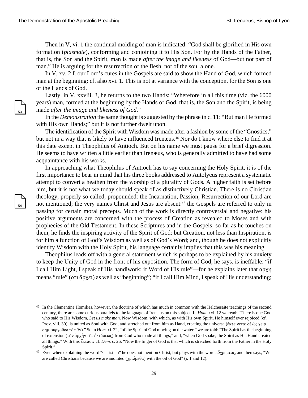Then in V, vi. 1 the continual molding of man is indicated: "God shall be glorified in His own formation (*plasmate*), conforming and conjoining it to His Son. For by the Hands of the Father, that is, the Son and the Spirit, man is made *after the image and likeness* of God—but not part of man." He is arguing for the resurrection of the flesh, not of the soul alone.

In V, xv. 2 f. our Lord's cures in the Gospels are said to show the Hand of God, which formed man at the beginning: cf. also xvi. 1. This is not at variance with the conception, for the Son is one of the Hands of God.

Lastly, in V, xxviii. 3, he returns to the two Hands: "Wherefore in all this time (viz. the 6000 years) man, formed at the beginning by the Hands of God, that is, the Son and the Spirit, is being made *after the image and likeness of God*."

In the *Demonstration* the same thought is suggested by the phrase in c. 11: "But man He formed with His own Hands;" but it is not further dwelt upon.

The identification of the Spirit with Wisdom was made after a fashion by some of the "Gnostics," but not in a way that is likely to have influenced Irenæus.46 Nor do I know where else to find it at this date except in Theophilus of Antioch. But on his name we must pause for a brief digression. He seems to have written a little earlier than Irenæus, who is generally admitted to have had some acquaintance with his works.

In approaching what Theophilus of Antioch has to say concerning the Holy Spirit, it is of the first importance to bear in mind that his three books addressed to Autolycus represent a systematic attempt to convert a heathen from the worship of a plurality of Gods. A higher faith is set before him, but it is not what we today should speak of as distinctively Christian. There is no Christian theology, properly so called, propounded: the Incarnation, Passion, Resurrection of our Lord are not mentioned; the very names Christ and Jesus are absent:<sup>47</sup> the Gospels are referred to only in passing for certain moral precepts. Much of the work is directly controversial and negative: his positive arguments are concerned with the process of Creation as revealed to Moses and with prophecies of the Old Testament. In these Scriptures and in the Gospels, so far as he touches on them, he finds the inspiring activity of the Spirit of God: but Creation, not less than Inspiration, is for him a function of God's Wisdom as well as of God's Word; and, though he does not explicitly identify Wisdom with the Holy Spirit, his language certainly implies that this was his meaning.

Theophilus leads off with a general statement which is perhaps to be explained by his anxiety to keep the Unity of God in the front of his exposition. The form of God, he says, is ineffable: "if I call Him Light, I speak of His handiwork; if Word of His rule"—for he explains later that ἀρχὴ means "rule" (ὅτι ἄρχει) as well as "beginning"; "if I call Him Mind, I speak of His understanding;

[53](http://www.ccel.org/ccel/irenaeus/demonstr/png/0061=53.htm)

<sup>46</sup> In the Clementine Homilies, however, the doctrine of which has much in common with the Helchesaite teachings of the second century, there are some curious parallels to the language of Irenæus on this subject. In *Hom.* xvi. 12 we read: "There is one God who said to His Wisdom, *Let us make man*. Now Wisdom, with which, as with His own Spirit, He himself ever rejoiced (cf. [Prov. viii. 30](http://www.ccel.org/b/bible/asv/xml/asv.Prov.8.xml#Prov.8.30)), is united as Soul with God, and stretched out from him as Hand, creating the universe (ἐκτείνετα: δὲ ὡς χεὶρ δημιουργοῦσα τὸ πᾶν)." So in *Hom.* xi. 22, "of the Spirit of God moving on the water," we are told: "The Spirit has the beginning of extension (τὴν ἀρχὴν τῆς ἐκτάσεως) from God who made all things;" and, "when God spake, the Spirit as His Hand created all things." With this ἔκτασις cf. *Dem.* c. 26: "Now the finger of God is that which is stretched forth from the Father in the Holy Spirit."

<sup>&</sup>lt;sup>47</sup> Even when explaining the word "Christian" he does not mention Christ, but plays with the word εὔχρηστος, and then says, "We are called Christians because we are anointed (χριόμεθα) with the oil of God" (i. 1 and 12).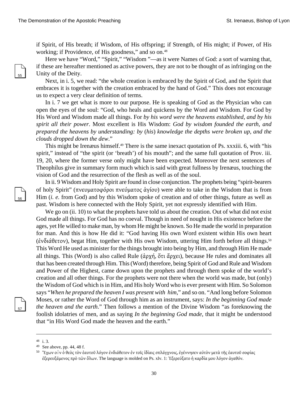[56](http://www.ccel.org/ccel/irenaeus/demonstr/png/0064=56.htm)

[57](http://www.ccel.org/ccel/irenaeus/demonstr/png/0065=57.htm)

if Spirit, of His breath; if Wisdom, of His offspring; if Strength, of His might; if Power, of His working; if Providence, of His goodness," and so on.<sup>48</sup>

Here we have "Word," "Spirit," "Wisdom "—as it were Names of God: a sort of warning that, if these are hereafter mentioned as active powers, they are not to be thought of as infringing on the Unity of the Deity.

Next, in i. 5, we read: "the whole creation is embraced by the Spirit of God, and the Spirit that embraces it is together with the creation embraced by the hand of God." This does not encourage us to expect a very clear definition of terms.

In i. 7 we get what is more to our purpose. He is speaking of God as the Physician who can open the eyes of the soul: "God, who heals and quickens by the Word and Wisdom. For God by His Word and Wisdom made all things. For *by his word were the heavens established, and by his spirit all their power*. Most excellent is His Wisdom: *God by wisdom founded the earth, and prepared the heavens by understanding: by* (*his*) *knowledge the depths were broken up, and the clouds dropped down the dew*."

This might be Irenæus himself.<sup>49</sup> There is the same inexact quotation of [Ps. xxxiii. 6,](http://www.ccel.org/b/bible/asv/xml/asv.Ps.33.xml#Ps.33.6) with "his spirit," instead of "the spirit (or 'breath') of his mouth"; and the same full quotation of [Prov. iii.](http://www.ccel.org/b/bible/asv/xml/asv.Prov.3.xml#Prov.3.19 Bible:Prov.3.20) [19, 20,](http://www.ccel.org/b/bible/asv/xml/asv.Prov.3.xml#Prov.3.19 Bible:Prov.3.20) where the former verse only might have been expected. Moreover the next sentences of Theophilus give in summary form much which is said with great fullness by Irenæus, touching the vision of God and the resurrection of the flesh as well as of the soul.

In ii. 9 Wisdom and Holy Spirit are found in close conjunction. The prophets being "spirit-bearers of holy Spirit" (πνευματοφόροι πνεύματος ἁγίου) were able to take in the Wisdom that is from Him (*i. e.* from God) and by this Wisdom spoke of creation and of other things, future as well as past. Wisdom is here connected with the Holy Spirit, yet not expressly identified with Him.

We go on (ii. 10) to what the prophets have told us about the creation. Out of what did not exist God made all things. For God has no coeval. Though in need of nought in His existence before the ages, yet He willed to make man, by whom He might be known. So He made the world in preparation for man. And this is how He did it: "God having His own Word existent within His own heart (ἐνδιάθετον), begat Him, together with His own Wisdom, uttering Him forth before all things.<sup>50</sup> This Word He used as minister for the things brought into being by Him, and through Him He made all things. This (Word) is also called Rule (ἀρχή, ὅτι ἄρχει), because He rules and dominates all that has been created through Him. This (Word) therefore, being Spirit of God and Rule and Wisdom and Power of the Highest, came down upon the prophets and through them spoke of the world's creation and all other things. For the prophets were not there when the world was made, but (only) the Wisdom of God which is in Him, and His holy Word who is ever present with Him. So Solomon says "*When he prepared the heaven I was present with him*," and so on. "And long before Solomon Moses, or rather the Word of God through him as an instrument, says: *In the beginning God made the heaven and the earth*." Then follows a mention of the Divine Wisdom "as foreknowing the foolish idolatries of men, and as saying *In the beginning God made*, that it might be understood that "in His Word God made the heaven and the earth."

<sup>48</sup> i. 3.

<sup>49</sup> See above, pp. 44, 48 f.

<sup>&</sup>lt;sup>50</sup> Ἔχων οὖν ὁ θεὸς τὸν ἑαυτοῦ λόγον ἐνδιάθετον ἐν τοῖς ἰδίαις σπλάγχνοις, ἐγέννησεν αὐτὸν μετὰ τῆς ἑαυτοῦ σοφίας ἐξερευξάμενος πρὸ τῶν ὅλων. The language is molded on [Ps. xlv. 1](http://www.ccel.org/b/bible/asv/xml/asv.Ps.45.xml#Ps.45.11): Ἐξερεύξατο ἡ καρδία μου λόγον ἀγαθόν.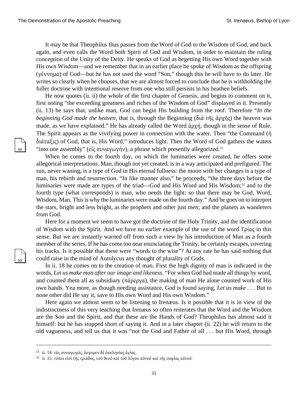[59](http://www.ccel.org/ccel/irenaeus/demonstr/png/0067=59.htm)

It may be that Theophilus thus passes from the Word of God to the Wisdom of God, and back again, and even calls the Word both Spirit of God and Wisdom, in order to maintain the ruling conception of the Unity of the Deity. He speaks of God as begetting His own Word together with His own Wisdom—and we remember that in an earlier place he spoke of Wisdom as the offspring (γέννημα) of God—but he has not used the word "Son," though this he will have to do later. He writes so clearly when he chooses, that we are almost forced to conclude that he is withholding the fuller doctrine with intentional reserve from one who still persists in his heathen beliefs.

He now quotes (ii. ii) the whole of the first chapter of Genesis, and begins to comment on it, first noting "the exceeding greatness and riches of the Wisdom of God" displayed in it. Presently (ii. 13) he says that, unlike man, God can begin His building from the roof. Therefore "*In the beginning God made the heaven*, that is, through the Beginning (διὰ τῆς ἀρχῆς) the heaven was made, as we have explained." He has already called the Word ἀρχή, though in the sense of Rule. The Spirit appears as the vivifying power in connection with the water. Then "the Command (ἡ διάταξις) of God, that is, His Word," introduces light. Then the Word of God gathers the waters "into one assembly" (είς συναγωγήν), a phrase which presently allegorized.<sup>51</sup>

When he comes to the fourth day, on which the luminaries were created, he offers some allegorical interpretations. Man, though not yet created, is in a way anticipated and prefigured. The sun, never waning, is a type of God in His eternal fullness: the moon with her changes is a type of man, his rebirth and resurrection. "In like manner also," he proceeds, "the three days before the luminaries were made are types of the triad—God and His Word and His Wisdom;<sup>52</sup> and to the fourth type (what corresponds) is man, who needs the light: so that there may be God, Word, Wisdom, Man. This is why the luminaries were made on the fourth day." And he goes on to interpret the stars, bright and less bright, as the prophets and other just men; and the planets as wanderers from God.

Here for a moment we seem to have got the doctrine of the Holy Trinity, and the identification of Wisdom with the Spirit. And we have no earlier example of the use of the word Τρίας in this sense. But we are instantly warned off from such a view by his introduction of Man as a fourth member of the series. If he has come too near enunciating the Trinity, he certainly escapes, covering his tracks. Is it possible that these were "words to the wise"? At any rate he has said nothing that could raise in the mind of Autolycus any thought of plurality of Gods.

In ii. 18 he comes on to the creation of man. First the high dignity of man is indicated in the words, *Let us make man after our image and likeness*. "For when God had made all things by word, and counted them all as subsidiary ( $\pi\acute{\alpha}$ ρεργα), the making of man He alone counted work of His own hands. Yea more, as though needing assistance, God is found saying, *Let us make . . .* But to none other did He say it, save to His own Word and His own Wisdom."

Here again we almost seem to be listening to Irenæus. Is it possible that it is in view of the indistinctness of this very teaching that Irenæus so often reiterates that the Word and the Wisdom are the Son and the Spirit, and that these are the Hands of God? Theophilus has almost said it himself: but he has stopped short of saying it. And in a later chapter (ii. 22) he will return to the old vagueness, and tell us that it was "not the God and Father of all . . . but His Word, through

<sup>51</sup> ii. 14: τὰς συναγωγάς, λεγομεν δὲ ἐκκλησίας ἁγίας.

<sup>&</sup>lt;sup>52</sup> ii. 15: τύποι είσὶ τῆς τριάδος, τοῦ θεοῦ καὶ τοῦ λόγου αὐτοῦ καὶ τῆς σοφίας αὐτοῦ.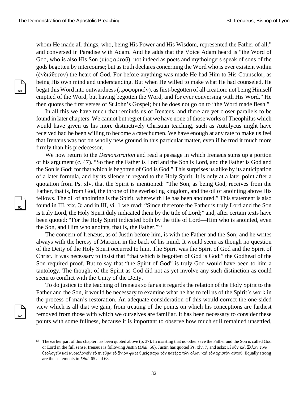[61](http://www.ccel.org/ccel/irenaeus/demonstr/png/0069=61.htm)

[62](http://www.ccel.org/ccel/irenaeus/demonstr/png/0070=62.htm)

whom He made all things, who, being His Power and His Wisdom, represented the Father of all," and conversed in Paradise with Adam. And he adds that the Voice Adam heard is "the Word of God, who is also His Son (υἱός αὐτοῦ): not indeed as poets and mythologers speak of sons of the gods begotten by intercourse; but as truth declares concerning the Word who is ever existent within (ἐνδιάθετον) the heart of God. For before anything was made He had Him to His Counselor, as being His own mind and understanding. But when He willed to make what He had counseled, He begat this Word into outwardness (προφορικόν), as first-begotten of all creation: not being Himself emptied of the Word, but having begotten the Word, and for ever conversing with His Word." He then quotes the first verses of St John's Gospel; but he does not go on to "the Word made flesh."

In all this we have much that reminds us of Irenæus, and there are yet closer parallels to be found in later chapters. We cannot but regret that we have none of those works of Theophilus which would have given us his more distinctively Christian teaching, such as Autolycus might have received had he been willing to become a catechumen. We have enough at any rate to make us feel that Irenæus was not on wholly new ground in this particular matter, even if he trod it much more firmly than his predecessor.

We now return to the *Demonstration* and read a passage in which Irenæus sums up a portion of his argument (c. 47). "So then the Father is Lord and the Son is Lord, and the Father is God and the Son is God: for that which is begotten of God is God." This surprises us alike by its anticipation of a later formula, and by its silence in regard to the Holy Spirit. It is only at a later point after a quotation from [Ps. xlv,](http://www.ccel.org/b/bible/asv/xml/asv.Ps..xml#Ps..) that the Spirit is mentioned: "The Son, as being God, receives from the Father, that is, from God, the throne of the everlasting kingdom, and the oil of anointing above His fellows. The oil of anointing is the Spirit, wherewith He has been anointed." This statement is also found in III, xix. 3: and in III, vi. 1 we read: "Since therefore the Father is truly Lord and the Son is truly Lord, the Holy Spirit duly indicated them by the title of Lord;" and, after certain texts have been quoted: "For the Holy Spirit indicated both by the title of Lord—Him who is anointed, even the Son, and Him who anoints, that is, the Father."<sup>53</sup>

The concern of Irenæus, as of Justin before him, is with the Father and the Son; and he writes always with the heresy of Marcion in the back of his mind. It would seem as though no question of the Deity of the Holy Spirit occurred to him. The Spirit was the Spirit of God and the Spirit of Christ. It was necessary to insist that "that which is begotten of God is God:" the Godhead of the Son required proof. But to say that "the Spirit of God" is truly God would have been to him a tautology. The thought of the Spirit as God did not as yet involve any such distinction as could seem to conflict with the Unity of the Deity.

To do justice to the teaching of Irenæus so far as it regards the relation of the Holy Spirit to the Father and the Son, it would be necessary to examine what he has to tell us of the Spirit's work in the process of man's restoration. An adequate consideration of this would correct the one-sided view which is all that we gain, from treating of the points on which his conceptions are farthest removed from those with which we ourselves are familiar. It has been necessary to consider these points with some fullness, because it is important to observe how much still remained unsettled,

<sup>53</sup> The earlier part of this chapter has been quoted above (p. 37). In insisting that no other save the Father and the Son is called God or Lord in the full sense, Irenæus is following Justin (*Dial.* 56). Justin has quoted [Ps. xlv. 7,](http://www.ccel.org/b/bible/asv/xml/asv.Ps.45.xml#Ps.45.7) and asks: Εἰ οὖν καὶ ἄλλον τινὰ θεολογεῖν καὶ κυριολογεῖν τὸ πνεῦμα τὸ ἅγιόν φατε ὑμεῖς παρὰ τὸν πατέρα τῶν ὅλων καὶ τὸν χριστὸν αὐτοῦ. Equally strong are the statements in *Dial.* 65 and 68.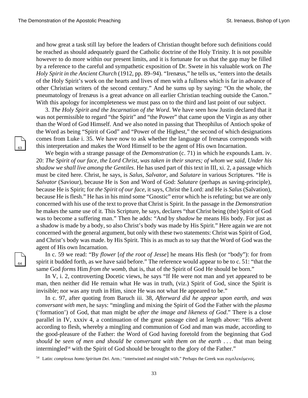[64](http://www.ccel.org/ccel/irenaeus/demonstr/png/0072=64.htm)

and how great a task still lay before the leaders of Christian thought before such definitions could be reached as should adequately guard the Catholic doctrine of the Holy Trinity. It is not possible however to do more within our present limits, and it is fortunate for us that the gap may be filled by a reference to the careful and sympathetic exposition of Dr. Swete in his valuable work on *The Holy Spirit in the Ancient Church* (1912, pp. 89–94). "Irenæus," he tells us, "enters into the details of the Holy Spirit's work on the hearts and lives of men with a fullness which is far in advance of other Christian writers of the second century." And he sums up by saying: "On the whole, the pneumatology of Irenæus is a great advance on all earlier Christian teaching outside the Canon." With this apology for incompleteness we must pass on to the third and last point of our subject.

3. *The Holy Spirit and the Incarnation of the Word*. We have seen how Justin declared that it was not permissible to regard "the Spirit" and "the Power" that came upon the Virgin as any other than the Word of God Himself. And we also noted in passing that Theophilus of Antioch spoke of the Word as being "Spirit of God" and "Power of the Highest," the second of which designations comes from [Luke i. 35.](http://www.ccel.org/b/bible/asv/xml/asv.Luke.1.xml#Luke.1.35) We have now to ask whether the language of Irenæus corresponds with this interpretation and makes the Word Himself to be the agent of His own Incarnation.

We begin with a strange passage of the *Demonstration* (c. 71) in which he expounds [Lam. iv.](http://www.ccel.org/b/bible/asv/xml/asv.Lam.4.xml#Lam.4.20) [20](http://www.ccel.org/b/bible/asv/xml/asv.Lam.4.xml#Lam.4.20): *The Spirit of our face, the Lord Christ, was taken in their snares; of whom we said, Under his shadow we shall live among the Gentiles*. He has used part of this text in III, xi. 2, a passage which must be cited here. Christ, he says, is *Salus*, *Salvator*, and *Salutare* in various Scriptures. "He is *Salvator* (Saviour), because He is Son and Word of God: *Salutare* (perhaps as saving-principle), because He is Spirit; for *the Spirit of our face*, it says, Christ the Lord: and He is *Salus* (Salvation), because He is flesh." He has in his mind some "Gnostic" error which he is refuting; but we are only concerned with his use of the text to prove that Christ is Spirit. In the passage in the *Demonstration* he makes the same use of it. This Scripture, he says, declares "that Christ being (the) Spirit of God was to become a suffering man." Then he adds: "And by *shadow* he means His body. For just as a shadow is made by a body, so also Christ's body was made by His Spirit." Here again we are not concerned with the general argument, but only with these two statements: Christ was Spirit of God, and Christ's body was made. by His Spirit. This is as much as to say that the Word of God was the agent of His own Incarnation.

In c. 59 we read: "By *flower* [*of the root of Jesse*] he means His flesh (or "body"): for from spirit it budded forth, as we have said before." The reference would appear to be to c. 51: "that the same God *forms* Him *from the womb*, that is, that of the Spirit of God He should be born."

In V, i. 2, controverting Docetic views, he says "If He were not man and yet appeared to be man, then neither did He remain what He was in truth, (viz.) Spirit of God, since the Spirit is invisible; nor was any truth in Him, since He was not what He appeared to be."

In c. 97, after quoting from [Baruch iii. 38,](http://www.ccel.org/b/bible/asv/xml/asv.Bar.3.xml#Bar.3.38) *Afterward did he appear upon earth, and was conversant with men*, he says: "mingling and mixing the Spirit of God the Father with the *plasma* ('formation') of God, that man might be *after the image and likeness of God*." There is a close parallel in IV, xxxiv 4, a continuation of the great passage cited at length above: "His advent according to flesh, whereby a mingling and communion of God and man was made, according to the good-pleasure of the Father: the Word of God having foretold from the beginning that God *should be seen of men and should be conversant with them on the earth . . .* that man being intermingled<sup>54</sup> with the Spirit of God should be brought to the glory of the Father."

<sup>54</sup> Latin: *complexus homo Spiritum Dei.* Arm.: "intertwined and mingled with." Perhaps the Greek was συμπλεκόμενος.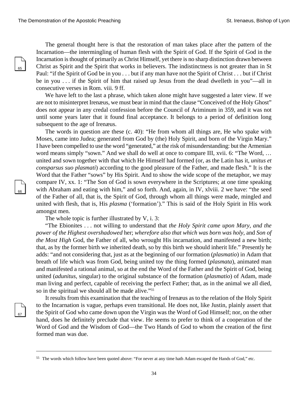[66](http://www.ccel.org/ccel/irenaeus/demonstr/png/0074=66.htm)

[67](http://www.ccel.org/ccel/irenaeus/demonstr/png/0075=67.htm)

The general thought here is that the restoration of man takes place after the pattern of the Incarnation—the intermingling of human flesh with the Spirit of God. If the Spirit of God in the Incarnation is thought of primarily as Christ Himself, yet there is no sharp distinction drawn between Christ as Spirit and the Spirit that works in believers. The indistinctness is not greater than in St Paul: "if the Spirit of God be in you . . . but if any man have not the Spirit of Christ . . . but if Christ be in you . . . if the Spirit of him that raised up Jesus from the dead dwelleth in you"—all in consecutive verses in [Rom. viii. 9 ff.](http://www.ccel.org/b/bible/asv/xml/asv.Rom.8.xml#Rom.8.9)

We have left to the last a phrase, which taken alone might have suggested a later view. If we are not to misinterpret Irenæus, we must bear in mind that the clause "Conceived of the Holy Ghost" does not appear in any credal confession before the Council of Ariminum in 359, and it was not until some years later that it found final acceptance. It belongs to a period of definition long subsequent to the age of Irenæus.

The words in question are these (c. 40): "He from whom all things are, He who spake with Moses, came into Judea; generated from God by (the) Holy Spirit, and born of the Virgin Mary." I have been compelled to use the word "generated," at the risk of misunderstanding: but the Armenian word means simply "sown." And we shall do well at once to compare III, xvii. 6: "The Word, ... united and sown together with that which He Himself had formed (or, as the Latin has it, *unitus et consparsus suo plasmati*) according to the good pleasure of the Father, and made flesh." It is the Word that the Father "sows" by His Spirit. And to show the wide scope of the metaphor, we may compare IV, xx. 1: "The Son of God is sown everywhere in the Scriptures; at one time speaking with Abraham and eating with him," and so forth. And, again, in IV, xlviii. 2 we have: "the seed of the Father of all, that is, the Spirit of God, through whom all things were made, mingled and united with flesh, that is, His *plasma* ('formation')." This is said of the Holy Spirit in His work amongst men.

The whole topic is further illustrated by V, i. 3:

"The Ebionites . . . not willing to understand that *the Holy Spirit came upon Mary, and the power of the Highest overshadowed* her; *wherefore also that which was born was holy*, and *Son of the Most High* God, the Father of all, who wrought His incarnation, and manifested a new birth; that, as by the former birth we inherited death, so by this birth we should inherit life." Presently he adds: "and not considering that, just as at the beginning of our formation (*plasmatio*) in Adam that breath of life which was from God, being united toy the thing formed (*plasmata*), animated man and manifested a rational animal, so at the end the Word of the Father and the Spirit of God, being united (*adunitus*, singular) to the original substance of the formation (*plasmatio*) of Adam, made man living and perfect, capable of receiving the perfect Father; that, as in the animal we all died, so in the spiritual we should all be made alive."<sup>55</sup>

It results from this examination that the teaching of Irenæus as to the relation of the Holy Spirit to the Incarnation is vague, perhaps even transitional. He does not, like Justin, plainly assert that the Spirit of God who came down upon the Virgin was the Word of God Himself; nor, on the other hand, does he definitely preclude that view. He seems to prefer to think of a cooperation of the Word of God and the Wisdom of God—the Two Hands of God to whom the creation of the first formed man was due.

<sup>55</sup> The words which follow have been quoted above: "For never at any time hath Adam escaped the Hands of God," etc.

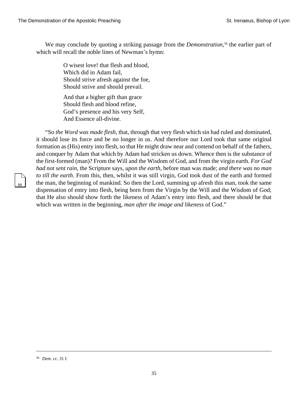We may conclude by quoting a striking passage from the *Demonstration*, <sup>56</sup> the earlier part of which will recall the noble lines of Newman's hymn:

> O wisest love! that flesh and blood, Which did in Adam fail, Should strive afresh against the foe, Should strive and should prevail.

And that a higher gift than grace Should flesh and blood refine, God's presence and his very Self, And Essence all-divine.

"So *the Word was made flesh*, that, through that very flesh which sin had ruled and dominated, it should lose its force and be no longer in us. And therefore our Lord took that same original formation as (His) entry into flesh, so that He might draw near and contend on behalf of the fathers, and conquer by Adam that which by Adam had stricken us down. Whence then is the substance of the first-formed (man)? From the Will and the Wisdom of God, and from the virgin earth. *For God had not sent rain*, the Scripture says, *upon the earth*, before man was made; *and there was no man to till the earth*. From this, then, whilst it was still virgin, God took dust of the earth and formed the man, the beginning of mankind. So then the Lord, summing up afresh this man, took the same dispensation of entry into flesh, being born from the Virgin by the Will and the Wisdom of God; that He also should show forth the likeness of Adam's entry into flesh, and there should be that which was written in the beginning, *man after the image and likeness* of God."

<sup>56</sup> *Dem.* cc. 31 f.

[68](http://www.ccel.org/ccel/irenaeus/demonstr/png/0076=68.htm)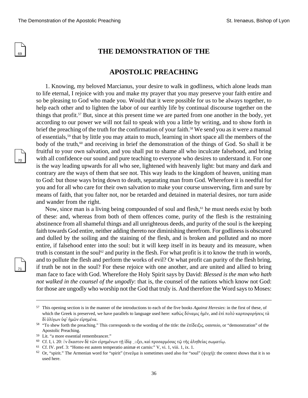[71](http://www.ccel.org/ccel/irenaeus/demonstr/png/0079=71.htm)

## [69](http://www.ccel.org/ccel/irenaeus/demonstr/png/0077=69.htm) **THE DEMONSTRATION OF THE**

## **APOSTOLIC PREACHING**

1. Knowing, my beloved Marcianus, your desire to walk in godliness, which alone leads man to life eternal, I rejoice with you and make my prayer that you may preserve your faith entire and so be pleasing to God who made you. Would that it were possible for us to be always together, to help each other and to lighten the labor of our earthly life by continual discourse together on the things that profit.57 But, since at this present time we are parted from one another in the body, yet according to our power we will not fail to speak with you a little by writing, and to show forth in brief the preaching of the truth for the confirmation of your faith.<sup>58</sup> We send you as it were a manual of essentials,59 that by little you may attain to much, learning in short space all the members of the body of the truth, $60$  and receiving in brief the demonstration of the things of God. So shall it be fruitful to your own salvation, and you shall put to shame all who inculcate falsehood, and bring with all confidence our sound and pure teaching to everyone who desires to understand it. For one is the way leading upwards for all who see, lightened with heavenly light: but many and dark and contrary are the ways of them that see not. This way leads to the kingdom of heaven, uniting man to God: but those ways bring down to death, separating man from God. Wherefore it is needful for you and for all who care for their own salvation to make your course unswerving, firm and sure by means of faith, that you falter not, nor be retarded and detained in material desires, nor turn aside and wander from the right.

Now, since man is a living being compounded of soul and flesh,<sup>61</sup> he must needs exist by both of these: and, whereas from both of them offences come, purity of the flesh is the restraining abstinence from all shameful things and all unrighteous deeds, and purity of the soul is the keeping faith towards God entire, neither adding thereto nor diminishing therefrom. For godliness is obscured and dulled by the soiling and the staining of the flesh, and is broken and polluted and no more entire, if falsehood enter into the soul: but it will keep itself in its beauty and its measure, when truth is constant in the soul<sup>62</sup> and purity in the flesh. For what profit is it to know the truth in words, and to pollute the flesh and perform the works of evil? Or what profit can purity of the flesh bring, if truth be not in the soul? For these rejoice with one another, and are united and allied to bring man face to face with God. Wherefore the Holy Spirit says by David: *Blessed is the man who hath not walked in the counsel of the ungodly*: that is, the counsel of the nations which know not God: for those are ungodly who worship not the God that truly is. And therefore the Word says to Moses:

<sup>57</sup> This opening section is in the manner of the introductions to each of the five books *Against Heresies*: in the first of these, of which the Greek is preserved, we have parallels to language used here: καθὼς δύναμις ἡμῖν, and ἐπὶ πολὺ καρποφορήσεις τὰ δἰ ὀλίγων ὑφ᾽ ἡμῶν εἰρημένα.

<sup>58</sup> "To shew forth the preaching." This corresponds to the wording of the title: the ἐπίδειξις, *ostensio*, or "demonstration" of the Apostolic Preaching.

<sup>59</sup> Lit. "a more essential remembrancer."

<sup>&</sup>lt;sup>60</sup> Cf. I, i. 20: ἕν ἕκαστον δὲ τῶν εὶρημένων τῇ ἰδίφ \_αξει, καὶ προσαρμόσας τῷ τῆς ἀληθείας σωματίῳ.

<sup>61</sup> Cf. IV. pref. 3: "Homo est autem temperatio animæ et carnis:" V, vi. 1, viii. 1, ix. 1.

<sup>&</sup>lt;sup>62</sup> Or, "spirit." The Armenian word for "spirit" (πνεῦμα is sometimes used also for "soul" (ψυχή): the context shows that it is so used here.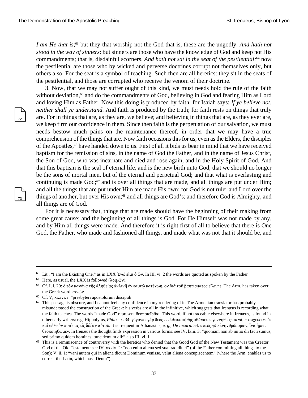*I am He that is*;<sup>63</sup> but they that worship not the God that is, these are the ungodly. *And hath not stood in the way of sinners*: but sinners are those who have the knowledge of God and keep not His commandments; that is, disdainful scorners. *And hath not sat in the seat of the pestilential:*64 now the pestilential are those who by wicked and perverse doctrines corrupt not themselves only, but others also. For the seat is a symbol of teaching. Such then are all heretics: they sit in the seats of the pestilential, and those are corrupted who receive the venom of their doctrine.

[72](http://www.ccel.org/ccel/irenaeus/demonstr/png/0080=72.htm)

[73](http://www.ccel.org/ccel/irenaeus/demonstr/png/0081=73.htm)

3. Now, that we may not suffer ought of this kind, we must needs hold the rule of the faith without deviation,<sup>65</sup> and do the commandments of God, believing in God and fearing Him as Lord and loving Him as Father. Now this doing is produced by faith: for Isaiah says: *If ye believe not, neither shall ye understand.* And faith is produced by the truth; for faith rests on things that truly are. For in things that are, as they are, we believe; and believing in things that are, as they ever are, we keep firm our confidence in them. Since then faith is the perpetuation of our salvation, we must needs bestow much pains on the maintenance thereof, in order that we may have a true comprehension of the things that are. Now faith occasions this for us; even as the Elders, the disciples of the Apostles,<sup>66</sup> have handed down to us. First of all it bids us bear in mind that we have received baptism for the remission of sins, in the name of God the Father, and in the name of Jesus Christ, the Son of God, who was incarnate and died and rose again, and in the Holy Spirit of God. And that this baptism is the seal of eternal life, and is the new birth unto God, that we should no longer be the sons of mortal men, but of the eternal and perpetual God; and that what is everlasting and continuing is made  $God;<sup>67</sup>$  and is over all things that are made, and all things are put under Him; and all the things that are put under Him are made His own; for God is not ruler and Lord over the things of another, but over His own;<sup>68</sup> and all things are God's; and therefore God is Almighty, and all things are of God.

For it is necessary that, things that are made should have the beginning of their making from some great cause; and the beginning of all things is God. For He Himself was not made by any, and by Him all things were made. And therefore it is right first of all to believe that there is One God, the Father, who made and fashioned all things, and made what was not that it should be, and

<sup>&</sup>lt;sup>63</sup> Lit., "I am the Existing One," as in LXX Ἐγώ εἰμι ὁ ὥν. In III, vi. 2 the words are quoted as spoken by the Father

<sup>&</sup>lt;sup>64</sup> Here, as usual, the LXX is followed (λοιμῶν).

<sup>65</sup> Cf. I, i. 20: ὁ τὸν κανόνα τῆς ἀληθείας ἀκλινῆ ἐν ἑαυτῷ κατέχωη, ὃν διὰ τοῦ βαπτίσματος εἴληφε. The Arm. has taken over the Greek word κανών.

<sup>66</sup> Cf. V, xxxvi. i: "presbyteri apostolorum discipuli."

<sup>67</sup> This passage is obscure, and I cannot feel any confidence in my rendering of it. The Armenian translator has probably misunderstood the construction of the Greek: his verbs are all in the infinitive, which suggests that Irenæus is recording what the faith teaches. The words "made God" represent θεοποιεῖσθαι. This word, if not traceable elsewhere in Irenæus, is found in other early writers: e.g. Hippolytus, *Philos*. x. 34: γέγονας γὰρ θεός . . . ἐθεοποιήθης ἀθάνατος γεννηθείς· οὐ γὰρ πτωχεύει θεὸς καὶ σὲ θεὸν ποιήσας εἰς δόξαν αὺτοῦ. It is frequent in Athanasius; *e. g.*, *De Incarn.* 54: αὐτὸς γὰρ ἐνηνθρώπησεν, ἵνα ἡμεῖς θεοποιηθῶμεν. In Irenæus the thought finds expression in various forms: see IV, lxiii. 3: "quoniam non ab initio dii facti sumus, sed primo quidem homines, tunc demum dii:" also III, vi. 1.

<sup>68</sup> This is a reminiscence of controversy with the heretics who denied that the Good God of the New Testament was the Creator God of the Old Testament: see IV, xxxiv. 2: "non enim aliena sed sua tradidit ei" (of the Father committing all things to the Son); V, ii. 1: "vani autem qui in aliena dicunt Dominum venisse, velut aliena concupiscentem" (where the Arm. enables us to correct the Latin, which has "Deum").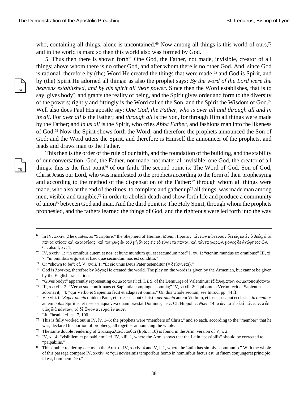[75](http://www.ccel.org/ccel/irenaeus/demonstr/png/0083=75.htm)

who, containing all things, alone is uncontained.<sup>69</sup> Now among all things is this world of ours,<sup>70</sup> and in the world is man: so then this world also was formed by God.

5. Thus then there is shown forth<sup> $71$ </sup> One God, the Father, not made, invisible, creator of all things; above whom there is no other God, and after whom there is no other God. And, since God is rational, therefore by (the) Word He created the things that were made; $\frac{72}{2}$  and God is Spirit, and by (the) Spirit He adorned all things: as also the prophet says: *By the word of the Lord were the heavens established, and by his spirit all their power*. Since then the Word establishes, that is to say, gives body<sup>73</sup> and grants the reality of being, and the Spirit gives order and form to the diversity of the powers; rightly and fittingly is the Word called the Son, and the Spirit the Wisdom of God.<sup>74</sup> Well also does Paul His apostle say: *One God, the Father, who is over all and through all and in its all*. For *over all* is the Father; and *through all* is the Son, for through Him all things were made by the Father; and *in us all* is the Spirit, who cries *Abba Father*, and fashions man into the likeness of God.75 Now the Spirit shows forth the Word, and therefore the prophets announced the Son of God; and the Word utters the Spirit, and therefore is Himself the announcer of the prophets, and leads and draws man to the Father.

This then is the order of the rule of our faith, and the foundation of the building, and the stability of our conversation: God, the Father, not made, not material, invisible; one God, the creator of all things: this is the first point76 of our faith. The second point is: The Word of God, Son of God, Christ Jesus our Lord, who was manifested to the prophets according to the form of their prophesying and according to the method of the dispensation of the Father: $\frac{77}{10}$  through whom all things were made; who also at the end of the times, to complete and gather  $up^{\gamma_8}$  all things, was made man among men, visible and tangible,<sup>79</sup> in order to abolish death and show forth life and produce a community of union<sup>80</sup> between God and man. And the third point is: The Holy Spirit, through whom the prophets prophesied, and the fathers learned the things of God, and the righteous were led forth into the way

<sup>69</sup> In IV, xxxiv. 2 he quotes, as "Scripture," the Shepherd of Hermas, *Mand.*: Πρῶτον πάντων πίστευσον ὅτι εἷς ἐστὶν ὁ θεός, ὁ τὰ πάντα κτίσας καὶ καταρτίσας, καὶ ποιήσας ἐκ τοῦ μὴ ὄντος εἰς τὸ εἶναι τὰ πάντα, καὶ πάντα χωρῶν, μόνος δὲ ἀχώρητος ὤν. Cf. also I, xv. 1.

<sup>70</sup> IV, xxxiv. 1: "in omnibus autem et nos, et hunc mundum qui est secundum nos:" I, xv. 1: "etenim mundus ex omnibus:" III, xi. 7: "in omnibus ergo est et hæc quæ secundum nos est conditio."

<sup>&</sup>lt;sup>71</sup> Or "shown to be": cf. V, xviii. 1: "Et sic unus Deus Pater ostenditur (= δείκνυται)."

<sup>&</sup>lt;sup>72</sup> God is λογικός, therefore by λόγος He created the world. The play on the words is given by the Armenian, but cannot be given by the English translation.

<sup>&</sup>lt;sup>73</sup> "Gives body:" apparently representing σωματοποιεῖ: cf. I. i. 9, of the Demiurge of Valentinus: ἐξ ἀσωμάτων σωμαποποιἠσαντα.

<sup>74</sup> III, xxxviii. 2: "Verbo suo confirmans et Sapientia compingens omnia;" IV, xxxii. 2: "qui omnia Verbo fecit et Sapientia adornavit;" 4: "qui Verbo et Sapientia fecit et adaptavit omnia." On this whole section, see Introd. pp. 44 ff.

<sup>75</sup> V, xviii. i: "*Super omnia* quidem Pater, et ipse est caput Christi; *per omnia* autem Verbum, et ipse est caput ecclesiæ; *in omnibus* autem *nobis* Spiritus, et ipse est aqua viva quam præstat Dominus," etc. Cf. Hippol. c. *Noet.* 14: ὁ ὢν πατὴρ ἐπὶ πάντων, ὁ δὲ υἱὸς διὰ πάντων, τὸ δὲ ἅγιον πνεῦμα ἐν πᾶσιν.

<sup>76</sup> Lit. "head:" cf. cc. 7, 100.

<sup>77</sup> This is fully worked out in IV, lv. 1–6: the prophets were "members of Christ," and so each, according to the "member" that he was, declared his portion of prophecy, all together announcing the whole.

<sup>78</sup> The same double rendering of ἀνακεφαλαιώσασθαι ([Eph. i. 10\)](http://www.ccel.org/b/bible/asv/xml/asv.Eph.1.xml#Eph.1.10) is found in the Arm. version of V, i. 2.

 $79 \text{ IV}$ , xi. 4: "visibilem et palpabilem;" cf. IV, xiii. 1, where the Arm. shows that the Latin "passibilis" should be corrected to "palpabilis."

<sup>80</sup> This double rendering occurs in the Arm. of IV, xxxiv. 4 and V, i. 1, where the Latin has simply "communio." With the whole of this passage compare IV, xxxiv. 4: "qui novissimis temporibus homo in hominibus factus est, ut finem conjungeret principio, id est, hominem Deo."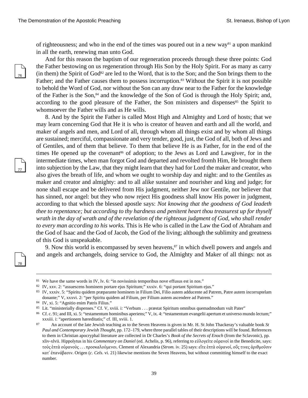[77](http://www.ccel.org/ccel/irenaeus/demonstr/png/0085=77.htm)

[78](http://www.ccel.org/ccel/irenaeus/demonstr/png/0086=78.htm)

of righteousness; and who in the end of the times was poured out in a new way<sup>81</sup> a upon mankind in all the earth, renewing man unto God.

And for this reason the baptism of our regeneration proceeds through these three points: God the Father bestowing on us regeneration through His Son by the Holy Spirit. For as many as carry (in them) the Spirit of God<sup>82</sup> are led to the Word, that is to the Son; and the Son brings them to the Father; and the Father causes them to possess incorruption.83 Without the Spirit it is not possible to behold the Word of God, nor without the Son can any draw near to the Father for the knowledge of the Father is the Son,<sup>84</sup> and the knowledge of the Son of God is through the Holy Spirit; and, according to the good pleasure of the Father, the Son ministers and dispenses<sup>85</sup> the Spirit to whomsoever the Father wills and as He wills.

8. And by the Spirit the Father is called Most High and Almighty and Lord of hosts; that we may learn concerning God that He it is who is creator of heaven and earth and all the world, and maker of angels and men, and Lord of all, through whom all things exist and by whom all things are sustained; merciful, compassionate and very tender, good, just, the God of all, both of Jews and of Gentiles, and of them that believe. To them that believe He is as Father, for in the end of the times He opened up the covenant<sup>86</sup> of adoption; to the Jews as Lord and Lawgiver, for in the intermediate times, when man forgot God and departed and revolted fromh Him, He brought them into subjection by the Law, that they might learn that they had for Lord the maker and creator, who also gives the breath of life, and whom we ought to worship day and night: and to the Gentiles as maker and creator and almighty: and to all alike sustainer and nourisher and king and judge; for none shall escape and be delivered from His judgment, neither Jew nor Gentile, nor believer that has sinned, nor angel: but they who now reject His goodness shall know His power in judgment, according to that which the blessed apostle says: *Not knowing that the goodness of God leadeth thee to repentance; but according to thy hardness and penitent heart thou treasurest up for thyself wrath in the day of wrath and of the revelation of the righteous judgment of God, who shall render to every man according to his works.* This is He who is called in the Law the God of Abraham and the God of Isaac and the God of Jacob, the God of the living; although the sublimity and greatness of this God is unspeakable.

9. Now this world is encompassed by seven heavens, $s<sup>7</sup>$  in which dwell powers and angels and and angels and archangels, doing service to God, the Almighty and Maker of all things: not as

<sup>81</sup> We have the same words in IV, lv. 6: "in novissimis temporibus nove effusus est in nos."

<sup>82</sup> IV, xxv. 2: "assuescens hominem portare ejus Spiritum;" xxxiv. 6: "qui portant Spiritum ejus."

<sup>83</sup> IV, xxxiv. 5: "Spiritu quidem præparante hominem in Filium Dei, Filio autem adducente ad Patrem, Patre autem incorruptelam donante;" V, xxxvi. 2: "per Spiritu quidem ad Filium, per Filium autem ascendere ad Patrem."

<sup>84</sup> IV, xi. 5: "Agnitio enim Patris Filius."

<sup>85</sup> Lit. "ministerially dispenses." Cf. V, xviii. i: "Verbum . . . præstat Spiritum omnibus quemadmodum vult Pater"

<sup>86</sup> Cf. c. 91; and III, xi. 5: "testamentum hominibus aperiens;" V, ix. 4: "testamentum evangelii apertum et universo mundo lectum;" xxxiii. i: "apertionem hæreditatis;" cf. III, xviii. 1.

<sup>87</sup> An account of the late Jewish teaching as to the Seven Heavens is given in Mr. H. St John Thackeray's valuable book *St Paul and Contemporary Jewish Thought*, pp. 172–179, where three parallel tables of their descriptions will be found. References to them in Christian apocryphal literature are collected in Dr Charles's *Book of the Secrets of Enoch* (from the Sclavonic), pp. xliv-xlvii. Hippolytus in his *Commentary on Daniel* (ed. Achelis, p. 96), referring to εὐλογεῖτε οὐρανοί in the Benedicite, says: τοὺς ἑπτὰ οὐρανοὺς . . . προσκαλούμενοι. Clement of Alexandria (*Strom.* iv. 25) says: εἵτε ἑπτὰ οὐρανοί, οὕς τινες ἀριθμοῦσιν κατ᾽ ἐπανάβασιν. Origen (*c. Cels.* vi. 21) likewise mentions the Seven Heavens, but without committing himself to the exact number.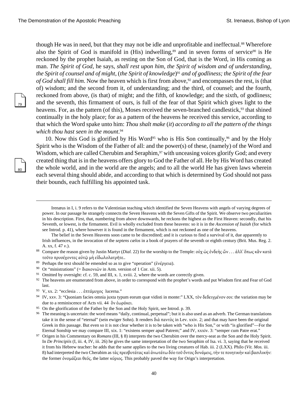[80](http://www.ccel.org/ccel/irenaeus/demonstr/png/0088=80.htm)

though He was in need, but that they may not be idle and unprofitable and ineffectual.88 Wherefore also the Spirit of God is manifold in (His) indwelling,<sup>89</sup> and in seven forms of service<sup>90</sup> is He reckoned by the prophet Isaiah, as resting on the Son of God, that is the Word, in His coming as man. *The Spirit of God*, he says, *shall rest upon him, the Spirit of wisdom and of understanding, the Spirit of counsel and of might*, (*the Spirit of knowledge*) <sup>91</sup> *and of godliness; the Spirit of the fear of God shall fill him*. Now the heaven which is first from above,<sup>92</sup> and encompasses the rest, is (that of) wisdom; and the second from it, of understanding; and the third, of counsel; and the fourth, reckoned from above, (is that) of might; and the fifth, of knowledge; and the sixth, of godliness; and the seventh, this firmament of ours, is full of the fear of that Spirit which gives light to the heavens. For, as the pattern (of this), Moses received the seven-branched candlestick,<sup>93</sup> that shined continually in the holy place; for as a pattern of the heavens he received this service, according to that which the Word spake unto him: *Thou shalt make* (*it*) *according to all the pattern of the things which thou hast seen in the mount*. 94

10. Now this God is glorified by His Word<sup>95</sup> who is His Son continually,<sup>96</sup> and by the Holy Spirit who is the Wisdom of the Father of all: and the power(s) of these, (namely) of the Word and Wisdom, which are called Cherubim and Seraphim,<sup>97</sup> with unceasing voices glorify God; and every created thing that is in the heavens offers glory to God the Father of all. He by His Word has created the whole world, and in the world are the angels; and to all the world He has given laws wherein each several thing should abide, and according to that which is determined by God should not pass their bounds, each fulfilling his appointed task.

- <sup>89</sup> Perhaps the text should be emended so as to give "operation" (ἐνέργεια).
- <sup>90</sup> Or "ministrations" (= διακονιῶν in Arm. version of [1 Cor. xii. 5](http://www.ccel.org/b/bible/asv/xml/asv.iCor.12.xml#iCor.12.5)).
- <sup>91</sup> Omitted by oversight: cf. c. 59, and III, x. 1, xviii. 2, where the words are correctly given.
- $92$  The heavens are enumerated from above, in order to correspond with the prophet's words and put Wisdom first and Fear of God last.
- <sup>93</sup> V, xx. 2: "ecclesia . . . έπτάμυχος lucerna."

- <sup>95</sup> On the glorification of the Father by the Son and the Holy Spirit, see Introd. p. 39.
- <sup>96</sup> The meaning is uncertain: the word means "daily, continual, perpetual"; but it is also used as an adverb. The German translations take it in the sense of "eternal" (sein ewiger Sohn). It renders διὰ παντὸς in [Lev. xxiv. 2;](http://www.ccel.org/b/bible/asv/xml/asv.Lev.24.xml#Lev.24.2) and that may have been the original Greek in this passage. But even so it is not clear whether it is to be taken with "who is His Son," or with "is glorified"—For the Eternal Sonship we may compare III, xix. 1: "existens semper apud Patrem;" and IV, xxxiv. 3: "semper cum Patre erat."
- <sup>97</sup> Origen in his Commentary on *Romans* (III, § 8) interprets the two Cherubim over the mercy-seat as the Son and the Holy Spirit. In *De Principiis* (I, iii. 4, IV, iii. 26) he gives the same interpretation of the two Seraphim of [Isa. vi. 3,](http://www.ccel.org/b/bible/asv/xml/asv.Isa.6.xml#Isa.6.3) saying that he received it from his Hebrew teacher: he adds that the same applies to the two living creatures of [Hab. iii. 2 \(LXX\).](http://www.ccel.org/b/bible/asv/xml/asv.Hab.3.xml#Hab.3.2) Philo (*Vit. Mos.* iii. 8) had interpreted the two Cherabim as τὰς πρεσβυτάτας καὶ ἀνωτάτω δύο τοῦ ὄντος δυνάμεις, τὴν τε ποιητικὴν καὶ βασιλικήν: the former ὀνομάζεαι θεός, the latter κύριος. This probably paved the way for Orign's interpretation.

Irenæus in I, i. 9 refers to the Valentinian teaching which identified the Seven Heavens with angels of varying degrees of power. In our passage he strangely connects the Seven Heavens with the Seven Gifts of the Spirit. We observe two peculiarities in his description. First, that, numbering from above downwards, he reckons the highest as the First Heaven: secondly, that his Seventh, or lowest, is the firmament. Evil is wholly excluded from these heavens: so it is in the *Ascension of Isaiah* (for which see Introd. p. 41), where however it is found in the firmament, which is not reckoned as one of the heavens.

The belief in the Seven Heavens soon came to be discredited; and it is curious to find a survival of it, due apparently to Irish influences, in the invocation of the *septens cælos* in a book of prayers of the seventh or eighth century (Brit. Mus. Reg. 2. A. xx, f. 47 *v.*).

<sup>88</sup> Compare the reason given by Justin Martyr (*Dial.* 22) for the worship to the Temple: οὐχ ὡς ἐνδεὴς ὤν . . . ἀλλ᾽ ὅπως κἂν κατὰ τοῦτο πρυσέχοντες αὐτῷ μὴ εἰδωλολατρῆτε..

<sup>&</sup>lt;sup>94</sup> IV, xxv. 3: "Quoniam facies omnia juxta typum eorum quæ vidisti in monte:" LXX, τὸν δεδειγμένον σοι: the variation may be due to a reminiscence of [Acts vii. 44](http://www.ccel.org/b/bible/asv/xml/asv.Acts.7.xml#Acts.7.44) ὃν ἐωράκει.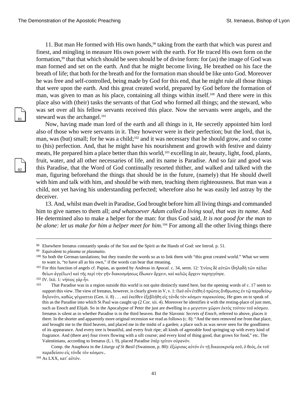[82](http://www.ccel.org/ccel/irenaeus/demonstr/png/0090=82.htm)

11. But man He formed with His own hands,<sup>98</sup> taking from the earth that which was purest and finest, and mingling in measure His own power with the earth. For He traced His own form on the formation,99 that that which should be seen should be of divine form: for (as) the image of God was man formed and set on the earth. And that he might become living, He breathed on his face the breath of life; that both for the breath and for the formation man should be like unto God. Moreover he was free and self-controlled, being made by God for this end, that he might rule all those things that were upon the earth. And this great created world, prepared by God before the formation of man, was given to man as his place, containing all things within itself.100 And there were in this place also with (their) tasks the servants of that God who formed all things; and the steward, who was set over all his fellow servants received this place. Now the servants were angels, and the steward was the archangel.<sup>101</sup>

Now, having made man lord of the earth and all things in it, He secretly appointed him lord also of those who were servants in it. They however were in their perfection; but the lord, that is, man, was (but) small; for he was a child;<sup>102</sup> and it was necessary that he should grow, and so come to (his) perfection. And, that he might have his nourishment and growth with festive and dainty meats, He prepared him a place better than this world,<sup>103</sup> excelling in air, beauty, light, food, plants, fruit, water, and all other necessaries of life, and its name is Paradise. And so fair and good was this Paradise, that the Word of God continually resorted thither, and walked and talked with the man, figuring beforehand the things that should be in the future, (namely) that He should dwell with him and talk with him, and should be with men, teaching them righteousness. But man was a child, not yet having his understanding perfected; wherefore also he was easily led astray by the deceiver.

13. And, whilst man dwelt in Paradise, God brought before him all living things and commanded him to give names to them all; *and whatsoever Adam called a living soul, that was its name.* And He determined also to make a helper for the man: for thus God said, *It is not good for the man to be alone: let us make for him a helper meet for him.*104 For among all the other living things there

<sup>98</sup> Elsewhere Irenæus constantly speaks of the Son and the Spirit as the Hands of God: see Introd. p. 51.

<sup>99</sup> Equivalent to *plasma* or *plasmatio*.

<sup>100</sup> So both the German tanslations; but they transfer the words so as to link them with "this great created world." What we seem to want is, "to have all as his own," if the words can bear that meaning.

<sup>101</sup> For this function of angels cf. Papias, as quoted by Andreas in *Apocal.* c. 34, serm. 12: Ἐνίοις δὲ αὐτῶν (δηλαδὴ τῶν πάλαι θείων ἀγγέλων) καὶ τῆς περὶ τὴν γῆν διακοσμήσεως ἔδωκεν ἄρχειν, καὶ καλῶς ἄρχειν παρηγγύησε.

<sup>102</sup> IV. lxii. 1: νήπιος γὰρ ἦν.

<sup>103</sup> That Paradise was in a region outside this world is not quite distinctly stated here, but the opening words of c. 17 seem to support this view. The view of Irenæus, however, is clearly given in V, v. 1: Παῦ οὖν ἐτέθη ὁ πρῶτος ἄνθρωπος; ἐν τῷ παραδείσῳ δηλονότι, καθὼς γέγραπται [\(Gen. ii. 8\)](http://www.ccel.org/b/bible/asv/xml/asv.Gen.2.xml#Gen.2.8) . . . καὶ ἐκεῖθεν ἐξεβλήθη εἰς τάνδε τὸν κόσμον παρακούσας. He goes on to speak of this as the Paradise into which St Paul was caught up ([2 Cor. xii. 4](http://www.ccel.org/b/bible/asv/xml/asv.iiCor.12.xml#iiCor.12.4)). Moreover he identifies it with the resting-place of just men, such as Enoch and Elijah. So in the Apocalypse of Peter the just are dwelling in a μεγιστον χῶρον ἐκτὸς τούτου τοῦ κόσμου. Irenæus is silent as to whether Paradise is in the third heaven. But the Slavonic *Secrets of Enoch*, referred to above, places it there. In the shorter and apparently more original recension we read as follows (c. 8): "And the men removed me from that place, and brought me to the third heaven, and placed me in the midst of a garden; a place such as was never seen for the goodliness of its appearance. And every tree is beautiful, and every fruit ripe; all kinds of agreeable food springing up with every kind of fragrance. And (there are) four rivers flowing with a sift course; and every kind of thing good, that grows for food," etc. The Valentinians, according to Irenæus (I, i. 9), placed Paradise ὑπὲρ τρίτον οὐρανόν.

Comp. the Anaphora in the *Liturgy of St Basil* (Swainson, p. 80): ἐξώρισας αὐτόν ἐν τῇ δικαιοκρισίᾳ σοῦ, ὁ θεός, ἐκ τοῦ παραδείσου εἰς τόνδε τὸν κόσμον..

 $104$  As LXX, κατ' αὐτόν.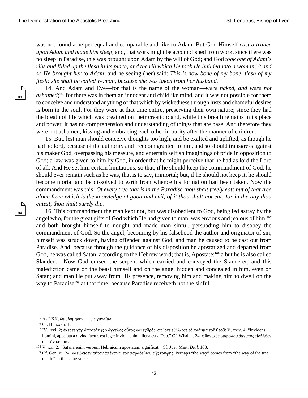was not found a helper equal and comparable and like to Adam. But God Himself *cast a trance upon Adam and made him sleep*; and, that work might be accomplished from work, since there was no sleep in Paradise, this was brought upon Adam by the will of God; and God *took one of Adam's ribs and filled up the flesh in its place, and the rib which He took He builded into a woman*; <sup>105</sup> *and so He brought her to Adam*; and he seeing (her) said: *This is now bone of my bone, flesh of my flesh: she shall be called woman, because she was taken from her husband.*

[83](http://www.ccel.org/ccel/irenaeus/demonstr/png/0091=83.htm)

[84](http://www.ccel.org/ccel/irenaeus/demonstr/png/0092=84.htm)

14. And Adam and Eve—for that is the name of the woman—*were naked, and were not* ashamed;<sup>106</sup> for there was in them an innocent and childlike mind, and it was not possible for them to conceive and understand anything of that which by wickedness through lusts and shameful desires is born in the soul. For they were at that time entire, preserving their own nature; since they had the breath of life which was breathed on their creation: and, while this breath remains in its place and power, it has no comprehension and understanding of things that are base. And therefore they were not ashamed, kissing and embracing each other in purity after the manner of children.

15. But, lest man should conceive thoughts too high, and be exalted and uplifted, as though he had no lord, because of the authority and freedom granted to him, and so should transgress against his maker God, overpassing his measure, and entertain selfish imaginings of pride in opposition to God; a law was given to him by God, in order that he might perceive that he had as lord the Lord of all. And He set him certain limitations, so that, if he should keep the commandment of God, he should ever remain such as he was, that is to say, immortal; but, if he should not keep it, he should become mortal and be dissolved to earth from whence his formation had been taken. Now the commandment was this: *Of every tree that is in the Paradise thou shalt freely eat; but of that tree alone from which is the knowledge of good and evil, of it thou shalt not eat; for in the day thou eatest, thou shalt surely die*.

16. This commandment the man kept not, but was disobedient to God, being led astray by the angel who, for the great gifts of God which He had given to man, was envious and jealous of him,<sup>107</sup> and both brought himself to nought and made man sinful, persuading him to disobey the commandment of God. So the angel, becoming by his falsehood the author and originator of sin, himself was struck down, having offended against God, and man he caused to be cast out from Paradise. And, because through the guidance of his disposition he apostatized and departed from God, he was called Satan, according to the Hebrew word; that is, Apostate:<sup>108</sup> a but he is also called Slanderer. Now God cursed the serpent which carried and conveyed the Slanderer; and this malediction came on the beast himself and on the angel hidden and concealed in him, even on Satan; and man He put away from His presence, removing him and making him to dwell on the way to Paradise<sup>109</sup> at that time; because Paradise receiveth not the sinful.

<sup>105</sup> As LXX, ᾠκοδόμησεν . . . εἰς γυναῖκα.

<sup>106</sup> Cf. III, xxxii. 1.

<sup>107</sup> IV, lxvi. 2; ἔκτοτε γὰρ ἀποστάτης ὁ ἀγγελος οὗτος καὶ ἐχθρός. ἀφ᾽ ὅτε ἐζήλωσε τὸ πλάσμα τοῦ θεοῦ: V, xxiv. 4: "Invidens homini, apostata a divina factus est lege: invidia enim aliena est a Deo." Cf. [Wisd. ii. 24:](http://www.ccel.org/b/bible/asv/xml/asv.Wis.2.xml#Wis.2.24) φθόνῳ δὲ διαβόλου θάνατος εἰσῆλθεν εἰς τὸν κόσμον.

<sup>108</sup> V, xxi. 2: "Satana enim verbum Hebraicum apostatam significat." Cf. Just. Mart. *Dial.* 103.

<sup>&</sup>lt;sup>109</sup> Cf. [Gen. iii. 24](http://www.ccel.org/b/bible/asv/xml/asv.Gen.3.xml#Gen.3.24): κατώκισεν αὐτὸν ἀπέναντι τοῦ παραδείσου τῆς τρυφῆς. Perhaps "the way" comes from "the way of the tree of life" in the same verse.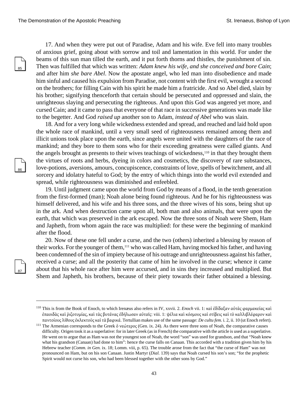[86](http://www.ccel.org/ccel/irenaeus/demonstr/png/0094=86.htm)

[87](http://www.ccel.org/ccel/irenaeus/demonstr/png/0095=87.htm)

17. And when they were put out of Paradise, Adam and his wife. Eve fell into many troubles of anxious grief, going about with sorrow and toil and lamentation in this world. For under the beams of this sun man tilled the earth, and it put forth thorns and thistles, the punishment of sin. Then was fulfilled that which was written: *Adam knew his wife, and she conceived and bore Cain*; and after him *she bare Abel*. Now the apostate angel, who led man into disobedience and made him sinful and caused his expulsion from Paradise, not content with the first evil, wrought a second on the brothers; for filling Cain with his spirit he made him a fratricide. And so Abel died, slain by his brother; signifying thenceforth that certain should be persecuted and oppressed and slain, the unrighteous slaying and persecuting the righteous. And upon this God was angered yet more, and cursed Cain; and it came to pass that everyone of that race in successive generations was made like to the begetter. And God *raised up* another son to Adam, *instead of Abel* who was slain.

18. And for a very long while wickedness extended and spread, and reached and laid hold upon the whole race of mankind, until a very small seed of righteousness remained among them and illicit unions took place upon the earth, since angels were united with the daughters of the race of mankind; and they bore to them sons who for their exceeding greatness were called giants. And the angels brought as presents to their wives teachings of wickedness,110 in that they brought them the virtues of roots and herbs, dyeing in colors and cosmetics, the discovery of rare substances, love-potions, aversions, amours, concupiscence, constraints of love, spells of bewitchment, and all sorcery and idolatry hateful to God; by the entry of which things into the world evil extended and spread, while righteousness was diminished and enfeebled.

19. Until judgment came upon the world from God by means of a flood, in the tenth generation from the first-formed (man); Noah alone being found righteous. And he for his righteousness was himself delivered, and his wife and his three sons, and the three wives of his sons, being shut up in the ark. And when destruction came upon all, both man and also animals, that were upon the earth, that which was preserved in the ark escaped. Now the three sons of Noah were Shem, Ham and Japheth, from whom again the race was multiplied: for these were the beginning of mankind after the flood.

20. Now of these one fell under a curse, and the two (others) inherited a blessing by reason of their works. For the younger of them,111 who was called Ham, having mocked his father, and having been condemned of the sin of impiety because of his outrage and unrighteousness against his father, received a curse; and all the posterity that came of him he involved in the curse; whence it came about that his whole race after him were accursed, and in sins they increased and multiplied. But Shem and Japheth, his brothers, because of their piety towards their father obtained a blessing.

<sup>110</sup> This is from the Book of Enoch, to which Irenæus also refers in IV, xxvii. 2. *Enoch* vii. 1: καὶ ἐδίδαξαν αὐτὰς φαρμακείας καὶ ἐπαοιδὰς καὶ ῥιζοτυμίας, καὶ τὰς βυτάνας ἐδήλωσαν αὐταῖς: viii. 1: ψέλια καὶ κόσμους καὶ στίβεις καὶ τὸ καλλιβλέφαρον καὶ παντοίους λίθους ἐκλεκτοὺς καὶ τὰ βαφικά. Tertullian makes use of the same passage: *De cultu fem.* i. 2, ii. 10 (ut Enoch refert).

<sup>111</sup> The Armenian corresponds to the Greek ὁ νεώτερος [\(Gen. ix. 24](http://www.ccel.org/b/bible/asv/xml/asv.Gen.9.xml#Gen.9.24)). As there were three sons of Noah, the comparative causes difficulty. Origen took it as a superlative: for in later Greek (as in French) the comparative with the article is used as a superlative. He went on to argue that as Ham was not the youngest son of Noah, the word "son" was used for grandson, and that "Noah knew what his grandson (Canaan) had done to him": hence the curse falls on Canaan. This accorded with a tradition given him by his Hebrew teacher (*Comm. in Gen.* ix. 18; Lomm. viii, p. 65). The trouble arose from the fact that "the curse of Ham" was not pronounced on Ham, but on his son Canaan. Justin Martyr (*Dial.* 139) says that Noah cursed his son's son; "for the prophetic Spirit would not curse his son, who had been blessed together with the other sons by God."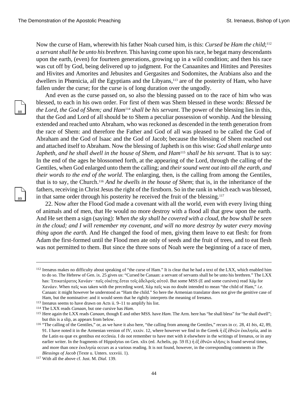Now the curse of Ham, wherewith his father Noah cursed him, is this: *Cursed be Ham the child*;<sup>112</sup> *a servant shall he be unto his brethren.* This having come upon his race, he begat many descendants upon the earth, (even) for fourteen generations, growing up in a wild condition; and then his race was cut off by God, being delivered up to judgment. For the Canaanites and Hittites and Peresites and Hivites and Amorites and Jebusites and Gergasites and Sodomites, the Arabians also and the dwellers in Phœnicia, all the Egyptians and the Libyans,<sup>113</sup> are of the posterity of Ham, who have fallen under the curse; for the curse is of long duration over the ungodly.



[89](http://www.ccel.org/ccel/irenaeus/demonstr/png/0097=89.htm)

And even as the curse passed on, so also the blessing passed on to the race of him who was blessed, to each in his own order. For first of them was Shem blessed in these words: *Blessed be the Lord, the God of Shem; and Ham*<sup>114</sup> *shall be his servant*. The power of the blessing lies in this, that the God and Lord of all should be to Shem a peculiar possession of worship. And the blessing extended and reached unto Abraham, who was reckoned as descended in the tenth generation from the race of Shem: and therefore the Father and God of all was pleased to be called the God of Abraham and the God of Isaac and the God of Jacob; because the blessing of Shem reached out and attached itself to Abraham. Now the blessing of Japheth is on this wise: *God shall enlarge unto Japheth, and he shall dwell in the house of Shem, and Ham*<sup>115</sup> *shall be his servant*. That is to say: In the end of the ages he blossomed forth, at the appearing of the Lord, through the calling of the Gentiles, when God enlarged unto them the calling; and *their sound went out into all the earth, and their words to the end of the world.* The enlarging, then, is the calling from among the Gentiles, that is to say, the Church.<sup>116</sup> *And he dwells in the house of Shem*; that is, in the inheritance of the fathers, receiving in Christ Jesus the right of the firstborn. So in the rank in which each was blessed, in that same order through his posterity he received the fruit of the blessing.<sup>117</sup>

22. Now after the Flood God made a covenant with all the world, even with every living thing of animals and of men, that He would no more destroy with a flood all that grew upon the earth. And He set them a sign (saying): *When the sky shall be covered with a cloud, the bow shall be seen in the cloud; and I will remember my covenant, and will no more destroy by water every moving thing upon the earth.* And He changed the food of men, giving them leave to eat flesh: for from Adam the first-formed until the Flood men ate only of seeds and the fruit of trees, and to eat flesh was not permitted to them. But since the three sons of Noah were the beginning of a race of men,

<sup>112</sup> Irenæus makes no difficulty about speaking of "the curse of Ham." It is clear that he had a text of the LXX, which enabled him to do so. The Hebrew of [Gen. ix. 25](http://www.ccel.org/b/bible/asv/xml/asv.Gen.9.xml#Gen.9.25) gives us: "Cursed be Canaan: a servant of servants shall he be unto his brethren." The LXX has: Ἐπικατάρατος Χανάαν · παῖς οἰκέτης ἔσται τοῖς ἀδελφοῖς αὐτοῦ. But some MSS (E and some cursives) read Χάμ for Χανάαν. When παῖς was taken with the preceding word, Χὰμ παῖς was no doubt intended to mean "the child of Ham," *i.e.* Canaan: it might however be understood as "Ham the child." So here the Armenian translator does not give the genitive case of Ham, but the nominative: and it would seem that he rightly interprets the meaning of Irenæus.

<sup>113</sup> Irenæus seems to have drawn on [Acts ii. 9–11](http://www.ccel.org/b/bible/asv/xml/asv.Acts.2.xml#Acts.2.9) to amplify his list.

<sup>114</sup> The LXX reads *Canaan*, but one cursive has *Ham*.

<sup>115</sup> Here again the LXX reads *Canaan*, though E and other MSS. have *Ham*. The Arm. here has "he shall bless" for "he shall dwell"; but this is a slip, as appears from below.

<sup>116</sup> "The calling of the Gentiles," or, as we have it also here, "the calling from among the Gentiles," recurs in cc. 28, 41 *bis*, 42, 89, 91. I have noted it in the Armenian version of IV, xxxiv. 12, where however we find in the Greek ἡ ἐξ ἐθνῶν ἐκκλησία, and in the Latin ea quæ ex gentibus est ecclesia. I do not remember to have met with it elsewhere in the writings of Irenæus, or in any earlier writer. In the fragments of Hippolytus on Gen. xlix (ed. Achelis, pp. 59 ff.) ἡ ἐξ ἐθνῶν κλῆσις is found several times, and more than once ἐκκλησία occurs as a various reading. It is not found, however, in the corresponding comments in *The Blessings of Jacob* (Texte u. Unters. xxxviii. 1).

<sup>117</sup> With all the above cf. Just. M. *Dial.* 139.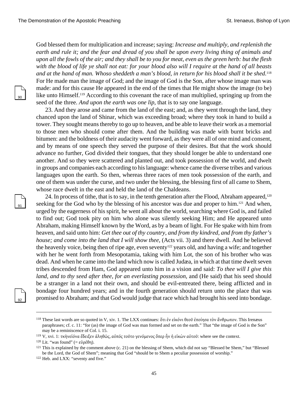[91](http://www.ccel.org/ccel/irenaeus/demonstr/png/0099=91.htm)

[92](http://www.ccel.org/ccel/irenaeus/demonstr/png/0100=92.htm)

God blessed them for multiplication and increase; saying: *Increase and multiply, and replenish the earth and rule it; and the fear and dread of you shall be upon every living thing of animals and upon all the fowls of the air; and they shall be to you for meat, even as the green herb: but the flesh with the blood of life ye shall not eat: for your blood also will I require at the hand of all beasts and at the hand of man. Whoso sheddeth a man's blood, in return for his blood shall it be shed.*<sup>118</sup> For He made man the image of God; and the image of God is the Son, after whose image man was made: and for this cause He appeared in the end of the times that He might show the image (to be) like unto Himself.<sup>119</sup> According to this covenant the race of man multiplied, springing up from the seed of the three. *And upon the earth was one lip*, that is to say one language.

23. And they arose and came from the land of the east; and, as they went through the land, they chanced upon the land of Shinar, which was exceeding broad; where they took in hand to build a tower. They sought means thereby to go up to heaven, and be able to leave their work as a memorial to those men who should come after them. And the building was made with burnt bricks and bitumen: and the boldness of their audacity went forward, as they were all of one mind and consent, and by means of one speech they served the purpose of their desires. But that the work should advance no further, God divided their tongues, that they should longer be able to understand one another. And so they were scattered and planted out, and took possession of the world, and dwelt in groups and companies each according to his language: whence came the diverse tribes and various languages upon the earth. So then, whereas three races of men took possession of the earth, and one of them was under the curse, and two under the blessing, the blessing first of all came to Shem, whose race dwelt in the east and held the land of the Chaldeans.

24. In process of tithe, that is to say, in the tenth generation after the Flood, Abraham appeared,  $120$ seeking for the God who by the blessing of his ancestor was due and proper to him.<sup>121</sup> And when, urged by the eagerness of his spirit, he went all about the world, searching where God is, and failed to find out; God took pity on him who alone was silently seeking Him; and He appeared unto Abraham, making Himself known by the Word, as by a beam of light. For He spake with him from heaven, and said unto him: *Get thee out of thy country, and from thy kindred, and from thy father's house; and come into the land that I will show thee*, ([Acts vii. 3](http://www.ccel.org/b/bible/asv/xml/asv.Acts.7.xml#Acts.7.3)) and there dwell. And he believed the heavenly voice, being then of ripe age, even seventy122 years old, and having a wife; and together with her he went forth from Mesopotamia, taking with him Lot, the son of his brother who was dead. And when he came into the land which now is called Judæa, in which at that time dwelt seven tribes descended from Ham, God appeared unto him in a vision and said: *To thee will I give this land, and to thy seed after thee, for an everlasting possession*, and (He said) that his seed should be a stranger in a land not their own, and should be evil-entreated there, being afflicted and in bondage four hundred years; and in the fourth generation should return unto the place that was promised to Abraham; and that God would judge that race which had brought his seed into bondage.

<sup>118</sup> These last words are so quoted in V, xiv. 1. The LXX continues: ὅτι ἐν εἰκόνι θεοῦ ἐποίησα τὸν ἄνθρωπον. This Irenæus paraphrases; cf. c. 11: "for (as) the image of God was man formed and set on the earth." That "the image of God is the Son" may be a reminiscence of [Col. i. 15.](http://www.ccel.org/b/bible/asv/xml/asv.Col.1.xml#Col.1.15)

<sup>&</sup>lt;sup>119</sup> V, xvi. 1: τκὴνεἰόνα ἔδειξεν ἀληθῶς, αὐπός τοῦτο γενόμενος ὅπερ ἦν ἡ εἰκὼν αὐτοῦ: where see the context.

<sup>&</sup>lt;sup>120</sup> Lit. "was found" (= εύρέθη).

 $121$  This is explained by the comment above (c. 21) on the blessing of Shem, which did not say "Blessed be Shem," but "Blessed be the Lord, the God of Shem"; meaning that God "should be to Shem a peculiar possession of worship."

<sup>122</sup> Heb. and LXX: "seventy and five."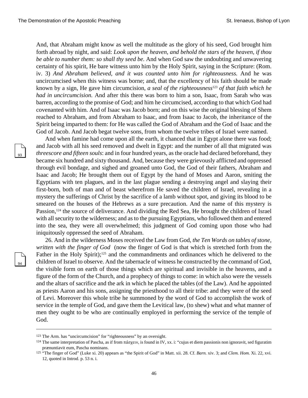And, that Abraham might know as well the multitude as the glory of his seed, God brought him forth abroad by night, and said: *Look upon the heaven, and behold the stars of the heaven, if thou be able to number them: so shall thy seed be.* And when God saw the undoubting and unwavering certainty of his spirit, He bare witness unto him by the Holy Spirit, saying in the Scripture: ([Rom.](http://www.ccel.org/b/bible/asv/xml/asv.Rom.4.xml#Rom.4.3) [iv. 3\)](http://www.ccel.org/b/bible/asv/xml/asv.Rom.4.xml#Rom.4.3) *And Abraham believed, and it was counted unto him for righteousness.* And he was uncircumcised when this witness was borne; and, that the excellency of his faith should be made known by a sign, He gave him circumcision, *a seal of the righteousness*<sup>123</sup> *of that faith which he had in uncircumcision.* And after this there was born to him a son, Isaac, from Sarah who was barren, according to the promise of God; and him he circumcised, according to that which God had covenanted with him. And of Isaac was Jacob born; and on this wise the original blessing of Shem reached to Abraham, and from Abraham to Isaac, and from Isaac to Jacob, the inheritance of the Spirit being imparted to them: for He was called the God of Abraham and the God of Isaac and the God of Jacob. And Jacob begat twelve sons, from whom the twelve tribes of Israel were named.

[93](http://www.ccel.org/ccel/irenaeus/demonstr/png/0101=93.htm)

[94](http://www.ccel.org/ccel/irenaeus/demonstr/png/0102=94.htm)

And when famine had come upon all the earth, it chanced that in Egypt alone there was food; and Jacob with all his seed removed and dwelt in Egypt: and the number of all that migrated was *threescore and fifteen souls*: and in four hundred years, as the oracle had declared beforehand, they became six hundred and sixty thousand. And, because they were grievously afflicted and oppressed through evil bondage, and sighed and groaned unto God, the God of their fathers, Abraham and Isaac and Jacob; He brought them out of Egypt by the hand of Moses and Aaron, smiting the Egyptians with ten plagues, and in the last plague sending a destroying angel and slaying their first-born, both of man and of beast wherefrom He saved the children of Israel, revealing in a mystery the sufferings of Christ by the sacrifice of a lamb without spot, and giving its blood to be smeared on the houses of the Hebrews as a sure precaution. And the name of this mystery is Passion,124 the source of deliverance. And dividing the Red Sea, He brought the children of Israel with all security to the wilderness; and as to the pursuing Egyptians, who followed them and entered into the sea, they were all overwhelmed; this judgment of God coming upon those who had iniquitously oppressed the seed of Abraham.

26. And in the wilderness Moses received the Law from God, *the Ten Words on tables of stone, written with the finger of God* (now the finger of God is that which is stretched forth from the Father in the Holy Spirit);<sup>125</sup> and the commandments and ordinances which he delivered to the children of Israel to observe. And the tabernacle of witness he constructed by the command of God, the visible form on earth of those things which are spiritual and invisible in the heavens, and a figure of the form of the Church, and a prophecy of things to come: in which also were the vessels and the altars of sacrifice and the ark in which he placed the tables (of the Law). And he appointed as priests Aaron and his sons, assigning the priesthood to all their tribe: and they were of the seed of Levi. Moreover this whole tribe he summoned by the word of God to accomplish the work of service in the temple of God, and gave them the Levitical law, (to shew) what and what manner of men they ought to be who are continually employed in performing the service of the temple of God.

<sup>123</sup> The Arm. has "uncircumcision" for "righteousness" by an oversight.

<sup>124</sup> The same interpretation of Pascha, as if from πάσχειν, is found in IV, xx. i: "cujus et diem passionis non ignoravit, sed figuratim prænuntiavit eum, Pascha nominans.

<sup>125</sup> "The finger of God" [\(Luke xi. 20\)](http://www.ccel.org/b/bible/asv/xml/asv.Luke.11.xml#Luke.11.20) appears as "the Spirit of God" in [Matt. xii. 28.](http://www.ccel.org/b/bible/asv/xml/asv.Matt.12.xml#Matt.12.28) Cf. *Barn.* xiv. 3; and *Clem. Hom.* Xi. 22, xvi. 12, quoted in Introd. p. 53 n. i.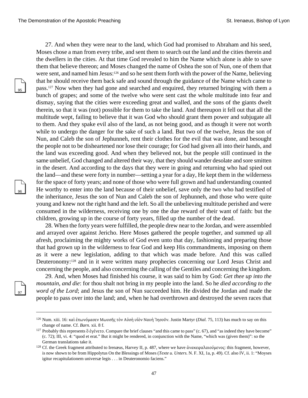[96](http://www.ccel.org/ccel/irenaeus/demonstr/png/0104=96.htm)

[97](http://www.ccel.org/ccel/irenaeus/demonstr/png/0105=97.htm)

27. And when they were near to the land, which God had promised to Abraham and his seed, Moses chose a man from every tribe, and sent them to search out the land and the cities therein and the dwellers in the cities. At that time God revealed to him the Name which alone is able to save them that believe thereon; and Moses changed the name of Oshea the son of Nun, one of them that were sent, and named him Jesus:<sup>126</sup> and so he sent them forth with the power of the Name, believing that he should receive them back safe and sound through the guidance of the Name which came to pass.127 Now when they had gone and searched and enquired, they returned bringing with them a bunch of grapes; and some of the twelve who were sent cast the whole multitude into fear and dismay, saying that the cities were exceeding great and walled, and the sons of the giants dwelt therein, so that it was (not) possible for them to take the land. And thereupon it fell out that all the multitude wept, failing to believe that it was God who should grant them power and subjugate all to them. And they spake evil also of the land, as not being good, and as though it were not worth while to undergo the danger for the sake of such a land. But two of the twelve, Jesus the son of Nun, and Caleb the son of Jephunneh, rent their clothes for the evil that was done, and besought the people not to be disheartened nor lose their courage; for God had given all into their hands, and the land was exceeding good. And when they believed not, but the people still continued in the same unbelief, God changed and altered their way, that they should wander desolate and sore smitten in the desert. And according to the days that they were in going and returning who had spied out the land—and these were forty in number—setting a year for a day, He kept them in the wilderness for the space of forty years; and none of those who were full grown and had understanding counted He worthy to enter into the land because of their unbelief, save only the two who had testified of the inheritance, Jesus the son of Nun and Caleb the son of Jephunneh, and those who were quite young and knew not the right hand and the left. So all the unbelieving multitude perished and were consumed in the wilderness, receiving one by one the due reward of their want of faith: but the children, growing up in the course of forty years, filled up the number of the dead.

28. When the forty years were fulfilled, the people drew near to the Jordan, and were assembled and arrayed over against Jericho. Here Moses gathered the people together, and summed up all afresh, proclaiming the mighty works of God even unto that day, fashioning and preparing those that had grown up in the wilderness to fear God and keep His commandments, imposing on them as it were a new legislation, adding to that which was made before. And this was called Deuteronomy:128 and in it were written many prophecies concerning our Lord Jesus Christ and concerning the people, and also concerning the calling of the Gentiles and concerning the kingdom.

29. And, when Moses had finished his course, it was said to him by God: *Get thee up into the mountain, and die*: for thou shalt not bring in my people into the land. So he *died according to the word of the Lord*; and Jesus the son of Nun succeeded him. He divided the Jordan and made the people to pass over into the land; and, when he had overthrown and destroyed the seven races that

<sup>126</sup> [Num. xiii. 16](http://www.ccel.org/b/bible/asv/xml/asv.Num.13.xml#Num.13.16): καὶ ἐπωνόμασεν Μωυσῆς τὸν Αὑσὴ υἱὸν Ναυὴ Ἰησοῦν. Justin Martyr (*Dial.* 75, 113) has much to say on this change of name. Cf. *Barn.* xii. 8 f.

<sup>&</sup>lt;sup>127</sup> Probably this represents ὃ ἐγένετο. Compare the brief clauses "and this came to pass" (c. 67), and "as indeed they have become" (c. 72); III, vi. 4: "quod et erat." But it might be rendered, in conjunction with the Name, "which was (given them)": so the German translations take it.

<sup>&</sup>lt;sup>128</sup> Cf. the Greek fragment attributed to Irenæus, Harvey II, p. 487, where we have ἀνακεφαλαιούμενος: this fragment, however, is now shown to be from Hippolytus On the Blessings of Moses (*Texte u. Unters.* N. F. XI, 1a, p. 49). Cf. also IV, ii. 1: "Moyses igitur recapitulationem universæ legis . . . in Deuteronomio faciens."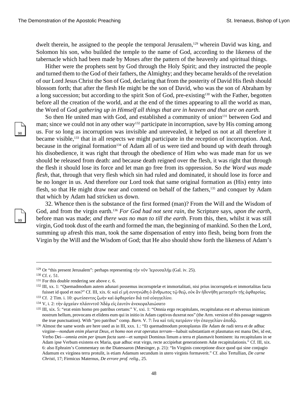dwelt therein, he assigned to the people the temporal Jerusalem,<sup>129</sup> wherein David was king, and Solomon his son, who builded the temple to the name of God, according to the likeness of the tabernacle which had been made by Moses after the pattern of the heavenly and spiritual things.

Hither were the prophets sent by God through the Holy Spirit; and they instructed the people and turned them to the God of their fathers, the Almighty; and they became heralds of the revelation of our Lord Jesus Christ the Son of God, declaring that from the posterity of David His flesh should blossom forth; that after the flesh He might be the son of David, who was the son of Abraham by a long succession; but according to the spirit Son of God, pre-existing130 with the Father, begotten before all the creation of the world, and at the end of the times appearing to all the world as man, the Word of God *gathering up in Himself all things that are in heaven and that are on earth.*

So then He united man with God, and established a community of union<sup>131</sup> between God and man; since we could not in any other way<sup>132</sup> participate in incorruption, save by His coming among us. For so long as incorruption was invisible and unrevealed, it helped us not at all therefore it became visible,133 that in all respects we might participate in the reception of incorruption. And, because in the original formation<sup>134</sup> of Adam all of us were tied and bound up with death through his disobedience, it was right that through the obedience of Him who was made man for us we should be released from death: and because death reigned over the flesh, it was right that through the flesh it should lose its force and let man go free from its oppression. So *the Word was made flesh*, that, through that very flesh which sin had ruled and dominated, it should lose its force and be no longer in us. And therefore our Lord took that same original formation as (His) entry into flesh, so that He might draw near and contend on behalf of the fathers,<sup>135</sup> and conquer by Adam that which by Adam had stricken us down.

32. Whence then is the substance of the first formed (man)? From the Will and the Wisdom of God, and from the virgin earth.<sup>136</sup> *For God had not sent rain*, the Scripture says, *upon the earth*, before man was made; *and there was no man to till the earth*. From this, then, whilst it was still virgin, God took dust of the earth and formed the man, the beginning of mankind. So then the Lord, summing up afresh this man, took the same dispensation of entry into flesh, being born from the Virgin by the Will and the Wisdom of God; that He also should show forth the likeness of Adam's

[98](http://www.ccel.org/ccel/irenaeus/demonstr/png/0106=98.htm)

[99](http://www.ccel.org/ccel/irenaeus/demonstr/png/0107=99.htm)

<sup>&</sup>lt;sup>129</sup> Or "this present Jerusalem": perhaps representing τὴν νῦν Ἰερουσαλήμ [\(Gal. iv. 25](http://www.ccel.org/b/bible/asv/xml/asv.Gal.4.xml#Gal.4.25)).

<sup>130</sup> Cf. c. 51.

<sup>&</sup>lt;sup>131</sup> For this double rendering see above c. 6.

<sup>132</sup> III, xx. 1: "Quemadmodum autem adunari possemus incorruptelæ et immortalitati, nisi prius incorruptela et immortalitas facta fuisset id quod et nos?" Cf. III, xix. 6: καὶ εἰ μἡ συνηνώθη ὁ ἄνθρωπος τῷ θεῷ, οὐκ ἂν ἠδυνήθη μετασχεῖν τῆς ἀφθαρσίας.

<sup>133</sup> Cf. [2 Tim. i. 10](http://www.ccel.org/b/bible/asv/xml/asv.iiTim.1.xml#iiTim.1.10): φωτίσαντος ζωὴν καὶ ἀφθαρσίαν διὰ τοῦ εὐαγγελίου.

<sup>134</sup> V, i. 2: τὴν ἀρχαίαν πλάσιντοῦ Ἀδάμ εἰς ἑαυτὸν ἀνεκεφαλαιώσατο

<sup>135</sup> III, xix. 5: "erat enim homo pro patribus certans:" V, xxi. 1: "Omnia ergo recapitulans, recapitulatus est et adversus inimicum nostrum hellum, provocans et elidens eum qui in initio in Adam captivos duxerat nos" (the Arm. version of this passage suggests the true punctuation). With "pro patribus" comp. *Barn.* V. 7: ἵνα καὶ τοῖς πατράσιν τὴν ἐπαγγελίαν ἀποδῷ.

<sup>136</sup> Almost the same words are here used as in III, xxx. 1.: "Et quemadmodum protoplastus ille Adam de rudi terra et de adhuc virgine—*nondum enim pluerat Deus, et homo non erat operatus terram*—habuit substantiam et plasmatus est manu Dei, id est, Verbo Dei—*omnia enim per ipsum facta sunt*—et sumpsit Dominus limum a terra et plasmavit hominem: ita recapitulans in se Adam ipse Verbum existens ex Maria, quæ adhuc erat virgo, recte accipiebat generationem Adæ recapitulationis." Cf. III, xix. 6: also Ephraim's Commentary on the Diatessaron (Mœsinger, p. 21): "In Virginis conceptione disce quod qui sine conjugio Adamum ex virginea terra protulit, is etiam Adamum secundum in utero virginis formaverit." Cf. also Tertullian, *De carne Christi*, 17; Firmicus Maternus, *De errore prof. relig.*, 25.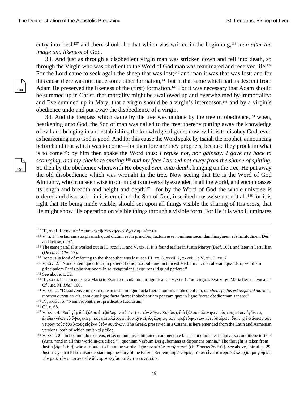entry into flesh<sup>137</sup> and there should be that which was written in the beginning,<sup>138</sup> *man after the image and likeness* of God.

33. And just as through a disobedient virgin man was stricken down and fell into death, so through the Virgin who was obedient to the Word of God man was reanimated and received life.<sup>139</sup> For the Lord came to seek again the sheep that was lost;<sup>140</sup> and man it was that was lost: and for this cause there was not made some other formation,<sup>141</sup> but in that same which had its descent from Adam He preserved the likeness of the (first) formation.<sup>142</sup> For it was necessary that Adam should be summed up in Christ, that mortality might be swallowed up and overwhelmed by immortality; and Eve summed up in Mary, that a virgin should be a virgin's intercessor, $143$  and by a virgin's obedience undo and put away the disobedience of a virgin.

34. And the trespass which came by the tree was undone by the tree of obedience,144 when, hearkening unto God, the Son of man was nailed to the tree; thereby putting away the knowledge of evil and bringing in and establishing the knowledge of good: now evil it is to disobey God, even as hearkening unto God is good. And for this cause the Word spake by Isaiah the prophet, announcing beforehand that which was to come—for therefore are they prophets, because they proclaim what is to come145: by him then spake the Word thus: *I refuse not, nor gainsay: I gave my back to scourging, and my cheeks to smiting*; <sup>146</sup> *and my face I turned not away from the shame of spitting.* So then by the obedience wherewith He obeyed *even unto death*, hanging on the tree, He put away the old disobedience which was wrought in the tree. Now seeing that He is the Word of God Almighty, who in unseen wise in our midst is universally extended in all the world, and encompasses its length and breadth and height and depth<sup>147</sup>—for by the Word of God the whole universe is ordered and disposed—in it is crucified the Son of God, inscribed crosswise upon it all:148 for it is right that He being made visible, should set upon all things visible the sharing of His cross, that He might show His operation on visible things through a visible form. For He it is who illuminates

<sup>141</sup> V, xiv. 2: "Nunc autem quod fuit qui perierat homo, hoc salutare factum est Verbum . . . non alteram quandam, sed illam principalem Patris plasmationem in se recapitulans, exquirens id quod perierat."





<sup>&</sup>lt;sup>137</sup> III, xxxi. 1: τὴν αὐτὴν ἐκείνω τῆς γεννήσεως ἔχειν ὁμοιότητα.

<sup>138</sup> V, ii. 1: "restaurans suo plasmati quod dictum est in principio, factum esse hominem secundum imaginem et similitudinem Dei:" and below, c. 97.

<sup>139</sup> The same parallel is worked out in III, xxxii. 1, and V, xix. 1. It is found earlier in Justin Martyr (*Dial*. 100), and later in Tertullian (*De carne Chr.* 17).

<sup>140</sup> Irenæus is fond of referring to the sheep that was lost: see III, xx. 3, xxxii. 2, xxxvii. 1; V, xii. 3, xv. 2

<sup>142</sup> See above, c. 32.

<sup>143</sup> III, xxxii. I: "eam quæ est a Maria in Evam recirculationem significans;" V, xix. 1: "uti virginis Evæ virgo Maria fieret advocata." Cf Just. M. *Dial.* 100.

<sup>144</sup> V, xvi. 2: "Dissolvens enim eam quæ in initio in ligno facta fuerat hominis inobedientiam, *obediens factus est usque ad mortens, mortem autem crucis*, eam quæ ligno facta fuerat inobedientiam per eam quæ in ligno fuerat obedientiam sanans."

<sup>145</sup> IV, xxxiv. 5: "Nam prophetia est prædicatio futurorum."

<sup>146</sup> Cf. c. 68.

<sup>147</sup> V, xvii. 4: Ἐπεὶ γὰρ διὰ ξύλου ἀπεβάλομεν αὐτόν (sc. τὸν λόγον Κυρίου), διὰ ξὐλου πάλιν φανερὸς τοῖς πᾶσιν ἐγένετο, ἐπιδεικνύων τὸ ὕψος καὶ μῆκος καῖ πλάτος ἐν ἑαυτῷ·καὶ, ὡς ἔφη τις τῶν προβεβηκότων πρεσβυτέρων, διὰ τῆς ἐκτάσεως τῶν χειρῶν τοὺς δὐο λαοὺς εἰς ἓνα θεὸν συνάγων. The Greek, preserved in a Catena, is here emended from the Latin and Armenian versions, both of which omit καὶ βάθος.

<sup>148</sup> V, xviii. 2: "in hoc mundo existens, et secundum invisibilitatem continet quæ facta sunt omnia, et in universa conditione infixus (Arm. "and in all this world in-crucified "), quoniam Verbum Dei gubernans et disponens omnia." The thought is taken from Justin (*Ap.* 1. 60), who attributes to Plato the words: Ἐχίασεν αὐτὸν ἐν τῷ παντί (cf. *Timæus* 36 B.C.). See above, Introd. p. 29. Justin says that Plato misunderstanding the story of the Brazen Serpent, μηδὲ νοήσας τύπον εἶναι σταυροῦ, ἀλλὰ χίασμα γοήσας, τὴν μετὰ τὸν πρῶτον θεὸν δύναμιν κεχίασθαι ἐν τῷ παντὶ εἶπε.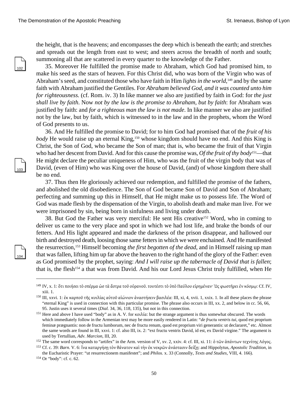[103](http://www.ccel.org/ccel/irenaeus/demonstr/png/0111=103.htm)

[104](http://www.ccel.org/ccel/irenaeus/demonstr/png/0112=104.htm)

the height, that is the heavens; and encompasses the deep which is beneath the earth; and stretches and spreads out the length from east to west; and steers across the breadth of north and south; summoning all that are scattered in every quarter to the knowledge of the Father.

35. Moreover He fulfilled the promise made to Abraham, which God had promised him, to make his seed as the stars of heaven. For this Christ did, who was born of the Virgin who was of Abraham's seed, and constituted those who have faith in Him *lights in the world*,<sup>149</sup> and by the same faith with Abraham justified the Gentiles. For *Abraham believed God, and it was counted unto him for righteousness.* (cf. [Rom. iv. 3\)](http://www.ccel.org/b/bible/asv/xml/asv.Rom.4.xml#Rom.4.3) In like manner we also are justified by faith in God: for *the just shall live by faith*. Now *not by the law is the promise to Abraham, but by faith*: for Abraham was justified by faith: and *for a righteous man the law is not made*. In like manner we also are justified not by the law, but by faith, which is witnessed to in the law and in the prophets, whom the Word of God presents to us.

36. And He fulfilled the promise to David; for to him God had promised that of the *fruit of his body* He would raise up an eternal King,<sup>150</sup> whose kingdom should have no end. And this King is Christ, the Son of God, who became the Son of man; that is, who became the fruit of that Virgin who had her descent from David. And for this cause the promise was, *Of the fruit of thy body*<sup>151</sup>—that He might declare the peculiar uniqueness of Him, who was the fruit of the virgin body that was of David, (even of Him) who was King over the house of David, (and) of whose kingdom there shall be no end.

37. Thus then He gloriously achieved our redemption, and fulfilled the promise of the fathers, and abolished the old disobedience. The Son of God became Son of David and Son of Abraham; perfecting and summing up this in Himself, that He might make us to possess life. The Word of God was made flesh by the dispensation of the Virgin, to abolish death and make man live. For we were imprisoned by sin, being born in sinfulness and living under death.

38. But God the Father was very merciful: He sent His creative<sup>152</sup> Word, who in coming to deliver us came to the very place and spot in which we had lost life, and brake the bonds of our fetters. And His light appeared and made the darkness of the prison disappear, and hallowed our birth and destroyed death, loosing those same fetters in which we were enchained. And He manifested the resurrection,153 Himself becoming *the first begotten of the dead*, and in Himself raising up man that was fallen, lifting him up far above the heaven to the right hand of the glory of the Father: even as God promised by the prophet, saying: *And I will raise up the tabernacle of David that is fallen*; that is, the flesh154 a that was from David. And his our Lord Jesus Christ truly fulfilled, when He

<sup>149</sup> IV, x. 1: ὅτι ποιήσει τὸ σπέρμα ὡσ τὰ ἄστρα τοῦ οὐρανοῦ. τουτέστι τὸ ὑπὸ Παύλου εἰρημέναν· Ὡς φωστῆρει ἐν κόσμῳ: Cf. IV, xiii. 1.

<sup>150</sup> III, xxvi. 1: ἐκ καρποῦ τῆς κυιλίας αὐτοῦ αἰώνιον ἀναστήσειν βασιλέα: III, xi, 4, xvii. 1, xxix. 1. In all these places the phrase "eternal King" is used in connection with this particular promise. The phrase also occurs in III, xx. 2, and below in cc. 56, 66, 95. Justin uses it several times (*Dial.* 34, 36, 118, 135), but not in this connection.

<sup>151</sup> Here and above I have used "body" as in A. V. for κοιλία: but the strange argument is thus somewhat obscured. The words which immediately follow in the Armenian text may be more easily rendered in Latin: "*de fructu ventris tui*, quod est proprium feminæ prægnantis: non de fructu lumborum, nec de fructu renum, quod est proprium viri generantis: ut declararet," etc. Almost the same words are found in III, xxvi. 1: cf. also III, ix. 2: "ext fructu ventris David, id est, ex David virgine." The argument is used by Tertullian, *Adv. Marcion*, III, 20.

<sup>152</sup> The same word corresponds to "artifex" in the Arm. version of V, xv. 2, xxiv. 4: cf. III, xi. 11: ὁ τῶν ἁπάντων τεχνίτης Λόγος.

<sup>153</sup> Cf. c. 39: *Barn.* V. 6: ἵνα καταργήσῃ τὸν θάνατον καὶ τὴν ἐκ νεκρῶν ἀνάστασιν δείξῃ: and Hippolytus, *Apostolic Tradition*, in the Eucharistic Prayer: "ut resurrectionem manifestet"; and *Philos.* x. 33 (Connolly, *Texts and Studies*, VIII, 4. 166).

<sup>154</sup> Or "body": cf. c. 62.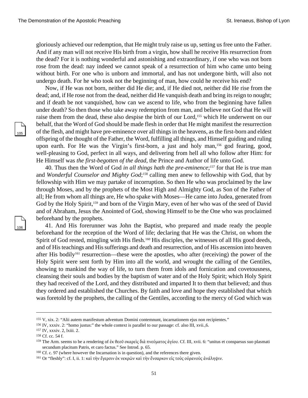gloriously achieved our redemption, that He might truly raise us up, setting us free unto the Father. And if any man will not receive His birth from a virgin, how shall he receive His resurrection from the dead? For it is nothing wonderful and astonishing and extraordinary, if one who was not born rose from the dead: nay indeed we cannot speak of a resurrection of him who came unto being without birth. For one who is unborn and immortal, and has not undergone birth, will also not undergo death. For he who took not the beginning of man, how could he receive his end?

Now, if He was not born, neither did He die; and, if He died not, neither did He rise from the dead; and, if He rose not from the dead, neither did He vanquish death and bring its reign to nought; and if death be not vanquished, how can we ascend to life, who from the beginning have fallen under death? So then those who take away redemption from man, and believe not God that He will raise them from the dead, these also despise the birth of our Lord,155 which He underwent on our behalf, that the Word of God should be made flesh in order that He might manifest the resurrection of the flesh, and might have pre-eminence over all things in the heavens, as the first-born and eldest offspring of the thought of the Father, the Word, fulfilling all things, and Himself guiding and ruling upon earth. For He was the Virgin's first-born, a just and holy man,<sup>156</sup> god fearing, good, well-pleasing to God, perfect in all ways, and delivering from hell all who follow after Him: for He Himself was *the first-begotten of the dead*, the Prince and Author of life unto God.

40. Thus then the Word of God *in all things hath the pre-eminence*; <sup>157</sup> for that He is true man and *Wonderful Counselor and Mighty God*;<sup>158</sup> calling men anew to fellowship with God, that by fellowship with Him we may partake of incorruption. So then He who was proclaimed by the law through Moses, and by the prophets of the Most High and Almighty God, as Son of the Father of all; He from whom all things are, He who spake with Moses—He came into Judea, generated from God by the Holy Spirit,<sup>159</sup> and born of the Virgin Mary, even of her who was of the seed of David and of Abraham, Jesus the Anointed of God, showing Himself to be the One who was proclaimed beforehand by the prophets.

41. And His forerunner was John the Baptist, who prepared and made ready the people beforehand for the reception of the Word of life; declaring that He was the Christ, on whom the Spirit of God rested, mingling with His flesh.<sup>160</sup> His disciples, the witnesses of all His good deeds, and of His teachings and His sufferings and death and resurrection, and of His ascension into heaven after His bodily161 resurrection—these were the apostles, who after (receiving) the power of the Holy Spirit were sent forth by Him into all the world, and wrought the calling of the Gentiles, showing to mankind the way of life, to turn them from idols and fornication and covetousness, cleansing their souls and bodies by the baptism of water and of the Holy Spirit; which Holy Spirit they had received of the Lord, and they distributed and imparted It to them that believed; and thus they ordered and established the Churches. By faith and love and hope they established that which was foretold by the prophets, the calling of the Gentiles, according to the mercy of God which was

[105](http://www.ccel.org/ccel/irenaeus/demonstr/png/0113=105.htm)

[106](http://www.ccel.org/ccel/irenaeus/demonstr/png/0114=106.htm)

<sup>155</sup> V, xix. 2: "Alii autem manifestum adventum Domini contemnunt, incarnationem ejus non recipientes."

<sup>156</sup> IV, xxxiv. 2: "homo justus:" the whole context is parallel to our passage: cf. also III, xvii.,6.

<sup>157</sup> IV, xxxiv. 2, lxiii. 2.

<sup>158</sup> Cf. cc. 54 f.

<sup>159</sup> The Arm. seems to be a rendering of ἐκ θεοῦ σκαρεὶς διὰ πνεύματος ἀγίου. Cf. III, xvii. 6: "unitus et consparsus suo plasmati secundum placitum Patris, et caro factus." See Introd. p. 65.

<sup>160</sup> Cf. c. 97 (where however the Incarnation is in question), and the references there given.

<sup>161</sup> Or "fleshly": cf. I, ii. 1: καὶ τὴν ἔγερσιν ἐκ νεκρῶν καὶ τὴν ἔνσαρκον εἰς τοὺς οὐρανοὺς ἀνάληψιν.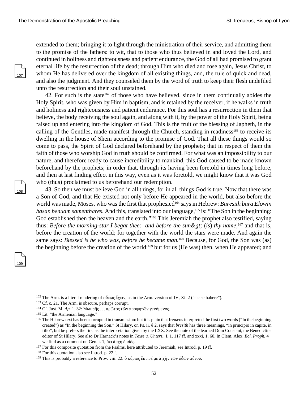[108](http://www.ccel.org/ccel/irenaeus/demonstr/png/0116=108.htm)

[109](http://www.ccel.org/ccel/irenaeus/demonstr/png/0117=109.htm)

extended to them; bringing it to light through the ministration of their service, and admitting them to the promise of the fathers: to wit, that to those who thus believed in and loved the Lord, and continued in holiness and righteousness and patient endurance, the God of all had promised to grant eternal life by the resurrection of the dead; through Him who died and rose again, Jesus Christ, to whom He has delivered over the kingdom of all existing things, and, the rule of quick and dead, and also the judgment. And they counseled them by the word of truth to keep their flesh undefiled unto the resurrection and their soul unstained.

42. For such is the state<sup>162</sup> of those who have believed, since in them continually abides the Holy Spirit, who was given by Him in baptism, and is retained by the receiver, if he walks in truth and holiness and righteousness and patient endurance. For this soul has a resurrection in them that believe, the body receiving the soul again, and along with it, by the power of the Holy Spirit, being raised up and entering into the kingdom of God. This is the fruit of the blessing of Japheth, in the calling of the Gentiles, made manifest through the Church, standing in readiness<sup>163</sup> to receive its dwelling in the house of Shem according to the promise of God. That all these things would so come to pass, the Spirit of God declared beforehand by the prophets; that in respect of them the faith of those who worship God in truth should be confirmed. For what was an impossibility to our nature, and therefore ready to cause incredibility to mankind, this God caused to be made known beforehand by the prophets; in order that, through its having been foretold in times long before, and then at last finding effect in this way, even as it was foretold, we might know that it was God who (thus) proclaimed to us beforehand our redemption.

43. So then we must believe God in all things, for in all things God is true. Now that there was a Son of God, and that He existed not only before He appeared in the world, but also before the world was made, Moses, who was the first that prophesied164 says in Hebrew: *Baresith bara Elowin basan benuam samenthares.* And this, translated into our language,<sup>165</sup> is: "The Son in the beginning: God established then the heaven and the earth."<sup>166</sup> This Jeremiah the prophet also testified, saying thus: *Before the morning-star I begat thee: and before the sun> (is) thy name;<sup>167</sup> and that is,* before the creation of the world; for together with the world the stars were made. And again the same says: *Blessed is he who was, before he became man.*168 Because, for God, the Son was (as) the beginning before the creation of the world;<sup>169</sup> but for us (He was) then, when He appeared; and

<sup>167</sup> For this composite quotation from the Psalms, here attributed to Jeremiah, see Introd. p. 19 ff.

<sup>&</sup>lt;sup>162</sup> The Arm. is a literal rendering of οὕτως ἔχειν, as in the Arm. version of IV, Xi. 2 ("sic se habere").

<sup>163</sup> Cf. c. 21. The Arm. is obscure, perhaps corrupt.

<sup>164</sup> Cf. Just. M. *Ap.* 1. 32: Μωυσῆς . . . πρῶτος τῶν προφητῶν γενόμενος.

<sup>165</sup> Lit. "the Armenian language."

<sup>166</sup> The Hebrew text has been corrupted in transmission: but it is plain that Irenæus interpreted the first two words ("In the beginning created") as "In the beginning the Son." St Hilary, on [Ps. ii.](http://www.ccel.org/b/bible/asv/xml/asv.Ps..xml#Ps..) § 2, says that *bresith* has three meanings, "in principio in capite, in filio"; but be prefers the first as the interpretation given by the LXX. See the note of the learned Dom Coustant, the Benedictine editor of St Hilary. See also Dr Harnack's notes in *Texte u. Unters.*, I, 1. 117 ff. and xxxi, 1. 60. In Clem. Alex. *Ecl. Proph.* 4 we find as a comment on [Gen. i. 1,](http://www.ccel.org/b/bible/asv/xml/asv.Gen.1.xml#Gen.1.1) ὅτι ἀρχὴ ὁ υἱός.

<sup>168</sup> For this quotation also see Introd. p. 22 f.

<sup>&</sup>lt;sup>169</sup> This is probably a reference to [Prov. viii. 22:](http://www.ccel.org/b/bible/asv/xml/asv.Prov.8.xml#Prov.8.22) ὁ κύριος ἔκτισέ με ἀιχὴν τῶν ὁδῶν αὐτοῦ.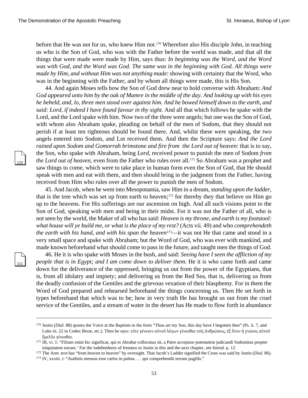before that He was not for us, who knew Him not.<sup>170</sup> Wherefore also His disciple John, in teaching us who is the Son of God, who was with the Father before the world was made, and that all the things that were made were made by Him, says thus: *In beginning was the Word, and the Word was with God, and the Word was God. The same was in the beginning with God. All things were made by Him, and without Him was not anything made*: showing with certainty that the Word, who was in the beginning with the Father, and by whom all things were made, this is His Son.

44. And again Moses tells how the Son of God drew near to hold converse with Abraham: *And God appeared unto him by the oak of Mamre in the middle of the day. And looking up with his eyes he beheld, and, lo, three men stood over against him. And he bowed himself down to the earth, and said: Lord, if indeed I have found favour in thy sight.* And all that which follows he spake with the Lord, and the Lord spake with him. Now two of the three were angels; but one was the Son of God, with whom also Abraham spake, pleading on behalf of the men of Sodom, that they should not perish if at least ten righteous should be found there. And, whilst these were speaking, the two angels entered into Sodom, and Lot received them. And then the Scripture says: *And the Lord rained upon Sodom and Gomorrah brimstone and fire from the Lord out of heaven*: that is to say, the Son, who spake with Abraham, being *Lord*, received power to punish the men of Sodom *from the Lord out of heaven*, even from the Father who rules over all.<sup>171</sup> So Abraham was a prophet and saw things to come, which were to take place in human form even the Son of God, that He should speak with men and eat with them, and then should bring in the judgment from the Father, having received from Him who rules over all the power to punish the men of Sodom.

45. And Jacob, when he went into Mesopotamia, saw Him in a dream, *standing upon the ladder*, that is the tree which was set up from earth to heaven;<sup>172</sup> for thereby they that believe on Him go up to the heavens. For His sufferings are our ascension on high. And all such visions point to the Son of God, speaking with men and being in their midst. For it was not the Father of all, who is not seen by the world, the Maker of all who has said: *Heaven is my throne, and earth is my footstool: what house will ye build me, or what is the place of my rest?* [\(Acts vii. 49\)](http://www.ccel.org/b/bible/asv/xml/asv.Acts.7.xml#Acts.7.49) and who *comprehendeth the earth with his hand, and with his span the heaven*173—it was not He that came and stood in a very small space and spake with Abraham; but the Word of God, who was ever with mankind, and made known beforehand what should come to pass in the future, and taught men the things of God.

[111](http://www.ccel.org/ccel/irenaeus/demonstr/png/0119=111.htm)

[110](http://www.ccel.org/ccel/irenaeus/demonstr/png/0118=110.htm)

46. He it is who spake with Moses in the bush, and said: *Seeing have I seen the affliction of my people that is in Egypt; and I am come down to deliver them.* He it is who came forth and came down for the deliverance of the oppressed, bringing us out from the power of the Egyptians, that is, from all idolatry and impiety; and delivering us from the Red Sea, that is, delivering us from the deadly confusion of the Gentiles and the grievous vexation of their blasphemy. For in them the Word of God prepared and rehearsed beforehand the things concerning us. Then He set forth in types beforehand that which was to be; how in very truth He has brought us out from the cruel service of the Gentiles, and a stream of water in the desert has He made to flow forth in abundance

<sup>172</sup> The Arm. text has "from heaven to heaven" by oversight. That Jacob's Ladder signified the Cross was said by Justin (*Dial.* 86). <sup>173</sup> IV, xxxiii. i: "Audistis mensos esse cælos in palma . . . qui comprehendit terram pugillo."

<sup>&</sup>lt;sup>170</sup> Justin (*Dial.* 88) quotes the Voice at the Baptism in the form "Thou art my Son, this day have I begotten thee" ([Ps. ii. 7,](http://www.ccel.org/b/bible/asv/xml/asv.Ps.2.xml#Ps.2.7) and [Luke iii. 22](http://www.ccel.org/b/bible/asv/xml/asv.Luke.3.xml#Luke.3.22) in Codex Bezæ, etc.). Then he says: τότε γένεσιν αὐτοῦ λέγων γίνεσθαι τοῖς ἀνθρώποις, ἐξ ὅτου ἡ γνῶσις αὐτοῦ ἔμελλε γίνεσθαι.

<sup>171</sup> III, vi. 1: "Filium enim hic significat, qui et Abrahæ collocutus sit, a Patre accepisse potestatem judicandi Sodomitas propter iniquitatem eorum.' For the indebtedness of Irenæus to Justin in this and the next chapter, see Introd. p. 12.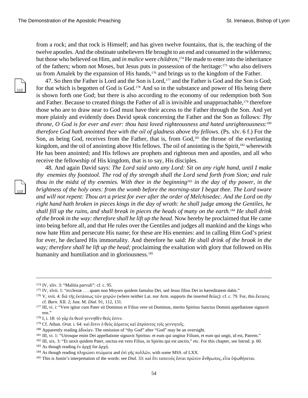[113](http://www.ccel.org/ccel/irenaeus/demonstr/png/0121=113.htm)

from a rock; and that rock is Himself; and has given twelve fountains, that is, the teaching of the twelve apostles. And the obstinate unbelievers He brought to an end and consumed in the wilderness; but those who believed on Him, and *in malice* were *children*, <sup>174</sup> He made to enter into the inheritance of the fathers; whom not Moses, but Jesus puts in possession of the heritage:<sup>175</sup> who also delivers us from Amalek by the expansion of His hands,<sup>176</sup> and brings us to the kingdom of the Father.

47. So then the Father is Lord and the Son is Lord,<sup>177</sup> and the Father is God and the Son is God; for that which is begotten of God is God.<sup>178</sup> And so in the substance and power of His being there is shown forth one God; but there is also according to the economy of our redemption both Son and Father. Because to created things the Father of all is invisible and unapproachable,179 therefore those who are to draw near to God must have their access to the Father through the Son. And yet more plainly and evidently does David speak concerning the Father and the Son as follows: *Thy throne, O God is for ever and ever: thou hast loved righteousness and hated unrighteousness*: 180 *therefore God hath anointed thee with the oil of gladness above thy fellows*. ([Ps. xlv. 6 f.](http://www.ccel.org/b/bible/asv/xml/asv.Ps.45.xml#Ps.45.6)) For the Son, as being God, receives from the Father, that is, from God,<sup>181</sup> the throne of the everlasting kingdom, and the oil of anointing above His fellows. The oil of anointing is the Spirit,<sup>182</sup> wherewith He has been anointed; and His fellows are prophets and righteous men and apostles, and all who receive the fellowship of His kingdom, that is to say, His disciples.

48. And again David says: *The Lord said unto any Lord: Sit on any right hand, until I make thy enemies thy footstool. The rod of thy strength shall the Lord send forth from Sion; and rule thou in the midst of thy enemies. With thee in the beginning*<sup>183</sup> *in the day of thy power, in the brightness of the holy ones: from the womb before the morning-star I begat thee. The Lord sware and will not repent: Thou art a priest for ever after the order of Melchisedec. And the Lord on thy right hand hath broken in pieces kings in the day of wrath: he shall judge among the Gentiles, he shall fill up the ruins, and shall break in pieces the heads of many on the earth.*<sup>184</sup> *He shall drink of the brook in the way: therefore shall he lift up the head.* Now hereby he proclaimed that He came into being before all, and that He rules over the Gentiles and judges all mankind and the kings who now hate Him and persecute His name; for these are His enemies: and in calling Him God's priest for ever, he declared His immortality. And therefore he said: *He shall drink of the brook in the way; therefore shall he lift up the head;* proclaiming the exaltation with glory that followed on His humanity and humiliation and in gloriousness.<sup>185</sup>

<sup>174</sup> IV, xliv. 3: "Malitia parvuli": cf. c. 95.

<sup>175</sup> IV, xlvii. 1: "ecclesiæ . . . quam non Moyses quidem famulus Dei, sed Jesus filius Dei in hæreditatem dabit."

<sup>&</sup>lt;sup>176</sup> V, xvii. 4: διὰ τῆς ἐκτάσεως τῶν χειρῶν (where neither Lat. nor Arm. supports the inserted θείας): cf. c. 79. For, this ἔκτασις cf. *Barn.* XII. 2; Just. M. *Dial.* 91, 112, 131.

<sup>177</sup> III, vi. i: "Vere igitur cum Pater sit Dominus et Filius vere sit Dominus, merito Spiritus Sanctus Domini appellatione signavit eos."

<sup>178</sup> I, i. 18: τὸ γὰρ ἐκ θεοῦ γεννηθὲν θεός ἐστιν.

<sup>179</sup> Cf. Athan. *Orat.* i. 64: καὶ ἔστιν ὁ θεὸς ἀόρατος καὶ ἀπρόσιτος τοῖς γεννητοῖς.

<sup>&</sup>lt;sup>180</sup> Apparently reading ἀδικίαν. The omission of "thy God" after "God" may be an oversight.

<sup>181</sup> III, vi. 1: "Utrosque enim Dei appellatione signavit Spiritus: et eum qui ungitur Filium, et eum qui ungit, id est, Patrem."

<sup>182</sup> III, xix. 3: "Et unxit quidem Pater, unctus est vero Filius, in Spiritu qui est unctio," etc. For this chapter, see Introd. p. 60.

<sup>&</sup>lt;sup>183</sup> As though reading ἐν ἀρχῆ for ἀρχή.

<sup>&</sup>lt;sup>184</sup> As though reading πληρώσει πτώματα and ἐπὶ γῆς πολλῶν, with some MSS. of LXX.

<sup>185</sup> This is Justin's interpretation of the words: see *Dial.* 33: καὶ ὅτι ταπεινὸς ἔσται πρῶτον ἄνθρωπος, εἶτα ὑψωθήσεται.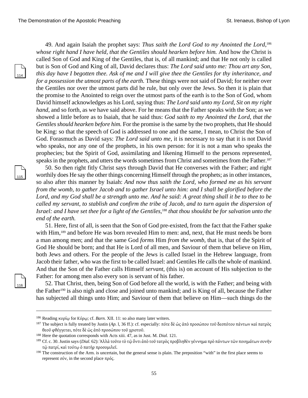[115](http://www.ccel.org/ccel/irenaeus/demonstr/png/0123=115.htm)

[116](http://www.ccel.org/ccel/irenaeus/demonstr/png/0124=116.htm)

49. And again Isaiah the prophet says: *Thus saith the Lord God to my Anointed the Lord*, 186 *whose right hand I have held, that the Gentiles should hearken before him.* And how the Christ is called Son of God and King of the Gentiles, that is, of all mankind; and that He not only is called but is Son of God and King of all, David declares thus: *The Lord said unto me: Thou art any Son, this day have I begotten thee. Ask of me and I will give thee the Gentiles for thy inheritance, and for a possession the utmost parts of the earth.* These things were not said of David; for neither over the Gentiles nor over the utmost parts did he rule, but only over the Jews. So then it is plain that the promise to the Anointed to reign over the utmost parts of the earth is to the Son of God, whom David himself acknowledges as his Lord, saying thus: *The Lord said unto my Lord, Sit on my right hand*, and so forth, as we have said above. For he means that the Father speaks with the Son; as we showed a little before as to Isaiah, that he said thus: *God saith to my Anointed the Lord, that the Gentiles should hearken before him.* For the promise is the same by the two prophets, that He should be King: so that the speech of God is addressed to one and the same, I mean, to Christ the Son of God. Forasmuch as David says: *The Lord said unto me*, it is necessary to say that it is not David who speaks, nor any one of the prophets, in his own person: for it is not a man who speaks the prophecies; but the Spirit of God, assimilating and likening Himself to the persons represented, speaks in the prophets, and utters the words sometimes from Christ and sometimes from the Father.<sup>187</sup>

50. So then right fitly Christ says through David that He converses with the Father; and right worthily does He say the other things concerning Himself through the prophets; as in other instances, so also after this manner by Isaiah: *And now thus saith the Lord, who formed me as his servant from the womb, to gather Jacob and to gather Israel unto him: and I shall be glorified before the Lord, and my God shall be a strength unto me. And he said: A great thing shall it be to thee to be called my servant, to stablish and confirm the tribe of Jacob, and to turn again the dispersion of* Israel: and I have set thee for a light of the Gentiles,<sup>188</sup> that thou shouldst be for salvation unto the *end of the earth.*

51. Here, first of all, is seen that the Son of God pre-existed, from the fact that the Father spake with Him,<sup>189</sup> and before He was born revealed Him to men: and, next, that He must needs be born a man among men; and that the same God *forms* Him *from the womb*, that is, that of the Spirit of God He should be born; and that He is Lord of all men, and Saviour of them that believe on Him, both Jews and others. For the people of the Jews is called Israel in the Hebrew language, from Jacob their father, who was the first to be called Israel: and Gentiles He calls the whole of mankind. And that the Son of the Father calls Himself *servant*, (this is) on account of His subjection to the Father: for among men also every son is servant of his father.

52. That Christ, then, being Son of God before all the world, is with the Father; and being with the Father190 is also nigh and close and joined unto mankind; and is King of all, because the Father has subjected all things unto Him; and Saviour of them that believe on Him—such things do the

<sup>&</sup>lt;sup>186</sup> Reading κυρίω for Κύρω; cf. *Barn.* XII. 11: so also many later writers.

<sup>187</sup> The subject is fully treated by Justin (*Ap.* l, 36 ff.): cf. especially: πότε δὲ ὡς ἀπὸ προσώπου τοῦ δεσπότου πάντων καὶ πατρὸς θεοῦ φθέγγεται, πότε δὲ ὡς ἀπὸ προσώπου τοῦ χριστοῦ.

<sup>188</sup> Here the quotation corresponds with [Acts xiii. 47,](http://www.ccel.org/b/bible/asv/xml/asv.Acts.13.xml#Acts.13.47) as in Just. M. *Dial.* 121.

<sup>189</sup> Cf. c. 30. Justin says (*Dial.* 62): Ἀλλὰ τοῦτο τὸ τῷ ὄντι ἀπὸ τοῦ τατρὸς προβληθὲν γέννημα πρὸ πάντων τῶν ποιημάτων συνῆν τῷ πατρί, καὶ τούτῳ ὁ πατὴρ προσομιλεῖ.

<sup>190</sup> The construction of the Arm. is uncertain, but the general sense is plain. The preposition "with" in the first place seems to represent σύν, in the second place πρός.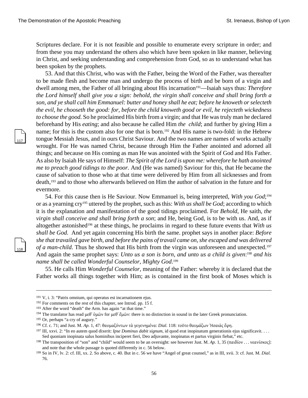[118](http://www.ccel.org/ccel/irenaeus/demonstr/png/0126=118.htm)

Scriptures declare. For it is not feasible and possible to enumerate every scripture in order; and from these you may understand the others also which have been spoken in like manner, believing in Christ, and seeking understanding and comprehension from God, so as to understand what has been spoken by the prophets.

53. And that this Christ, who was with the Father, being the Word of the Father, was thereafter to be made flesh and become man and undergo the process of birth and be born of a virgin and dwell among men, the Father of all bringing about His incarnation<sup>191</sup>—Isaiah says thus: *Therefore the Lord himself shall give you a sign: behold, the virgin shall conceive and shall bring forth a son, and ye shall call him Emmanuel: butter and honey shall he eat; before he knoweth or selecteth the evil, he chooseth the good: for, before the child knoweth good or evil, he rejecteth wickedness to choose the good.* So he proclaimed His birth from a virgin; and that He was truly man he declared beforehand by His *eating*; and also because he called Him *the child*; and further by giving Him a name; for this is the custom also for one that is born.<sup>192</sup> And His name is two-fold: in the Hebrew tongue Messiah Jesus, and in ours Christ Saviour. And the two names are names of works actually wrought. For He was named Christ, because through Him the Father anointed and adorned all things; and because on His coming as man He was anointed with the Spirit of God and His Father. As also by Isaiah He says of Himself: *The Spirit of the Lord is upon me: wherefore he hath anointed me to preach good tidings to the poor.* And (He was named) Saviour for this, that He became the cause of salvation to those who at that time were delivered by Him from all sicknesses and from death,<sup>193</sup> and to those who afterwards believed on Him the author of salvation in the future and for evermore.

54. For this cause then is He Saviour. Now Emmanuel is, being interpreted, *With you God*; 194 or as a yearning cry195 uttered by the prophet, such as this: *With us shall be God*; according to which it is the explanation and manifestation of the good tidings proclaimed. For *Behold*, He saith, *the virgin shall conceive and shall bring forth a son*; and He, being God, is to be with us. And, as if altogether astonished196 at these things, he proclaims in regard to these future events that *With us shall be God.* And yet again concerning His birth the same. prophet says in another place: *Before she that travailed gave birth, and before the pains of travail came on, she escaped and was delivered of a man-child*. Thus he showed that His birth from the virgin was unforeseen and unexpected.<sup>197</sup> And again the same prophet says: *Unto us a son is born, and unto us a child is given*: <sup>198</sup> *and his name shall be called Wonderful Counselor, Mighty God*. 199

55. He calls Him *Wonderful Counselor*, meaning of the Father: whereby it is declared that the Father works all things together with Him; as is contained in the first book of Moses which is

<sup>195</sup> Or, perhaps "a cry of augury."

<sup>191</sup> V, i. 3: "Patris omnium, qui operatus est incarnationem ejus.

<sup>192</sup> For comments on the rest of this chapter, see Introd. pp. 15 f.

<sup>193</sup> After the word "death" the Arm. has again "at that time."

<sup>&</sup>lt;sup>194</sup> The translator has read μεθ<sup>'</sup> ὑμῶν for μεθ<sup>'</sup> ἔμῶν: there is no distinction in sound in the later Greek pronunciation.

<sup>196</sup> Cf. c. 71; and Just. M. *Ap.* 1, 47: θαυμαζόντων τὰ γεγενημένα: *Dial.* 118: τοῦτο θαυμάζων Ἠσαιὰς ἔφη.

<sup>197</sup> III, xxvi. 2: "In eo autem quod dixerit: *Ipse Dominus dabit signum*, id quod erat inopinatum generationis ejus significavit. . . . Sed quoniam inopinata salus hominibus inciperet fieri, Deo adjuvante, inopinatus et partus virginis fiebat," etc.

<sup>198</sup> The transposition of "son" and "child" would seem to be an oversight: see however Just. M. *Ap.* 1, 35 (παιδίον . . . νεανίσκος]: and note that the whole passage is quoted differently in c. 56 below.

<sup>199</sup> So in IV, lv. 2: cf. III, xx. 2. So above, c. 40. But in c. 56 we have "Angel of great counsel," as in III, xvii. 3: cf. Just. M. *Dial.* 76.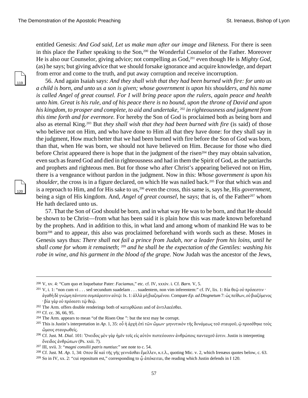[120](http://www.ccel.org/ccel/irenaeus/demonstr/png/0128=120.htm)

entitled Genesis: *And God said, Let us make man after our image and likeness.* For there is seen in this place the Father speaking to the Son,<sup>200</sup> the Wonderful Counselor of the Father. Moreover He is also our Counselor, giving advice; not compelling as God,201 even though He is *Mighty God*, (as) he says; but giving advice that we should forsake ignorance and acquire knowledge, and depart from error and come to the truth, and put away corruption and receive incorruption.

56. And again Isaiah says: *And they shall wish that they had been burned with fire: for unto us a child is born, and unto us a son is given; whose government is upon his shoulders, and his name is called Angel of great counsel. For I will bring peace upon the rulers, again peace and health unto him. Great is his rule, and of his peace there is no bound, upon the throne of David and upon his kingdom, to prosper and complete, to aid and undertake,* <sup>202</sup> *in righteousness and judgment from this time forth and for evermore.* For hereby the Son of God is proclaimed both as being born and also as eternal King.203 But *they shall wish that they had been burned with fire* (is said) of those who believe not on Him, and who have done to Him all that they have done: for they shall say in the judgment, How much better that we had been burned with fire before the Son of God was born, than that, when He was born, we should not have believed on Him. Because for those who died before Christ appeared there is hope that in the judgment of the risen<sup>204</sup> they may obtain salvation, even such as feared God and died in righteousness and had in them the Spirit of God, as the patriarchs and prophets and righteous men. But for those who after Christ's appearing believed not on Him, there is a vengeance without pardon in the judgment. Now in this: *Whose government is upon his* shoulder, the cross is in a figure declared, on which He was nailed back.<sup>205</sup> For that which was and is a reproach to Him, and for His sake to us,<sup>206</sup> even the cross, this same is, says he, His *government*, being a sign of His kingdom. And, *Angel of great counsel*, he says; that is, of the Father<sup>207</sup> whom He hath declared unto us.

57. That the Son of God should be born, and in what way He was to be born, and that He should be shown to be Christ—from what has been said it is plain how this was made known beforehand by the prophets. And in addition to this, in what land and among whom of mankind He was to be born<sup>208</sup> and to appear, this also was proclaimed beforehand with words such as these. Moses in Genesis says thus: *There shall not fail a prince from Judah, nor a leader from his loins, until he shall come for whom it remaineth*; 209 *and he shall be the expectation of the Gentiles: washing his robe in wine, and his garment in the blood of the grape.* Now Judah was the ancestor of the Jews,

<sup>200</sup> V, xv. 4: "Cum quo et loquebatur Pater: *Faciamus*," etc. cf. IV, xxxiv. i. Cf. *Barn.* V, 5.

<sup>&</sup>lt;sup>201</sup> V, i. 1: "non cum vi . . . sed secundum suadelam . . . suadentem, non vim inferentem:" cf. IV, lix. 1: Βία θεῷ οὐ πρόσεστιν · ἀγαθὴ δὲ γνώμη πάντοτε συμπάρεστιν αὐτῷ: lx. 1: ἀλλὰ μὴ βιαζομένου. Compare *Ep. ad Diognetum* 7: ὡς πείθων, οὐ βιαζόμενος · βία γὰρ οὐ πρόσεστι τῷ θεῷ.

<sup>202</sup> The Arm. offers double renderings both of κατορθῶσαι and of ἀντιλαεέσθαι.

<sup>203</sup> Cf. cc. 36, 66, 95.

<sup>204</sup> The Arm. appears to mean "of the Risen One ": but the text may be corrupt.

<sup>205</sup> This is Justin's interpretation in *Ap*. 1, 35: οὗ ἡ ἀρχὴ ἐπὶ τῶν ὤμων· μηνυτικὸν τῆς δυνάμεως τοῦ σταυροῦ, ῷ προσέθηκε τοὺς ὤμους σταυρωθείς.

<sup>206</sup> Cf. Just. M. *Dial.* 101: Ὄνειδος μὲν γὰρ ἡμῖν τοῖς εἰς αὐτὸν πιστεύουσιν ἀνθρώποις πανταχοῦ ἐστιν. Justin is interpreting ὄνειδος ἀνθρώπων [\(Ps. xxii. 7](http://www.ccel.org/b/bible/asv/xml/asv.Ps.22.xml#Ps.22.7)).

<sup>207</sup> III, xvii. 3: "*magni consilii patris nuntius*:" see note to c. 54.

<sup>208</sup> Cf. Just. M. *Ap.* 1, 34: Οπου δὲ καὶ τῆς γῆς γεννᾶσθαι ἔμελλεν, κ.τ.λ., quoting [Mic. v. 2](http://www.ccel.org/b/bible/asv/xml/asv.Mic.5.xml#Mic.5.2), which Irenæus quotes below, c. 63.

<sup>&</sup>lt;sup>209</sup> So in IV, xx. 2: "cui repositum est," corresponding to ὦ ἀπόκειται, the reading which Justin defends in I 120.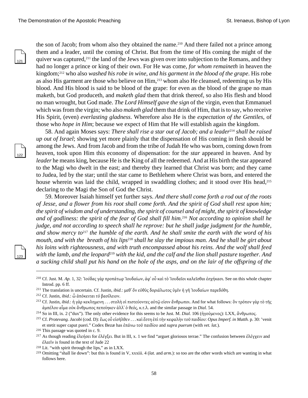[122](http://www.ccel.org/ccel/irenaeus/demonstr/png/0130=122.htm)

[123](http://www.ccel.org/ccel/irenaeus/demonstr/png/0131=123.htm)

the son of Jacob; from whom also they obtained the name.<sup>210</sup> And there failed not a prince among them and a leader, until the coming of Christ. But from the time of His coming the might of the quiver was captured, $2^{11}$  the land of the Jews was given over into subjection to the Romans, and they had no longer a prince or king of their own. For He was come, *for whom remaineth* in heaven the kingdom;212 who also *washed his robe in wine, and his garment in the blood of the grape*. His robe as also His garment are those who believe on Him,<sup>213</sup> whom also He cleansed, redeeming us by His blood. And His blood is said to be blood of the grape: for even as the blood of the grape no man maketh, but God produceth, and *maketh glad* them that drink thereof, so also His flesh and blood no man wrought, but God made. *The Lord Himself gave the sign* of the virgin, even that Emmanuel which was from the virgin; who also *maketh glad* them that drink of Him, that is to say, who receive His Spirit, (even) *everlasting gladness*. Wherefore also He is the *expectation of the Gentiles*, of those who *hope in Him*; because we expect of Him that He will establish again the kingdom.

58. And again Moses says: *There shall rise a star out of Jacob; and a leader*<sup>214</sup> *shall be raised up out of Israel*; showing yet more plainly that the dispensation of His coming in flesh should be among the Jews. And from Jacob and from the tribe of Judah He who was born, coming down from heaven, took upon Him this economy of dispensation: for the *star* appeared in heaven. And by *leader* he means king, because He is the King of all the redeemed. And at His birth the star appeared to the Magi who dwelt in the east; and thereby they learned that Christ was born; and they came to Judea, led by the star; until the star came to Bethlehem where Christ was born, and entered the house wherein was laid the child, wrapped in swaddling clothes; and it stood over His head,<sup>215</sup> declaring to the Magi the Son of God the Christ.

59. Moreover Isaiah himself yet further says. *And there shall come forth a rod out of the roots of Jesse, and a flower from his root shall come forth. And the spirit of God shall rest upon him; the spirit of wisdom and of understanding, the spirit of counsel and of might, the spirit of knowledge and of godliness: the spirit of the fear of God shall fill him.*<sup>216</sup> *Not according to opinion shall he judge, and not according to speech shall he reprove: but he shall judge judgment for the humble, and show mercy to*217 *the humble of the earth. And he shall smite the earth with the word of his mouth, and with the breath of his lips*<sup>218</sup> *shall he slay the impious man. And he shall be girt about his loins with righteousness, and with truth encompassed about his reins. And the wolf shall feed with the lamb, and the leopard*<sup>219</sup> *with the kid, and the calf and the lion shall pasture together. And a sucking child shall put his hand on the hole of the asps, and on the lair of the offspring of the*

<sup>210</sup> Cf. Just. M. *Ap.* 1, 32: Ἰούδας γὰρ προπάτωρ Ἰουδαίων, ἀφ᾽ οὖ καὶ τὸ Ἰουδαῖοι καλεῖσθαι ἐσχήκασι. See on this whole chapter Introd. pp. 6 ff.

<sup>211</sup> The translation is uncertain. Cf. Justin, *ibid.*: μεθ᾽ ὅν εὐθὺς δοριάλωτος ὑμῖν ἡ γῆ Ἰουδαίων παρεδόθη.

<sup>212</sup> Cf. Justin, *ibid.*: ὧ ἀπόκειται τό βασίλειον.

<sup>213</sup> Cf. Justin, *ibid.*: ἡ γὰρ κεκλημενη . . . στολὴ οἱ πιστεύοντες αὐτῷ εἰσιν ἄνθρωποι. And for what follows: ὃν τρόπον γὰρ τὸ τῆς ἀμπέλου αἷμα οὐκ ἄνθρωπος πεποίηκεν ἀλλ᾽ ὁ θεός, κ.τ.λ. and the similar passage in *Dial.* 54.

<sup>214</sup> So in III, ix. 2 ("dux"). The only other evidence for this seems to be Just. M. *Dial.* 106 (ἡγοὐμενος): LXX, ἄνθρωπος.

<sup>215</sup> Cf. *Protevang. Jacobi* (cod. D): ἕως οὗ εἰσῆλθεν . . . καὶ ἔστη ἐπὶ τὴν κεφαλὴν τοῦ παιδίου: *Opus Imperf. in Matth.* p. 30: 'venit et stetit super caput pueri." Codex Bezæ has ἐπάνω τοῦ παιδίου and *supra puerum* (with *vet. lat.*).

<sup>216</sup> This passage was quoted in c. 9.

<sup>217</sup> As though reading ἐλεήσει for ἐλέγξει. But in III, x. 1 we find "arguet gloriosos terrae." The confusion between ἐλέγχειν and ἐλεεῖν is found in the text of [Jude 22](http://www.ccel.org/b/bible/asv/xml/asv.Jude.1.xml#Jude.1.22)

<sup>218</sup> Lit. "with spirit through the lips," as in LXX.

<sup>219</sup> Omitting "shall lie down": but this is found in V, xxxiii. 4 (*lat.* and *arm.*): so too are the other words which are wanting in what follows here.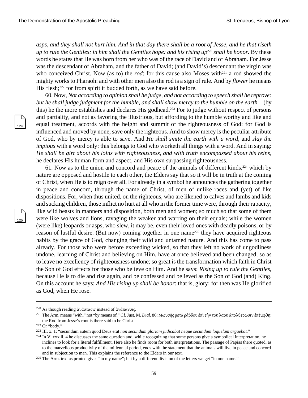*asps, and they shall not hurt him. And in that day there shall be a root of Jesse, and he that riseth up to rule the Gentiles: in him shall the Gentiles hope: and his rising up*<sup>220</sup> *shall be honor.* By these words he states that He was born from her who was of the race of David and of Abraham. For Jesse was the descendant of Abraham, and the father of David; (and David's) descendant the virgin was who conceived Christ. Now (as to) the *rod*: for this cause also Moses with<sup>221</sup> a rod showed the mighty works to Pharaoh: and with other men also the rod is a sign of rule. And by *flower* he means His flesh;<sup>222</sup> for from spirit it budded forth, as we have said before.

60. Now, *Not according to opinion shall he judge, and not according to speech shall he reprove: but he shall judge judgment for the humble, and shall show mercy to the humble on the earth*—(by this) he the more establishes and declares His godhead.223 For to judge without respect of persons and partiality, and not as favoring the illustrious, but affording to the humble worthy and like and equal treatment, accords with the height and summit of the righteousness of God: for God is influenced and moved by none, save only the righteous. And to show mercy is the peculiar attribute of God, who by mercy is able to save. And *He shall smite the earth with a word*, and *slay the impious* with a word only: this belongs to God who worketh all things with a word. And in saying: *He shall be girt about his loins with righteousness, and with truth encompassed about his reins*, he declares His human form and aspect, and His own surpassing righteousness.

61. Now as to the union and concord and peace of the animals of different kinds,  $224$  which by nature are opposed and hostile to each other, the Elders say that so it will be in truth at the coming of Christ, when He is to reign over all. For already in a symbol he announces the gathering together in peace and concord, through the name of Christ, of men of unlike races and (yet) of like dispositions. For, when thus united, on the righteous, who are likened to calves and lambs and kids and sucking children, those inflict no hurt at all who in the former time were, through their rapacity, like wild beasts in manners and disposition, both men and women; so much so that some of them were like wolves and lions, ravaging the weaker and warring on their equals; while the women (were like) leopards or asps, who slew, it may be, even their loved ones with deadly poisons, or by reason of lustful desire. (But now) coming together in one name<sup>225</sup> they have acquired righteous habits by the grace of God, changing their wild and untamed nature. And this has come to pass already. For those who were before exceeding wicked, so that they left no work of ungodliness undone, learning of Christ and believing on Him, have at once believed and been changed, so as to leave no excellency of righteousness undone; so great is the transformation which faith in Christ the Son of God effects for those who believe on Him. And he says: *Rising up to rule the Gentiles*, because He is to die and rise again, and be confessed and believed as the Son of God (and) King. On this account he says: *And His rising up shall be honor*: that is, glory; for then was He glorified as God, when He rose.

[124](http://www.ccel.org/ccel/irenaeus/demonstr/png/0132=124.htm)

[125](http://www.ccel.org/ccel/irenaeus/demonstr/png/0133=125.htm)

<sup>220</sup> As though reading ἀνάστασις instead of ἀνάπανσις.

<sup>221</sup> The Arm. means "with," not "by means of." Cf. Just. M. *Dial.* 86: Μωυσῆς μετὰ ῥάβδου ἐπὶ τὴν τοῦ λαοῦ ἀπολύτρωσιν ἐπέμφθη: the Rod from Jesse's root is there said to be Christ

<sup>222</sup> Or "body."

<sup>223</sup> III, x. 1: "secundum autem quod Deus erat *non secundum gloriam judicabat neque secundum loquelam arguebat.*"

 $224$  In V, xxxiii. 4 he discusses the same question and, while recognizing that some persons give a symbolical interpretation, he inclines to look for a literal fulfillment. Here also he finds room for both interpretations. The passage of Papias there quoted, as to the marvellous productivity of the millennial period, ends with the statement that the animals will live in peace and concord and in subjection to man. This explains the reference to the Elders in our text.

<sup>225</sup> The Arm. text as printed gives "in my name"; but by a different division of the letters we get "in one name."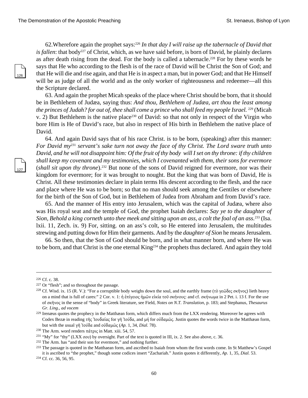[127](http://www.ccel.org/ccel/irenaeus/demonstr/png/0135=127.htm)

62.Wherefore again the prophet says:<sup>226</sup> *In that day I will raise up the tabernacle of David that is fallen*: that body<sup>227</sup> of Christ, which, as we have said before, is born of David, he plainly declares as after death rising from the dead. For the body is called a tabernacle.228 For by these words he says that He who according to the flesh is of the race of David will be Christ the Son of God; and that He will die and rise again, and that He is in aspect a man, but in power God; and that He Himself will be as judge of all the world and as the only worker of righteousness and redeemer—all this the Scripture declared.

63. And again the prophet Micah speaks of the place where Christ should be born, that it should be in Bethlehem of Judæa, saying thus: *And thou, Bethlehem of Judæa, art thou the least among the princes of Judah? for out of, thee shall come a prince who shall feed my people Israel.* <sup>229</sup> ([Micah](http://www.ccel.org/b/bible/asv/xml/asv.Mic.5.xml#Mic.5.2) [v. 2](http://www.ccel.org/b/bible/asv/xml/asv.Mic.5.xml#Mic.5.2)) But Bethlehem is the native place<sup>230</sup> of David: so that not only in respect of the Virgin who bore Him is He of David's race, but also in respect of His birth in Bethlehem the native place of David.

64. And again David says that of his race Christ. is to be born, (speaking) after this manner: *For David my*231 *servant's sake turn not away the face of thy Christ. The Lord sware truth unto David, and he will not disappoint him: Of the fruit of thy body will I set on thy throne: if thy children shall keep my covenant and my testimonies, which I covenanted with them, their sons for evermore* (*shall sit upon thy throne*).232 But none of the sons of David reigned for evermore, nor was their kingdom for evermore; for it was brought to nought. But the king that was born of David, He is Christ. All these testimonies declare in plain terms His descent according to the flesh, and the race and place where He was to be born; so that no man should seek among the Gentiles or elsewhere for the birth of the Son of God, but in Bethlehem of Judea from Abraham and from David's race.

65. And the manner of His entry into Jerusalem, which was the capital of Judæa, where also was His royal seat and the temple of God, the prophet Isaiah declares: *Say ye to the daughter of Sion, Behold a king corneth unto thee meek and sitting upon an ass, a colt the foal of an ass.*233 [\(Isa.](http://www.ccel.org/b/bible/asv/xml/asv.Isa.62.xml#Isa.62.11) [lxii. 11](http://www.ccel.org/b/bible/asv/xml/asv.Isa.62.xml#Isa.62.11), [Zech. ix. 9\)](http://www.ccel.org/b/bible/asv/xml/asv.Zech.9.xml#Zech.9.9) For, sitting. on an ass's colt, so He entered into Jerusalem, the multitudes strewing and putting down for Him their garments. And by the *daughter of Sion* he means Jerusalem.

66. So then, that the Son of God should be born, and in what manner born, and where He was to be born, and that Christ is the one eternal King234 the prophets thus declared. And again they told

<sup>226</sup> Cf. c. 38.

<sup>227</sup> Or "flesh"; and so throughout the passage.

<sup>&</sup>lt;sup>228</sup> Cf. [Wisd. ix. 15](http://www.ccel.org/b/bible/asv/xml/asv.Wis.9.xml#Wis.9.15) (R. V.): "For a corruptible body weighs down the soul, and the earthly frame (τὸ γεῶδες σκῆνος) lieth heavy on a mind that is full of cares:" [2 Cor. v. 1](http://www.ccel.org/b/bible/asv/xml/asv.iiCor.5.xml#iiCor.5.1): ἡ ἐπίγειος ἡμῶν εἰκία τοῦ σκήνους: and cf. σκήνωμα in [2 Pet. i. 13 f.](http://www.ccel.org/b/bible/asv/xml/asv.iiPet.1.xml#iiPet.1.13) For the use of σκῆνος in the sense of "body" in Greek literature, see Field, *Notes on N.T. Translation*, p. 183; and Stephanus, *Thesaurus Gr. Ling.*, *ad vocem*

<sup>&</sup>lt;sup>229</sup> Irenæus quotes the prophecy in the Matthæan form, which differs much from the LXX rendering. Moreover he agrees with Codex Bezæ in reading τῆς Ἰουδαίας for γῆ Ἰούδα, and μή for οὐδαμῶς. Justin quotes the words twice in the Matthæan form, but with the usual γῆ Ἰούδα and οὐδαμῶς (*Ap.* 1, 34, *Dial.* 78).

<sup>230</sup> The Arm. word renders πάτρις in [Matt. xiii. 54, 57.](http://www.ccel.org/b/bible/asv/xml/asv.Matt.13.xml#Matt.13.54 Bible:Matt.13.57)

<sup>231</sup> "My" for "thy" (LXX σου) by oversight. Part of the text is quoted in III, ix. 2. See also above, c. 36.

<sup>232</sup> The Arm. has "and their son for evermore," and nothing further.

<sup>233</sup> The passage is quoted in the Matthaean form, and ascribed to Isaiah from whom the first words come. In St Matthew's Gospel it is ascribed to "the prophet," though some codices insert "Zachariah." Justin quotes it differently, *Ap.* 1, 35, *Dial.* 53.

<sup>234</sup> Cf. cc. 36, 56, 95.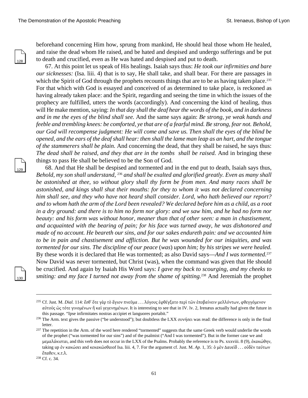[129](http://www.ccel.org/ccel/irenaeus/demonstr/png/0137=129.htm)

[130](http://www.ccel.org/ccel/irenaeus/demonstr/png/0138=130.htm)

beforehand concerning Him how, sprung from mankind, He should heal those whom He healed, and raise the dead whom He raised, and be hated and despised and undergo sufferings and be put to death and crucified, even as He was hated and despised and put to death.

67. At this point let us speak of His healings. Isaiah says thus: *He took our infirmities and bare our sicknesses:* ([Isa. liii. 4](http://www.ccel.org/b/bible/asv/xml/asv.Isa.53.xml#Isa.53.4)) that is to say, He shall take, and shall bear. For there are passages in which the Spirit of God through the prophets recounts things that are to be as having taken place.<sup>235</sup> For that which with God is essayed and conceived of as determined to take place, is reckoned as having already taken place: and the Spirit, regarding and seeing the time in which the issues of the prophecy are fulfilled, utters the words (accordingly). And concerning the kind of healing, thus will He make mention, saying: *In that day shall the deaf hear the words of the book, and in darkness and in me the eyes of the blind shall see.* And the same says again: *Be strong, ye weak hands and feeble and trembling knees: be comforted, ye that are of a fearful mind. Be strong, fear not. Behold, our God will recompense judgment: He will come and save us. Then shall the eyes of the blind be opened, and the ears of the deaf shall hear: then shall the lame man leap as an hart, and the tongue of the stammerers shall be plain.* And concerning the dead, that they shall be raised, he says thus: *The dead shall be raised, and they that are in the tombs shall be raised.* And in bringing these things to pass He shall be believed to be the Son of God.

68. And that He shall be despised and tormented and in the end put to death, Isaiah says thus, *Behold, my son shall understand,* <sup>236</sup> *and shall be exalted and glorified greatly. Even as many shall be astonished at thee, so without glory shall thy form be from men. And many races shall be astonished, and kings shall shut their mouths: for they to whom it was not declared concerning him shall see, and they who have not heard shall consider. Lord, who hath believed our report? and to whom hath the arm of the Lord been revealed? We declared before him as a child, as a root in a dry ground: and there is to him no form nor glory: and we saw him, and he had no form nor beauty: and his form was without honor, meaner than that of other seen: a man in chastisement, and acquainted with the bearing of pain; for his face was turned away, he was dishonored and made of no account. He beareth our sins, and for our sakes endureth pain: and we accounted him to be in pain and chastisement and affliction. But he was wounded for our iniquities, and was tormented for our sins. The discipline of our peace* (*was*) *upon him; by his stripes we were healed.* By these words it is declared that He was tormented; as also David says—*And I was tormented.*<sup>237</sup> Now David was never tormented, but Christ (was), when the command was given that He should be crucified. And again by Isaiah His Word says: *I gave my back to scourging, and my cheeks to smiting: and my face I turned not away from the shame of spitting.*238 And Jeremiah the prophet

<sup>235</sup> Cf. Just. M. *Dial.* 114: ἔσθ᾽ ὅτε γὰρ τὸ ἅγιον πνεῦμα . . . λόγους ἐφθέγξατο περὶ τῶν ἐποβαίνειν μελλόντων, φθεγγόμενον αὐτοὺς ὡς τότε γινομένων ἢ καὶ γεγενημένων. It is interesting to see that in IV. lv. 2, Irenæus actually had given the future in this passage. "Ipse infirmitates nostras accipiet et languores portabit."

<sup>236</sup> The Arm. text gives the passive ("be understood"); but doubtless the LXX συνήσει was read: the difference is only in the final letter.

<sup>&</sup>lt;sup>237</sup> The repetition in the Arm. of the word here rendered "tormented" suggests that the same Greek verb would underlie the words of the prophet ("was tormented for our sins") and of the psalmist ("And I was tormented"). But in the former case we and μεμαλάκισται, and this verb does not occur in the LXX of the Psalms. Probably the reference is to [Ps. xxxviii. 8 \(9\),](http://www.ccel.org/b/bible/asv/xml/asv.Ps.38.xml#Ps.38.8) ἐκακώθην, taking up ἐν κακώσει and κεκακῶσθαιof [Isa. liii. 4, 7](http://www.ccel.org/b/bible/asv/xml/asv.Isa.53.xml#Isa.53.4 Bible:Isa.53.7). For the argument cf. Just. M. *Ap.* 1, 35: ὁ μὲν Δαυεὶδ . . . οὐδὲν ταύτων ἔπαθεν, κ.τ.λ.

<sup>238</sup> Cf. c. 34.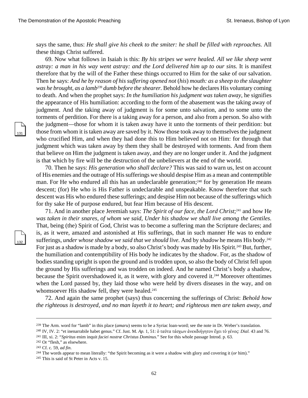[132](http://www.ccel.org/ccel/irenaeus/demonstr/png/0140=132.htm)

says the same, thus: *He shall give his cheek to the smiter: he shall be filled with reproaches.* All these things Christ suffered.

69. Now what follows in Isaiah is this: *By his stripes we were healed. All we like sheep went astray: a man in his way went astray: and the Lord delivered him up to our sins.* It is manifest therefore that by the will of the Father these things occurred to Him for the sake of our salvation. Then he says: *And he by reason of his suffering opened not* (*his*) *mouth: as a sheep to the slaughter was he brought, as a lamb<sup>239</sup> dumb before the shearer.* Behold how he declares His voluntary coming to death. And when the prophet says: *In the humiliation his judgment was taken away*, he signifies the appearance of His humiliation: according to the form of the abasement was the taking away of judgment. And the taking away of judgment is for some unto salvation, and to some unto the torments of perdition. For there is a taking away for a person, and also from a person. So also with the judgment—those for whom it is taken away have it unto the torments of their perdition: but those from whom it is taken away are saved by it. Now those took away to themselves the judgment who crucified Him, and when they had done this to Him believed not on Him: for through that judgment which was taken away by them they shall be destroyed with torments. And from them that believe on Him the judgment is taken away, and they are no longer under it. And the judgment is that which by fire will be the destruction of the unbelievers at the end of the world.

70. Then he says: *His generation who shall declare?* This was said to warn us, lest on account of His enemies and the outrage of His sufferings we should despise Him as a mean and contemptible man. For He who endured all this has an undeclarable generation;<sup>240</sup> for by generation He means descent; (for) He who is His Father is undeclarable and unspeakable. Know therefore that such descent was His who endured these sufferings; and despise Him not because of the sufferings which for thy sake He of purpose endured, but fear Him because of His descent.

71. And in another place Jeremiah says: *The Spirit of our face, the Lord Christ*; <sup>241</sup> and how He *was taken in their snares, of whom we said, Under his shadow we shall live among the Gentiles.* That, being (the) Spirit of God, Christ was to become a suffering man the Scripture declares; and is, as it were, amazed and astonished at His sufferings, that in such manner He was to endure sufferings, *under whose shadow we said that we should live.* And by *shadow* he means His body.<sup>242</sup> For just as a shadow is made by a body, so also Christ's body was made by His Spirit.<sup>243</sup> But, further, the humiliation and contemptibility of His body he indicates by the shadow. For, as the shadow of bodies standing upright is upon the ground and is trodden upon, so also the body of Christ fell upon the ground by His sufferings and was trodden on indeed. And he named Christ's body a shadow, because the Spirit overshadowed it, as it were, with glory and covered it.244 Moreover oftentimes when the Lord passed by, they laid those who were held by divers diseases in the way, and on whomsoever His shadow fell, they were healed.<sup>245</sup>

72. And again the same prophet (says) thus concerning the sufferings of Christ: *Behold how the righteous is destroyed, and no man layeth it to heart; and righteous men are taken away, and*

<sup>239</sup> The Arm. word for "lamb" in this place (*amaru*) seems to be a Syriac loan-word; see the note in Dr. Weber's translation.

<sup>240</sup> IV, IV. 2: "et inenarrabile habet genus." Cf. Just. M. *Ap.* 1, 51: ὁ ταῦτα τάσχων ἀνεκδιήγητον ἔχει τὸ γένος: *Dial.* 43 and 76.

<sup>241</sup> III, xi. 2: "*Spiritus* enim inquit *faciei nostræ Christus Dominus.*" See for this whole passage Introd. p. 63.

<sup>242</sup> Or "flesh," as elsewhere.

<sup>243</sup> Cf. c. 59, *ad fin*.

<sup>244</sup> The words appear to mean literally: "the Spirit becoming as it were a shadow with glory and covering it (*or* him)."

<sup>245</sup> This is said of St Peter in [Acts v. 15.](http://www.ccel.org/b/bible/asv/xml/asv.Acts.5.xml#Acts.5.15)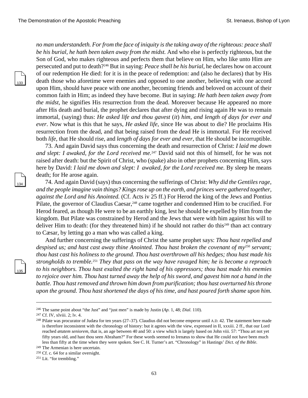[134](http://www.ccel.org/ccel/irenaeus/demonstr/png/0142=134.htm)

[135](http://www.ccel.org/ccel/irenaeus/demonstr/png/0143=135.htm)

*no man understandeth. For from the face of iniquity is the taking away of the righteous: peace shall be his burial, he hath been taken away from the midst.* And who else is perfectly righteous, but the Son of God, who makes righteous and perfects them that believe on Him, who like unto Him are persecuted and put to death?246 But in saying: *Peace shall be his burial*, he declares how on account of our redemption He died: for it is in the peace of redemption: and (also he declares) that by His death those who aforetime were enemies and opposed to one another, believing with one accord upon Him, should have peace with one another, becoming friends and beloved on account of their common faith in Him; as indeed they have become. But in saying: *He hath been taken away from the midst*, he signifies His resurrection from the dead. Moreover because He appeared no more after His death and burial, the prophet declares that after dying and rising again He was to remain immortal, (saying) thus: *He asked life and thou gavest* (*it*) *him, and length of days for ever and ever*. Now what is this that he says, *He asked life*, since He was about to die? He proclaims His resurrection from the dead, and that being raised from the dead He is immortal. For He received both *life*, that He should rise, and *length of days for ever and ever*, that He should be incorruptible.

73. And again David says thus concerning the death and resurrection of Christ: *I laid me down and slept: I awaked, for the Lord received me.*247 David said not this of himself, for he was not raised after death: but the Spirit of Christ, who (spake) also in other prophets concerning Him, says here by David: *I laid me down and slept: I awaked, for the Lord received me.* By sleep he means death; for He arose again.

74. And again David (says) thus concerning the sufferings of Christ: *Why did the Gentiles rage, and the people imagine vain things? Kings rose up on the earth, and princes were gathered together, against the Lord and his Anointed.* (Cf. [Acts iv 25 ff.\)](http://www.ccel.org/b/bible/asv/xml/asv.Acts.4.xml#Acts.4.25) For Herod the king of the Jews and Pontius Pilate, the governor of Claudius Caesar,<sup>248</sup> came together and condemned Him to be crucified. For Herod feared, as though He were to be an earthly king, lest he should be expelled by Him from the kingdom. But Pilate was constrained by Herod and the Jews that were with him against his will to deliver Him to death: (for they threatened him) if he should not rather do this<sup>249</sup> than act contrary to Cæsar, by letting go a man who was called a king.

And further concerning the sufferings of Christ the same prophet says: *Thou hast repelled and despised us; and hast cast away thine Anointed. Thou hast broken the covenant of my*<sup>250</sup> *servant; thou hast cast his holiness to the ground. Thou hast overthrown all his hedges; thou hast made his strongholds to tremble.*<sup>251</sup> *They that pass on the way have ravaged him; he is become a reproach to his neighbors. Thou hast exalted the right hand of his oppressors; thou hast made his enemies to rejoice over him. Thou hast turned away the help of his sword, and gavest him not a hand in the battle. Thou hast removed and thrown him down from purification; thou hast overturned his throne upon the ground. Thou hast shortened the days of his time, and hast poured forth shame upon him.*

<sup>246</sup> The same point about "the Just" and "just men" is made by Justin (*Ap.* 1, 48; *Dial.* 110).

<sup>247</sup> Cf. IV, xlviii. 2; lv. 4.

<sup>248</sup> Pilate was procurator of Judæa for ten years (27–37). Claudius did not become emperor until A.D. 42. The statement here made is therefore inconsistent with the chronology of history: but it agrees with the view, expressed in II, xxxiii. 2 ff., that our Lord reached *ætatem seniorem*, that is, an age between 40 and 50: a view which is largely based on [John viii. 57:](http://www.ccel.org/b/bible/asv/xml/asv.John.8.xml#John.8.57) "Thou art not yet fifty years old, and hast thou seen Abraham?" For these words seemed to Irenæus to show that He could not have been much less than fifty at the time when they were spoken. See C. H. Turner's art. "Chronology" in Hastings' *Dict. of the Bible*.

<sup>249</sup> The Armenian is here uncertain.

<sup>250</sup> Cf. c. 64 for a similar oversight.

<sup>251</sup> Lit. "for trembling."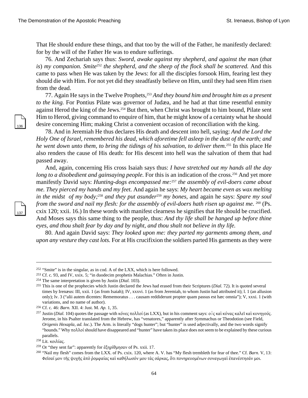That He should endure these things, and that too by the will of the Father, he manifestly declared: for by the will of the Father He was to endure sufferings.

76. And Zechariah says thus: *Sword, awake against my shepherd, and against the man* (*that is*) *my companion. Smite*<sup>252</sup> *the shepherd, and the sheep of the flock shall be scattered.* And this came to pass when He was taken by the Jews: for all the disciples forsook Him, fearing lest they should die with Him. For not yet did they steadfastly believe on Him, until they had seen Him risen from the dead.

77. Again He says in the Twelve Prophets,<sup>253</sup> And they bound him and brought him as a present *to the king.* For Pontius Pilate was governor of Judæa, and he had at that time resentful enmity against Herod the king of the Jews.254 But then, when Christ was brought to him bound, Pilate sent Him to Herod, giving command to enquire of him, that he might know of a certainty what he should desire concerning Him; making Christ a convenient occasion of reconciliation with the king.

78. And in Jeremiah He thus declares His death and descent into hell, saying: *And the Lord the Holy One of Israel, remembered his dead, which aforetime fell asleep in the dust of the earth; and he went down unto them, to bring the tidings of his salvation, to deliver them.*255 In this place He also renders the cause of His death: for His descent into hell was the salvation of them that had passed away.

And, again, concerning His cross Isaiah says thus: *I have stretched out my hands all the day long to a disobedient and gainsaying people.* For this is an indication of the cross.<sup>256</sup> And yet more manifestly David says: *Hunting-dogs encompassed me:*<sup>257</sup> *the assembly of evil-doers came about me. They pierced my hands and my feet.* And again he says: *My heart became even as wax melting in the midst of my body;*<sup>258</sup> *and they put asunder*<sup>259</sup> *my bones*, and again he says: *Spare my soul from the sword and nail my flesh: for the assembly of evil-doers hath risen up against me.* <sup>260</sup> ([Ps.](http://www.ccel.org/b/bible/asv/xml/asv.Ps.119.xml#Ps.119.120) [cxix 120](http://www.ccel.org/b/bible/asv/xml/asv.Ps.119.xml#Ps.119.120); [xxii. 16.](http://www.ccel.org/b/bible/asv/xml/asv.Ps.22.xml#Ps.22.16)) In these words with manifest clearness he signifies that He should be crucified. And Moses says this same thing to the people, thus: *And thy life shall be hanged up before thine eyes, and thou shalt fear by day and by night, and thou shalt not believe in thy life.*

80. And again David says: *They looked upon me: they parted my garments among them, and upon any vesture they cast lots.* For at His crucifixion the soldiers parted His garments as they were



[137](http://www.ccel.org/ccel/irenaeus/demonstr/png/0145=137.htm)

<sup>252</sup> "Smite" is in the singular, as in cod. A of the LXX, which is here followed.

<sup>253</sup> Cf. c. 93, and IV, xxix. 5; "in duodecim prophetis Malachias." Often in Justin.

<sup>254</sup> The same interpretation is given by Justin (*Dial.* 103).

<sup>255</sup> This is one of the prophecies which Justin declared the Jews had erased from their Scriptures (*Dial.* 72). It is quoted several times by Irenæus: III, xxii. 1 (as from Isaiah); IV, xxxvi. 1 (as from Jeremiah, to whom Justin had attributed it); l. 1 (an allusion only); lv. 3 ("alii autem dicentes: Rememoratus . . . causam reddiderunt propter quam passus est hæc omnia"); V, xxxi. 1 (with variations, and no name of author).

<sup>256</sup> Cf. c. 46: *Barn.* XII. 4: Just. M. *Ap.* 1, 35.

<sup>257</sup> Justin (*Dial.* 104) quotes the passage with κόνες πολλοί (as LXX), but in his comment says: οὖς καὶ κύνας καλεῖ καὶ κυνηγούς. Jerome, in his Psalter translated from the Hebrew, has "venatores," apparently after Symmachus or Theodotion (see Field, *Origenis Hexapla*, *ad. loc.*). The Arm. is literally "dogs hunter"; but "hunter" is used adjectivally, and the two words signify "hounds." Why πολλοί should have disappeared and "hunter" have taken its place does not seem to be explained by these curious parallels.

<sup>258</sup> Lit. κοιλίας.

<sup>259</sup> Or "they sent far": apparently for ἐξηρίθμησαν of [Ps. xxii. 17.](http://www.ccel.org/b/bible/asv/xml/asv.Ps.22.xml#Ps.22.17)

<sup>260</sup> "Nail my flesh" comes from the LXX. of [Ps. cxix. 120](http://www.ccel.org/b/bible/asv/xml/asv.Ps.119.xml#Ps.119.120), where A. V. has "My flesh trembleth for fear of thee." Cf. *Barn.* V, 13: Φεῖσαί μον τῆς ψυχῆς ὰπὸ ῥομφαίας καὶ καθήλωσόν μου τὰς σάρκας, ὅτι πονηρευομένων συναγωγαὶ ἐπανέστησάν μοι.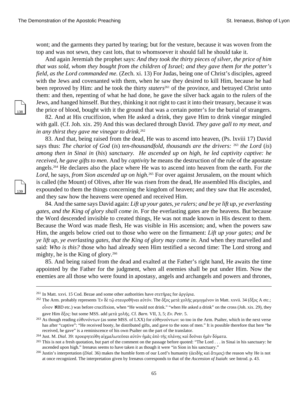[139](http://www.ccel.org/ccel/irenaeus/demonstr/png/0147=139.htm)

wont; and the garments they parted by tearing; but for the vesture, because it was woven from the top and was not sewn, they cast lots, that to whomsoever it should fall he should take it.

And again Jeremiah the prophet says: *And they took the thirty pieces of silver, the price of him that was sold, whom they bought from the children of Israel; and they gave them for the potter's field, as the Lord commanded me.* [\(Zech. xi. 13](http://www.ccel.org/b/bible/asv/xml/asv.Zech.11.xml#Zech.11.13)) For Judas, being one of Christ's disciples, agreed with the Jews and covenanted with them, when he saw they desired to kill Him, because he had been reproved by Him: and he took the thirty *staters*<sup>261</sup> of the province, and betrayed Christ unto them: and then, repenting of what he had done, he gave the silver back again to the rulers of the Jews, and hanged himself. But they, thinking it not right to cast it into their treasury, because it was the price of blood, bought with it the ground that was a certain potter's for the burial of strangers.

82. And at His crucifixion, when He asked a drink, they gave Him to drink vinegar mingled with gall. (Cf. [Joh. xix. 29](http://www.ccel.org/b/bible/asv/xml/asv.John.19.xml#John.19.29)) And this was declared through David. *They gave gall to my meat, and in any thirst they gave me vinegar to drink.*<sup>262</sup>

83. And that, being raised from the dead, He was to ascend into heaven, (Ps. lxviii 17) David says thus: *The chariot of God* (*is*) *ten-thousandfold, thousands are the drivers:* <sup>263</sup> *the Lord* (*is*) *among then in Sinai in* (*his*) *sanctuary. He ascended up on high, he led captivity captive: he received, he gave gifts to men.* And by *captivity* he means the destruction of the rule of the apostate angels.264 He declares also the place where He was to ascend into heaven from the earth. For *the* Lord, he says, *from Sion ascended up on high*.<sup>265</sup> For over against Jerusalem, on the mount which is called (the Mount) of Olives, after He was risen from the dead, He assembled His disciples, and expounded to them the things concerning the kingdom of heaven; and they saw that He ascended, and they saw how the heavens were opened and received Him.

84. And the same says David again: *Lift up your gates, ye rulers; and be ye lift up, ye everlasting gates, and the King of glory shall come in.* For the everlasting gates are the heavens. But because the Word descended invisible to created things, He was not made known in His descent to them. Because the Word was made flesh, He was visible in His ascension; and, when the powers saw Him, the angels below cried out to those who were on the firmament: *Lift up your gates; and be ye lift up, ye everlasting gates, that the King of glory may come in.* And when they marvelled and said: *Who is this?* those who had already seen Him testified a second time: The Lord strong and mighty, he is the King of glory. $266$ 

85. And being raised from the dead and exalted at the Father's right hand, He awaits the time appointed by the Father for the judgment, when all enemies shall be put under Him. Now the enemies are all those who were found in apostasy, angels and archangels and powers and thrones,

<sup>266</sup> Justin's interpretation (*Dial.* 36) makes the humble form of our Lord's humanity (ἀειδὴς καὶ ἄτιμος) the reason why He is not at once recognized. The interpretation given by Irenæus corresponds to that of the *Ascension of Isaiah*: see Introd. p. 43.



<sup>&</sup>lt;sup>261</sup> In [Matt. xxvi. 15](http://www.ccel.org/b/bible/asv/xml/asv.Matt.26.xml#Matt.26.15) Cod. Bezae and some other authorities have στετῆρας for ἀργύρια.

<sup>262</sup> The Arm. probably represents Ἐν δὲ τῷ σταυροθῆναι αὐτόν. The ὄξος μετὰ χολῆς μεμιγμένον in [Matt. xxvii. 34](http://www.ccel.org/b/bible/asv/xml/asv.Matt.27.xml#Matt.27.34) (ὄξος A etc.; οἶνον אBD etc.) was before crucifixion, when "He would not drink." "when He asked a drink" on the cross [\(Joh. xix. 29](http://www.ccel.org/b/bible/asv/xml/asv.John.19.xml#John.19.29)), they gave Him ὄξος: but some MSS. add μετὰ χολῆς. Cf. *Barn.* VII, 3, 5; *Ev. Petr.* 5.

<sup>263</sup> As though reading εὐθυνόντων (as some MSS. of LXX) for εὐθηνούντων: so too in the Arm. Psalter, which in the next verse has after "captive": "He received booty, he distributed gifts, and gave to the sons of men." It is possible therefore that here "he received, he gave" is a reminiscence of his own Psalter on the part of the translator.

<sup>264</sup> Just. M. *Dial.* 39: προεφητεύθη αἰχμαλωτεῦσαι αὐτὸν ἡμᾶς ἀπὸ τῆς πλάνης καὶ δοῦναι ἡμῖν δόματα.

<sup>&</sup>lt;sup>265</sup> This is not a fresh quotation, but part of the comment on the passage before quoted: "The Lord . . . in Sinai in his sanctuary: he ascended upon high." Irenæus seems to have taken it as though it were "in Sion in his sanctuary."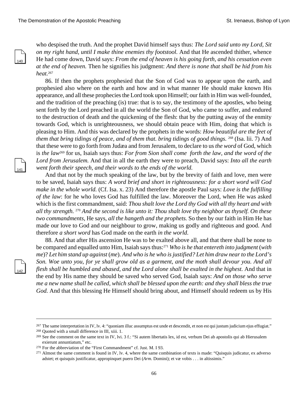[141](http://www.ccel.org/ccel/irenaeus/demonstr/png/0149=141.htm)

[142](http://www.ccel.org/ccel/irenaeus/demonstr/png/0150=142.htm)

who despised the truth. And the prophet David himself says thus: *The Lord said unto my Lord, Sit on my right hand, until I make thine enemies thy footstool.* And that He ascended thither, whence He had come down, David says: *From the end of heaven is his going forth, and his cessation even at the end of heaven.* Then he signifies his judgment: *And there is none that shall be hid from his heat.*<sup>267</sup>

86. If then the prophets prophesied that the Son of God was to appear upon the earth, and prophesied also where on the earth and how and in what manner He should make known His appearance, and all these prophecies the Lord took upon Himself; our faith in Him was well-founded, and the tradition of the preaching (is) true: that is to say, the testimony of the apostles, who being sent forth by the Lord preached in all the world the Son of God, who came to suffer, and endured to the destruction of death and the quickening of the flesh: that by the putting away of the enmity towards God, which is unrighteousness, we should obtain peace with Him, doing that which is pleasing to Him. And this was declared by the prophets in the words: *How beautiful are the feet of them that bring tidings of peace, and of them that. bring tidings of good things.* <sup>268</sup> [\(Isa. lii. 7](http://www.ccel.org/b/bible/asv/xml/asv.Isa.52.xml#Isa.52.7)) And that these were to go forth from Judæa and from Jerusalem, to declare to us *the word* of God, which is *the law*269 for us, Isaiah says thus: *For from Sion shall come forth the law, and the word of the Lord from Jerusalem.* And that in all the earth they were to preach, David says: *Into all the earth went forth their speech, and their words to the ends of the world.*

And that not by the much speaking of the law, but by the brevity of faith and love, men were to be saved, Isaiah says thus: *A word brief and short in righteousness: for a short word will God make in the whole world.* (Cf. [Isa. x. 23](http://www.ccel.org/b/bible/asv/xml/asv.Isa.10.xml#Isa.10.23)) And therefore the apostle Paul says: *Love is the fulfilling of the law*: for he who loves God has fulfilled the law. Moreover the Lord, when He was asked which is the first commandment, said: *Thou shalt love the Lord thy God with all thy heart and with all thy strength.* <sup>270</sup> *And the second is like unto it: Thou shalt love thy neighbor as thyself. On these two commandments,* He says, *all the hangeth and the prophets.* So then by our faith in Him He has made our love to God and our neighbour to grow, making us godly and righteous and good. And therefore *a short word* has God made on the earth *in the world*.

88. And that after His ascension He was to be exalted above all, and that there shall be none to be compared and equalled unto Him, Isaiah says thus:<sup>271</sup> *Who is he that entereth into judgment* (*with me*)? *Let him stand up against* (*me*). *And who is he who is justified? Let him draw near to the Lord's Son. Woe unto you, for ye shall grow old as a garment, and the moth shall devour you. And all flesh shall be humbled and abased, and the Lord alone shall be exalted in the highest.* And that in the end by His name they should be saved who served God, Isaiah says: *And on those who serve me a new name shall be called, which shall be blessed upon the earth: and they shall bless the true God.* And that this blessing He Himself should bring about, and Himself should redeem us by His

<sup>&</sup>lt;sup>267</sup> The same interpretation in IV, lv. 4: "quoniam illuc assumptus est unde et descendit, et non est qui justum judicium ejus effugiat."

<sup>268</sup> Quoted with a small difference in III, xiii. 1.

<sup>&</sup>lt;sup>269</sup> See the comment on the same text in IV, lvi. 3 f.: "Si autem libertatis lex, id est, verbum Dei ab apostolis qui ab Hierusalem exierunt annuntiatum," etc.

<sup>270</sup> For the abbreviation of the "First Commandment" cf. Just. M. I 93.

<sup>271</sup> Almost the same comment is found in IV, lv. 4, where the same combination of texts is made: "Quisquis judicatur, ex adverso adstet; et quisquis justificatur, appropinquet puero Dei (*Arm.* Domini); et væ vobis . . . in altissimis."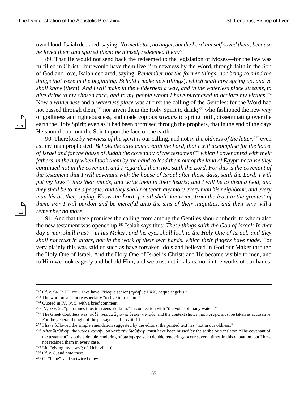[144](http://www.ccel.org/ccel/irenaeus/demonstr/png/0152=144.htm)

own blood, Isaiah declared, saying: *No mediator, no angel, but the Lord himself saved them; because he loved them and spared them: he himself redeemed them.*<sup>272</sup>

89. That He would not send back the redeemed to the legislation of Moses—for the law was fulfilled in Christ—but would have them live<sup> $273$ </sup> in newness by the Word, through faith in the Son of God and love, Isaiah declared, saying: *Remember not the former things, nor bring to mind the things that were in the beginning. Behold I make new* (*things*), *which shall now spring up, and ye shall know* (*them*). *And I will make in the wilderness a way, and in the waterless place streams, to give drink to my chosen race, and to my people whom I have purchased to declare my virtues.*<sup>274</sup> Now a *wilderness* and a *waterless place* was at first the calling of the Gentiles: for the Word had not passed through them,<sup>275</sup> nor given them the Holy Spirit to drink;<sup>276</sup> who fashioned the new *way* of godliness and righteousness, and made copious *streams* to spring forth, disseminating over the earth the Holy Spirit; even as it had been promised through the prophets, that in the end of the days He should pour out the Spirit upon the face of the earth.

90. Therefore *by newness of the spirit* is our calling, and not i*n the oldness of the letter;*277 even as Jeremiah prophesied: *Behold the days come, saith the Lord, that I will accomplish for the house of Israel and for the house of Judah the covenant: of the testament*<sup>278</sup> *which I covenanted with their fathers, in the day when I took them by the hand to lead them out of the land of Egypt: because they continued not in the covenant, and I regarded them not, saith the Lord. For this is the covenant of the testament that I will covenant with the house of Israel after those days, saith the Lord: I will put my laws*<sup>279</sup> *into their minds, and write them in their hearts; and I will be to them a God, and they shall be to me a people: and they shall not teach any more every man his neighbour, and every man his brother, saying, Know the Lord: for all shall know me, from the least to the greatest of them. For I will pardon and be merciful unto the sins of their iniquities, and their sins will I remember no more.*

91. And that these promises the calling from among the Gentiles should inherit, to whom also the new testament was opened up,280 Isaiah says thus: *These things saith the God of Israel: In that day a man shall trust*281 i*n his Maker, and his eyes shall look to the Holy One of Israel: and they shall not trust in altars, nor in the work of their own hands, which their fingers have made.* For very plainly this was said of such as have forsaken idols and believed in God our Maker through the Holy One of Israel. And the Holy One of Israel is Christ: and He became visible to men, and to Him we look eagerly and behold Him; and we trust not in altars, nor in the works of our hands.

<sup>272</sup> Cf. c. 94. In III, xxii. 1 we have; "Neque senior (πρέσβυς LXX) neque angelus."

<sup>273</sup> The word means more especially "to live in freedom,"

<sup>274</sup> Quoted in IV, lv. 5, with a brief comment.

<sup>275</sup> IV, xxv. 2.: "per omnes illos transiens Verbum," in connection with "the voice of many waters."

<sup>&</sup>lt;sup>276</sup> The Greek doubtless was: οὐδὲ πνεῦμα ἅγιον ἐπὸτισεν αὐτούς: and the context shows that πνεῦμα must be taken as accusative. For the general thought of the passage cf. III, xviii. 1 f.

<sup>277</sup> I have followed the simple emendation suggested by the editors: the printed text has "not in our oldness."

<sup>&</sup>lt;sup>278</sup> After διαθήκην the words καινήν, οὐ κατὰ τὴν διαθήκην must have been missed by the scribe or translator. "The covenant of the testament" is only a double rendering of διαθήκην: such double renderings occur several times in this quotation, but I have not retained them in every case.

<sup>279</sup> Lit. "giving my laws"; cf. [Heb. viii. 10.](http://www.ccel.org/b/bible/asv/xml/asv.Heb.8.xml#Heb.8.10)

<sup>280</sup> Cf. c. 8, and note there.

<sup>281</sup> Or "hope": and so twice below.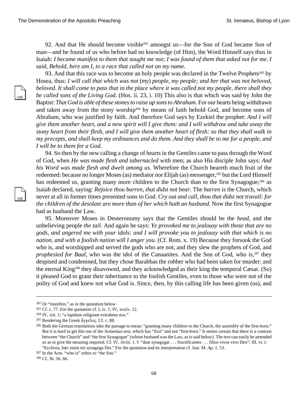$146$ 

92. And that He should become visible<sup>282</sup> amongst us—for the Son of God became Son of man—and be found of us who before had no knowledge (of Him), the Word Himself says thus in Isaiah: *I became manifest to them that sought me not; I was found of them that asked not for me. I said, Behold, here am I, to a race that called not on my name.*

93. And that this race was to become an holy people was declared in the Twelve Prophets<sup>283</sup> by Hosea, thus: *I will call that which was not* (*my*) *people, my people; and her that was not beloved, beloved. It shall come to pass that in the place where it was called not my people, there shall they be called sons of the Living God.* ([Hos. ii. 23,](http://www.ccel.org/b/bible/asv/xml/asv.Hos.2.xml#Hos.2.23) [i. 10\)](http://www.ccel.org/b/bible/asv/xml/asv.Hos.1.xml#Hos.1.10) This also is that which was said by John the Baptist: *That God is able of these stones to raise up sons to Abraham.* For our hearts being withdrawn and taken away from the stony worship<sup>284</sup> by means of faith behold God, and become sons of Abraham, who was justified by faith. And therefore God says by Ezekiel the prophet: *And I will give them another heart, and a new spirit will I give them: and I will withdraw and take away the stony heart from their flesh, and I will give them another heart of flesh: so that they shall walk in my precepts, and shall keep my ordinances and do them. And they shall be to me for a people, and I will be to them for a God.*

94. So then by the new calling a change of hearts in the Gentiles came to pass through the Word of God, when *He was made flesh and tabernacled* with men; as also His disciple John says: *And his Word was made flesh and dwelt among us.* Wherefore the Church beareth much fruit of the redeemed: because no longer Moses (as) mediator nor Elijah (as) messenger,<sup>285</sup> but the Lord Himself has redeemed us, granting many more children to the Church than to the first Synagogue;<sup>286</sup> as Isaiah declared, saying: *Rejoice thou barren, that didst not bear.* The *barren* is the Church, which never at all in former times presented sons to God. *Cry out and call, thou that didst not travail: for the children of the desolate are more than of her which hath an husband.* Now the first Synagogue had as husband the Law.

95. Moreover Moses in Deuteronomy says that the Gentiles should be the *head,* and the unbelieving people *the tail.* And again he says: *Ye provoked me to jealousy with those that are no gods, and angered me with your idols: and I will provoke you to jealousy with that which is no nation, and with a foolish nation will I anger you.* (Cf. [Rom. x. 19\)](http://www.ccel.org/b/bible/asv/xml/asv.Rom.10.xml#Rom.10.19) Because they forsook the God who is, and worshipped and served the gods who are not; and they slew the prophets of God, and *prophesied for Baal*, who was the idol of the Canaanites. And the Son of God, who is,<sup>287</sup> they despised and condemned, but they chose Barabbas the robber who had been taken for murder: and the eternal King288 they disavowed, and they acknowledged as their king the temporal Cæsar. (So) it pleased God to grant their inheritance to the foolish Gentiles, even to those who were not of the polity of God and knew not what God is. Since, then, by this calling life has been given (us), and

<sup>282</sup> Or "manifest," as in the quotation below.

 $283$  Cf. c. 77. For the quotation cf. I, iv. 1; IV, xxxiv. 12.

<sup>284</sup> IV, xiii. 1: "a lapidum religione extrahens nos."

<sup>285</sup> Rendering the Greek ἄγγελος. Cf. c. 88.

<sup>&</sup>lt;sup>286</sup> Both the German translations take the passage to mean: "granting many children to the Church, the assembly of the first-born." But it is hard to get this out of the Armenian text, which has "first" and not "first-born." It seems certain that there is a contrast between "the Church" and "the first Synagogue" (whose husband was the Law, as is said below). The text can easily be amended so as to give the meaning required. Cf. IV, xlviii. 1. f: "duæ synagogæ . . . fructificantes . . . filios vivos vivo Deo"; III, vi. i: "Ecclesia, hæc enim est synagoga Dei." For the quotation and its interpretation cf. Just. M. *Ap.* 1, 53.

<sup>287</sup> In the Arm. "who is" refers to "the Son."

<sup>288</sup> Cf. 36, 56, 66.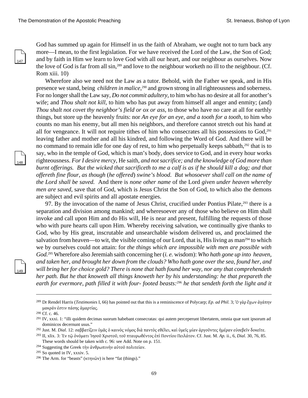[147](http://www.ccel.org/ccel/irenaeus/demonstr/png/0155=147.htm)

<span id="page-72-8"></span>[148](http://www.ccel.org/ccel/irenaeus/demonstr/png/0156=148.htm)

<span id="page-72-2"></span>[149](http://www.ccel.org/ccel/irenaeus/demonstr/png/0157=149.htm)

<span id="page-72-7"></span>God has summed up again for Himself in us the faith of Abraham, we ought not to turn back any more—I mean, to the first legislation. For we have received the Lord of the Law, the Son of God; and by faith in Him we learn to love God with all our heart, and our neighbour as ourselves. Now the love of God is far from all sin,289 and love to the neighbour worketh no ill to the neighbour. (Cf. [Rom xiii. 10](http://www.ccel.org/b/bible/asv/xml/asv.Rom.13.xml#Rom.13.10))

<span id="page-72-0"></span>Wherefore also we need not the Law as a tutor. Behold, with the Father we speak, and in His presence we stand, being *children in malice*, <sup>290</sup> and grown strong in all righteousness and soberness. For no longer shall the Law say, *Do not commit adultery*, to him who has no desire at all for another's wife; and *Thou shalt not kill*, to him who has put away from himself all anger and enmity; (and) *Thou shalt not covet thy neighbor's field or ox or ass*, to those who have no care at all for earthly things, but store up the heavenly fruits: nor *An eye for an eye, and a tooth for a tooth*, to him who counts no man his enemy, but all men his neighbors, and therefore cannot stretch out his hand at all for vengeance. It will not require tithes of him who consecrates all his possessions to God,<sup>291</sup> leaving father and mother and all his kindred, and following the Word of God. And there will be no command to remain idle for one day of rest, to him who perpetually keeps sabbath,<sup>292</sup> that is to say, who in the temple of God, which is man's body, does service to God, and in every hour works righteousness. *For I desire mercy*, He saith, *and not sacrifice; and the knowledge of God more than burnt offerings. But the wicked that sacrificeth to me a calf is as if he should kill a dog; and that offereth fine flour, as though* (*he offered*) *swine's blood. But whosoever shall call on the name of the Lord shall be saved.* And there is *none other name* of the Lord *given under heaven whereby men are saved*, save that of God, which is Jesus Christ the Son of God, to which also the demons are subject and evil spirits and all apostate energies.

<span id="page-72-9"></span>97. By the invocation of the name of Jesus Christ, crucified under Pontius Pilate,<sup>293</sup> there is a separation and division among mankind; and wheresoever any of those who believe on Him shall invoke and call upon Him and do His will, He is near and present, fulfilling the requests of those who with pure hearts call upon Him. Whereby receiving salvation, we continually give thanks to God, who by His great, inscrutable and unsearchable wisdom delivered us, and proclaimed the salvation from heaven—to wit, the visible coming of our Lord, that is, His living as man<sup>294</sup> to which we by ourselves could not attain: for *the things which are impossible with men are possible with God.*295 Wherefore also Jeremiah saith concerning her (*i. e.* wisdom): *Who hath gone up into heaven, and taken her, and brought her down from the clouds? Who hath gone over the sea, found her, and will bring her for choice gold? There is none that hath found her way, nor any that comprehendeth her path. But he that knoweth all things knoweth her by his understanding: he that prepareth the earth for evermore, path filled it with four- footed beasts:*<sup>296</sup> *he that sendeth forth the light and it*

<span id="page-72-6"></span><span id="page-72-4"></span><span id="page-72-1"></span><sup>289</sup> Dr Rendel Harris (*Testimonies* I, 66) has pointed out that this is a reminiscence of Polycarp; *Ep. ad Phil.* 3; Ὁ γὰρ ἔχων ἀγάπην μακράν ἐστιν πάσης ἁμαρτίας.

<span id="page-72-5"></span><sup>290</sup> Cf. c. 46.

<span id="page-72-3"></span><sup>291</sup> IV, xxxi. 1: "illi quidem decimas suorum habebant consecratas: qui autem perceperunt libertatem, omnia quæ sunt ipsorum ad dominicos decernunt usus."

<sup>&</sup>lt;sup>292</sup> Just. M. *Dial.* 12: σαββατίζειν ὑμᾶς ὁ καινὸς νόμος διὰ παντὸς εθέλει, καὶ ὑμεῖς μίαν ἀργοῦντες ἡμέραν εὐσεβεῖν δοκεῖτε.

<sup>293</sup> II, xlix. 3: Ἐν τῷ ὀνόματι Ἰησοῦ Χριστοῦ, τοῦ πταυρωθέντος ἐπὶ Ποντίου Πειλάτον. Cf. Just. M. *Ap.* ii., 6, *Dial.* 30, 76, 85. These words should be taken with c. 96: see Add. Note on p. 151.

<sup>294</sup> Suggesting the Greek τὴν ἀνθρωπινὴν αὐτοῦ πολιτείαν.

<sup>295</sup> So quoted in IV, xxxiv. 5.

<sup>&</sup>lt;sup>296</sup> The Arm. for "beasts" (κτηνῶν) is here "fat (things)."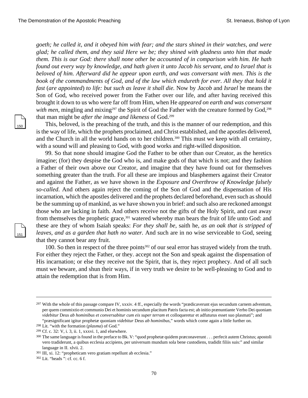[150](http://www.ccel.org/ccel/irenaeus/demonstr/png/0158=150.htm)

<span id="page-73-5"></span>[151](http://www.ccel.org/ccel/irenaeus/demonstr/png/0159=151.htm)

*goeth; he called it, and it obeyed him with fear; and the stars shined in their watches, and were glad; he called them, and they said Here we be; they shined with gladness unto him that made them. This is our God: there shall none other be accounted of in comparison with him. He hath found out every way by knowledge, and hath given it unto Jacob his servant, and to Israel that is beloved of him. Afterward did he appear upon earth, and was conversant with men. This is the book of the commandments of God, and of the law which endureth for ever. All they that hold it fast* (*are appointed*) *to life: but such as leave it shall die.* Now by *Jacob* and *Israel* he means the Son of God, who received power from the Father over our life, and after having received this brought it down to us who were far off from Him, when He *appeared on earth and was conversant with men,* mingling and mixing<sup>297</sup> the Spirit of God the Father with the creature formed by God,<sup>298</sup> that man might be *after the image and likeness* of God.<sup>299</sup>

<span id="page-73-4"></span>This, beloved, is the preaching of the truth, and this is the manner of our redemption, and this is the way of life, which the prophets proclaimed, and Christ established, and the apostles delivered, and the Church in all the world hands on to her children.<sup>300</sup> This must we keep with all certainty, with a sound will and pleasing to God, with good works and right-willed disposition.

99. So that none should imagine God the Father to be other than our Creator, as the heretics imagine; (for) they despise the God who is, and make gods of that which is not; and they fashion a Father of their own above our Creator, and imagine that they have found out for themselves something greater than the truth. For all these are impious and blasphemers against their Creator and against the Father, as we have shown in the *Exposure and Overthrow of Knowledge falsely so-called*. And others again reject the coming of the Son of God and the dispensation of His incarnation, which the apostles delivered and the prophets declared beforehand, even such as should be the summing up of mankind, as we have shown you in brief: and such also are reckoned amongst those who are lacking in faith. And others receive not the gifts of the Holy Spirit, and cast away from themselves the prophetic grace,<sup>301</sup> watered whereby man bears the fruit of life unto God: and these are they of whom Isaiah speaks: *For they shall be*, saith he, *as an oak that is stripped of leaves, and as a garden that hath no water.* And such are in no wise serviceable to God, seeing that they cannot bear any fruit.

<span id="page-73-0"></span>100. So then in respect of the three points<sup>302</sup> of our seal error has strayed widely from the truth. For either they reject the Father, or they. accept not the Son and speak against the dispensation of His incarnation; or else they receive not the Spirit, that is, they reject prophecy. And of all such must we beware, and shun their ways, if in very truth we desire to be well-pleasing to God and to attain the redemption that is from Him.

<span id="page-73-3"></span><span id="page-73-1"></span><sup>297</sup> With the whole of this passage compare IV, xxxiv. 4 ff., especially the words "prædicaverunt ejus secundum carnem adventum, per quem commixtio et communio Dei et hominis secundum placitum Patris facta est; ab initio prænuntiante Verbo Dei quoniam *videbitur* Deus *ab hominibus et conversabitur cum eis super terram* et colloqueretur et adfuturus esset suo plasmati"; and "præsignificant igitur prophetæ quoniam *videbitur* Deus *ab hominibus*," words which come again a little further on.

<span id="page-73-2"></span><sup>298</sup> Lit. "with the formation (*plasma*) of God."

<sup>299</sup> Cf. c. 32: V, i. 3, ii. 1, xxxvi. 1, and elsewhere.

<sup>300</sup> The same language is found in the preface to Bk. V: "quod prophetæ quidem præconaverunt . . . perfecit autem Christus; apostoli vero tradiderunt, a quibus ecclesia accipiens, per universum mundum sola bene custodiens, tradidit filiis suis:" and similar language in II. xlvii. 2.

<sup>301</sup> III, xi. 12: "propheticam vero gratiam repellunt ab ecclesia."

<sup>302</sup> Lit. "heads ": cf. cc. 6 f.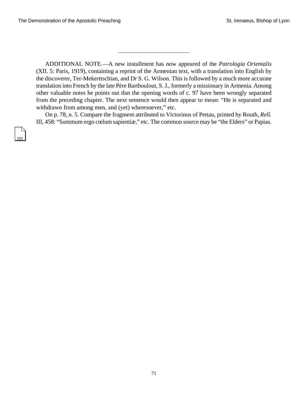[152](http://www.ccel.org/ccel/irenaeus/demonstr/png/0160=152.htm)

ADDITIONAL NOTE.—A new installment has now appeared of the *Patrologia Orientalis* (XII. 5: Paris, 1919), containing a reprint of the Armenian text, with a translation into English by the discoverer, Ter-Mekerttschian, and Dr S. G. Wilson. This is followed by a much more accurate translation into French by the late Père Barthoulout, S. J., formerly a missionary in Armenia. Among other valuable notes he points out that the opening words of c. 97 have been wrongly separated from the preceding chapter. The next sentence would then appear to mean: "He is separated and withdrawn from among men, and (yet) wheresoever," etc.

<span id="page-74-1"></span><span id="page-74-0"></span>On p. 78, n. 5. Compare the fragment attributed to Victorinus of Pettau, printed by Routh, *Rell.* III, 458: "Summum ergo cœlum sapientiæ," etc. The common source may be "the Elders" or Papias.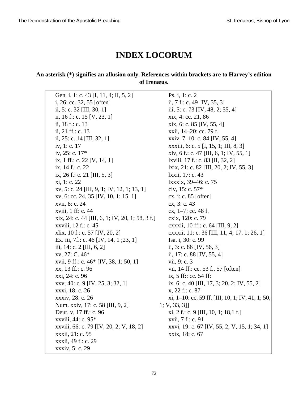# **INDEX LOCORUM**

## **An asterisk (\*) signifies an allusion only. References within brackets are to Harvey's edition of Irenæus.**

| Gen. i, 1: c. 43 [I, 11, 4; II, 5, 2]           | Ps. i, 1: c. 2                                      |
|-------------------------------------------------|-----------------------------------------------------|
| i, 26: cc. 32, 55 [often]                       | ii, 7 f.: c. 49 [IV, 35, 3]                         |
| ii, 5: c. 32 [III, 30, 1]                       | iii, 5: c. 73 [IV, 48, 2; 55, 4]                    |
| ii, 16 f.: c. 15 [V, 23, 1]                     | xix, 4: cc. 21, 86                                  |
| ii, $18$ f.: c. 13                              | xix, 6: c. $85$ [IV, $55, 4$ ]                      |
| ii, $21$ ff.: c. 13                             | xxii, 14–20: cc. 79 f.                              |
| ii, 25: c. $14$ [III, 32, 1]                    | xxiv, 7–10: c. 84 [IV, 55, 4]                       |
| iv, 1: c. $17$                                  | xxxiii, 6: c. 5 [I, 15, 1; III, 8, 3]               |
| iv, 25: c. 17*                                  | xlv, 6 f.: c. 47 [III, 6, 1; IV, 55, 1]             |
| ix, 1 ff.: c. 22 [V, 14, 1]                     | lxviii, 17 f.: c. 83 [II, 32, 2]                    |
| ix, 14 f.: c. 22                                | lxix, 21: c. 82 [III, 20, 2; IV, 55, 3]             |
| ix, 26 f.: c. 21 [III, 5, 3]                    | lxxii, 17: c. 43                                    |
| xi, 1: c. 22                                    | lxxxix, 39–46: c. 75                                |
| xv, 5: c. 24 [III, 9, 1; IV, 12, 1; 13, 1]      | civ, 15: c. 57*                                     |
| xv, 6: cc. 24, 35 [IV, 10, 1; 15, 1]            | $cx, i: c. 85$ [often]                              |
| xvii, 8: c. 24                                  | cx, 3: c. 43                                        |
| xviii, 1 ff: c. 44                              | $cx, 1-7$ : cc. 48 f.                               |
| xix, 24: c. 44 [III, 6, 1; IV, 20, 1; 58, 3 f.] | cxix, 120: c. 79                                    |
| xxviii, 12 f.: c. 45                            | cxxxii, 10 ff:: c. 64 [III, 9, 2]                   |
| xlix, 10 f.: c. 57 [IV, 20, 2]                  | cxxxii, 11: c. 36 [III, 11, 4; 17, 1; 26, 1]        |
| Ex. iii, 7f.: c. 46 [IV, 14, 1; 23, 1]          | Isa. i, 30: c. 99                                   |
| iii, 14: c. 2 [III, 6, 2]                       | ii, 3: c. 86 [IV, 56, 3]                            |
| xv, 27: C. 46*                                  | ii, 17: c. 88 [IV, 55, 4]                           |
| xvii, 9 ff:: c. $46*$ [IV, 38, 1; 50, 1]        | vii, 9: c. 3                                        |
| xx, 13 ff.: c. 96                               | vii, 14 ff.: cc. 53 f., 57 [often]                  |
| xxi, 24: c. 96                                  | ix, 5 ff:: cc. 54 ff:                               |
| xxv, 40: c. 9 [IV, 25, 3; 32, 1]                | ix, 6: c. 40 [III, 17, 3; 20, 2; IV, 55, 2]         |
| xxxi, 18: c. 26                                 | $x, 22$ f.: c. 87                                   |
| xxxiv, 28: c. 26                                | xi, $1-10$ : cc. 59 ff. [III, 10, 1; IV, 41, 1; 50, |
| Num. xxiv, 17: c. 58 [III, 9, 2]                | 1; V, 33, 3]                                        |
| Deut. v, 17 ff.: c. 96                          | xi, 2 f.: c. 9 [III, 10, 1; 18,1 f.]                |
| xxviii, 44: c. 95*                              | xvii, 7 f.: c. 91                                   |
| xxviii, 66: c. 79 [IV, 20, 2; V, 18, 2]         | xxvi, 19: c. 67 [IV, 55, 2; V, 15, 1; 34, 1]        |
| xxxii, 21: c. 95                                | xxix, 18: c. 67                                     |
| xxxii, 49 f.: c. 29                             |                                                     |
| xxxiv, 5: c. 29                                 |                                                     |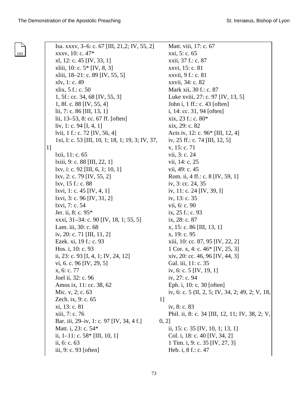<span id="page-76-0"></span>

| 153 |  |
|-----|--|
|     |  |
|     |  |

|    | Isa. xxxv, 3–6: c. 67 [III, 21,2; IV, 55, 2]     | Matt. viii, 17: c. 67                           |
|----|--------------------------------------------------|-------------------------------------------------|
|    | xxxv, 10: c. 47*                                 | xxi, 5: c. 65                                   |
|    | xl, 12: c. 45 [IV, 33, 1]                        | xxii, 37 f.: c. 87                              |
|    | xliii, 10: c. 5* [IV, 8, 3]                      | xxvi, 15: c. 81                                 |
|    | xliii, 18–21: c. 89 [IV, 55, 5]                  | xxvii, 9 f.: c. 81                              |
|    | xlv, 1: c. 49                                    | xxvii, 34: c. 82                                |
|    | xlix, 5 f.: c. 50                                | Mark xii, 30 f.: c. 87                          |
|    | 1, 5f.: cc. 34, 68 [IV, 55, 3]                   | Luke xviii, 27: c. 97 [IV, 13, 5]               |
|    | 1, 8f. c. 88 [IV, 55, 4]                         | John i, 1 ff.: c. 43 [often]                    |
|    | lii, 7: c. 86 [III, 13, 1]                       | i, 14: cc. 31, 94 [often]                       |
|    | lii, $13-53$ , 8: cc. 67 ff. [often]             | xix, 23 f.: c. $80*$                            |
|    | liv, 1: c. 94 [I, 4, 1]                          | xix, 29: c. 82                                  |
|    | lvii, 1 f.: c. 72 [IV, 56, 4]                    | Acts iv, 12: c. 96* [III, 12, 4]                |
|    | 1xi, I: c. 53 [III, 10, 1; 18, 1; 19, 3; IV, 37, | iv, 25 ff.: c. 74 [III, 12, 5]                  |
| 1] |                                                  | v, 15: c. 71                                    |
|    | lxii, 11: c. 65                                  | vii, 3: c. 24                                   |
|    | lxiii, 9: c. 88 [III, 22, 1]                     | vii, 14: c. 25                                  |
|    | $lxy$ , i: c. 92 [III, 6, 1; 10, 1]              | vii, 49: c. 45                                  |
|    | $lxy, 2: c. 79$ [IV, 55, 2]                      | Rom. ii, 4 ff.: c. 8 [IV, 59, 1]                |
|    | lxv, 15 f.: c. 88                                | iv, 3: cc. 24, 35                               |
|    | lxvi, 1: c. 45 $[IV, 4, 1]$                      | iv, 11: c. 24 [IV, 39, I]                       |
|    | lxvi, 3: c. 96 [IV, 31, 2]                       | iv, 13: c. 35                                   |
|    | lxvi, 7: c. 54                                   | vii, 6: c. 90                                   |
|    | Jer. ii, 8: c. 95*                               | ix, $25$ f.: c. 93                              |
|    | xxxi, 31–34: c. 90 [IV, 18, 1; 55, 5]            | ix, 28: c. 87                                   |
|    | Lam. iii, 30: c. 68                              | x, 15: c. 86 [III, 13, 1]                       |
|    | iv, 20: c. 71 [III, 11, 2]                       | x, 19: c. 95                                    |
|    | Ezek. xi, 19 f.: c. 93                           | xiii, 10: cc. 87, 95 [IV, 22, 2]                |
|    | Hos. i, 10: c. 93                                | 1 Cor. x, 4: c. 46* [IV, 25, 3]                 |
|    | ii, 23: c. 93 [I, 4, 1; IV, 24, 12]              | xiv, 20: cc. 46, 96 [IV, 44, 3]                 |
|    | vi, 6. c. 96 [IV, 29, 5]                         | Gal. iii, 11: c. 35                             |
|    | x, 6: c. 77                                      | iv, 6: c. 5 [IV, 19, 1]                         |
|    | Joel ii, 32: c. 96                               | iv, 27: c. 94                                   |
|    | Amos ix, 11: cc. 38, 62                          | Eph. i, 10: c. 30 [often]                       |
|    | Mic. v, 2; c. 63                                 | iv, 6: c. 5 (II, 2, 5; IV, 34, 2; 49, 2; V, 18, |
|    | Zech. ix, 9: c. 65                               | 1]                                              |
|    | xi, 13: c. 81                                    | iv, 8: c. 83                                    |
|    | xiii, 7: c. 76                                   | Phil. ii, 8: c. 34 [III, 12, 11; IV, 38, 2; V,  |
|    | Bar. iii, 29–iv, 1: c. 97 [IV, 34, 4 f.]         | 0, 2]                                           |
|    | Matt. i, 23: c. 54*                              | ii, 15: c. 35 [IV, 10, 1; 13, 1]                |
|    | ii, $1-11$ : c. 58* [III, 10, 1]                 | Col. i, 18: c. 40 [IV, 34, 2]                   |
|    | ii, $6: c. 63$                                   | 1 Tim. i, 9: c. 35 [IV, 27, 3]                  |
|    | iii, 9: c. 93 [often]                            | Heb. i, 8 f.: c. 47                             |
|    |                                                  |                                                 |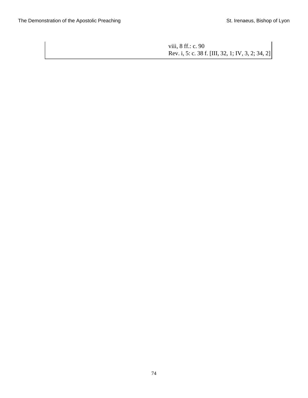viii, 8 ff.: c. 90 Rev. i, 5: c. 38 f. [III, 32, 1; IV, 3, 2; 34, 2]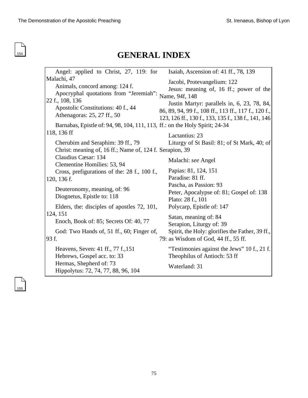<span id="page-78-0"></span>

# [154](http://www.ccel.org/ccel/irenaeus/demonstr/png/0162=154.htm) **GENERAL INDEX**

| Angel: applied to Christ, 27, 119: for                                                                                                                                                         | Isaiah, Ascension of: 41 ff., 78, 139                                                                                                                                                                                                |
|------------------------------------------------------------------------------------------------------------------------------------------------------------------------------------------------|--------------------------------------------------------------------------------------------------------------------------------------------------------------------------------------------------------------------------------------|
| Malachi, 47<br>Animals, concord among: 124 f.<br>Apocryphal quotations from "Jeremiah": Name, 94f, 148<br>22 f., 108, 136<br>Apostolic Constitutions: 40 f., 44<br>Athenagoras: 25, 27 ff., 50 | Jacobi, Protevangelium: 122<br>Jesus: meaning of, 16 ff.; power of the<br>Justin Martyr: parallels in, 6, 23, 78, 84,<br>86, 89, 94, 99 f., 108 ff., 113 ff., 117 f., 120 f.,<br>123, 126 ff., 130 f., 133, 135 f., 138 f., 141, 146 |
| Barnabas, Epistle of: 94, 98, 104, 111, 113, ff.: on the Holy Spirit; 24-34<br>118, 136 ff                                                                                                     | Lactantius: 23                                                                                                                                                                                                                       |
| Cherubim and Seraphim: 39 ff., 79<br>Christ: meaning of, 16 ff.; Name of, 124 f. Serapion, 39                                                                                                  | Liturgy of St Basil: 81; of St Mark, 40; of                                                                                                                                                                                          |
| Claudius Cæsar: 134<br>Clementine Homilies: 53, 94                                                                                                                                             | Malachi: see Angel                                                                                                                                                                                                                   |
| Cross, prefigurations of the: 28 f., 100 f.,<br>120, 136 f.                                                                                                                                    | Papias: 81, 124, 151<br>Paradise: 81 ff.                                                                                                                                                                                             |
| Deuteronomy, meaning, of: 96<br>Diognetus, Epistle to: 118                                                                                                                                     | Pascha, as Passion: 93<br>Peter, Apocalypse of: 81; Gospel of: 138<br>Plato: 28 f., 101                                                                                                                                              |
| Elders, the: disciples of apostles 72, 101,                                                                                                                                                    | Polycarp, Epistle of: 147                                                                                                                                                                                                            |
| 124, 151<br>Enoch, Book of: 85; Secrets Of: 40, 77                                                                                                                                             | Satan, meaning of: 84<br>Serapion, Liturgy of: 39                                                                                                                                                                                    |
| God: Two Hands of, 51 ff., 60; Finger of,<br>93 f.                                                                                                                                             | Spirit, the Holy: glorifies the Father, 39 ff.,<br>79: as Wisdom of God, 44 ff., 55 ff.                                                                                                                                              |
| Heavens, Seven: 41 ff., 77 f., 151<br>Hebrews, Gospel acc. to: 33                                                                                                                              | "Testimonies against the Jews" 10 f., 21 f.<br>Theophilus of Antioch: 53 ff                                                                                                                                                          |
| Hermas, Shepherd of: 73<br>Hippolytus: 72, 74, 77, 88, 96, 104                                                                                                                                 | Waterland: 31                                                                                                                                                                                                                        |

<span id="page-78-1"></span>[155](http://www.ccel.org/ccel/irenaeus/demonstr/png/0163=155.htm)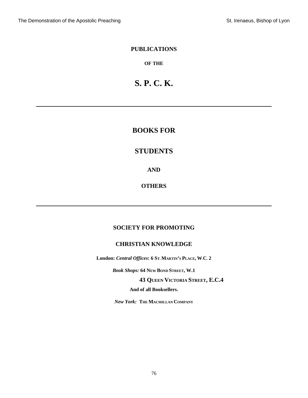#### **PUBLICATIONS**

**OF THE**

## **S. P. C. K.**

## **BOOKS FOR**

## **STUDENTS**

**AND**

### **OTHERS**

#### **SOCIETY FOR PROMOTING**

### **CHRISTIAN KNOWLEDGE**

**London:** *Central Offices***: 6 ST. MARTIN'S PLACE, W.C. 2**

*Book Shops:* **64 NEW BOND STREET, W.1**

**43 QUEEN VICTORIA STREET, E.C.4**

**And of all Booksellers.**

*New York:* **THE MACMILLAN COMPANY**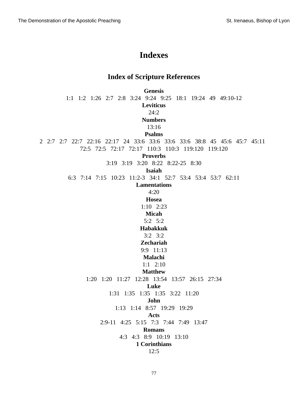## **Indexes**

### **Index of Scripture References**

**Genesis**

[1:1](#page-55-0) [1:2](#page-31-0)  [1:26](#page-29-0) [2:7](#page-29-1)  [2:8](#page-44-0)  [3:24](#page-45-0) [9:24](#page-46-0) [9:25](#page-47-0)  [18:1](#page-14-0) [19:24](#page-14-1)  [49](#page-23-0) [49:10-12](#page-13-0) **Leviticus**

[24:2](#page-43-0)

**Numbers**

[13:16](#page-50-0)

**Psalms**

[2](#page-55-1)  [2:7](#page-19-0) [2:7](#page-56-0)  [22:7](#page-60-0)  [22:16](#page-67-0) [22:17](#page-67-1) [24](#page-28-0)  [33:6](#page-28-1)  [33:6](#page-29-2) [33:6](#page-31-0) [33:6](#page-33-0)  [38:8](#page-64-0) [45](#page-35-0) [45:6](#page-57-0) [45:7](#page-35-1)  [45:11](#page-33-1) [72:5](#page-18-0) [72:5](#page-18-1)  [72:17](#page-18-2) [72:17](#page-18-1)  [110:3](#page-17-0)  [110:3](#page-18-3) [119:120](#page-67-2) [119:120](#page-67-3)

**Proverbs**

[3:19](#page-30-0)  [3:19](#page-33-2) [3:20](#page-33-2)  [8:22](#page-55-2)  [8:22-25](#page-30-1) [8:30](#page-32-0)

**Isaiah**

[6:3](#page-43-1)  [7:14](#page-15-0) [7:15](#page-19-1)  [10:23](#page-69-0)  [11:2-3](#page-23-1) [34:1](#page-29-3)  [52:7](#page-69-1) [53:4](#page-64-1) [53:4](#page-64-2)  [53:7](#page-64-2) [62:11](#page-63-0)

**Lamentations**

[4:20](#page-36-0)

**Hosea**

[1:10](#page-71-0)  [2:23](#page-71-0)

#### **Micah** [5:2](#page-60-1)  [5:2](#page-63-1)

**Habakkuk**

[3:2](#page-26-0)  [3:2](#page-43-2)

#### **Zechariah**

[9:9](#page-63-2)  [11:13](#page-68-0)

#### **Malachi**

[1:1](#page-29-4) [2:10](#page-29-5)

#### **Matthew**

[1:20](#page-23-2) [1:20](#page-23-3)  [11:27](#page-30-2) [12:28](#page-49-0)  [13:54](#page-63-3)  [13:57](#page-63-3) [26:15](#page-68-1) [27:34](#page-68-2)

#### **Luke**

[1:31](#page-23-2)  [1:35](#page-22-0) [1:35](#page-23-3) [1:35](#page-36-1)  [3:22](#page-56-1) [11:20](#page-49-0)

#### **John**

[1:13](#page-31-1)  [1:14](#page-30-3) [8:57](#page-66-0)  [19:29](#page-68-3) [19:29](#page-68-4)

#### **Acts**

[2:9-11](#page-47-1)  [4:25](#page-66-1)  [5:15](#page-65-0) [7:3](#page-48-0)  [7:44](#page-43-3) [7:49](#page-56-2) [13:47](#page-58-0)

#### **Romans**

[4:3](#page-49-1)  [4:3](#page-53-0) [8:9](#page-37-0)  [10:19](#page-71-1) [13:10](#page-72-0)

#### **1 Corinthians**

[12:5](#page-43-4)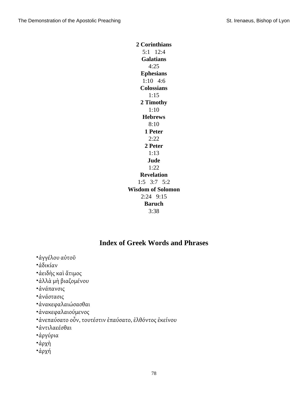**2 Corinthians** [5:1](#page-63-4) [12:4](#page-44-1) **Galatians** [4:25](#page-51-0) **Ephesians** [1:10](#page-41-0) [4:6](#page-29-6) **Colossians** [1:15](#page-48-1) **2 Timothy** [1:10](#page-51-1) **Hebrews** [8:10](#page-70-0) **1 Peter** [2:22](#page-30-4) **2 Peter** [1:13](#page-63-4) **Jude** [1:22](#page-61-0) **Revelation** [1:5](#page-30-5) [3:7](#page-30-6)  [5:2](#page-30-7) **Wisdom of Solomon** [2:24](#page-45-1)  [9:15](#page-63-5) **Baruch** [3:38](#page-36-2)

## **Index of Greek Words and Phrases**

- •[ἀγγέλου αὐτοῦ](#page-29-7)
- •[ἀδικίαν](#page-57-1)
- •[ἀειδὴς καὶ ἄτιμος](#page-68-5)
- •[ἀλλὰ μὴ βιαζομένου](#page-60-2)
- •[ἀνάπανσις](#page-62-0)
- •[ἀνάστασις](#page-62-0)
- •[ἀνακεφαλαιώσασθαι](#page-41-0)
- •[ἀνακεφαλαιούμενος](#page-50-1)
- •[ἀνεπαύσατο οὖν, τουτέστιν ἐπαύσατο, ἐλθόντος ἐκείνου](#page-23-4)
- •[ἀντιλαεέσθαι](#page-60-3)
- •[ἀργύρια](#page-68-1)
- •[ἀρχὴ](#page-32-1)
- •[ἀρχή](#page-57-2)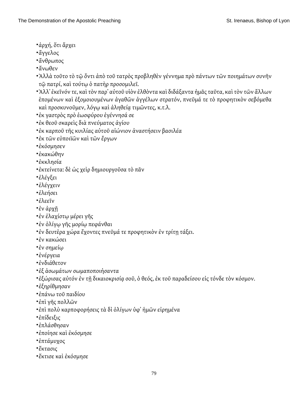- •[ἀρχή, ὅτι ἄρχει](#page-33-3)
- •[ἄγγελος](#page-71-2)
- •[ἄνθρωπος](#page-61-1)
- •[ἄνωθεν](#page-18-4)
- •[Ἀλλὰ τοῦτο τὸ τῷ ὄντι ἀπὸ τοῦ τατρὸς προβληθὲν γέννημα πρὸ πάντων τῶν ποιημάτων συνῆν](#page-58-1) [τῷ πατρί, καὶ τούτῳ ὁ πατὴρ προσομιλεῖ.](#page-58-1)
- •[Ἀλλ᾽ ἐκεῖνόν τε, καὶ τὸν παρ᾽ αὐτοῦ υἱὸν ἐλθὸντα καὶ διδάξαντα ἡμᾶς ταῦτα, καὶ τὸν τῶν ἄλλων](#page-21-0) [ἑπομένων καὶ ἐξομοιουμένων ἀγαθῶν ἀγγέλων στρατόν, πνεῦμά τε τὸ προφητικὸν σεβόμεθα](#page-21-0) [καὶ προσκυνοῦμεν, λόγῳ καὶ ἀληθείᾳ τιμῶντες, κ.τ.λ.](#page-21-0)
- •[ἐκ γαστρὸς πρὸ ἑωσφύρου ἐγέννησά σε](#page-17-1)
- •[ἐκ θεοῦ σκαρεὶς διὰ πνεύματος ἀγίου](#page-54-0)
- •[ἐκ καρποῦ τῆς κυιλίας αὐτοῦ αἰώνιον ἀναστήσειν βασιλέα](#page-53-1)
- •[ἐκ τῶν εὐποιϊῶν καὶ τῶν ἔργων](#page-16-0)
- •[ἐκόσμησεν](#page-31-2)
- •[ἐκακώθην](#page-64-0)
- •[ἐκκλησία](#page-47-2)
- •[ἐκτείνετα: δὲ ὡς χεὶρ δημιουργοῦσα τὸ πᾶν](#page-32-0)
- •[ἐλέγξει](#page-61-2)
- •[ἐλέγχειν](#page-61-2)
- •[ἐλεήσει](#page-61-2)
- •[ἐλεεῖν](#page-61-0)
- •[ἐν ἀρχῇ](#page-57-2)
- •[ἐν ἐλαχίστῳ μέρει γῆς](#page-15-1)
- •[ἐν ὀλίγῳ γῆς μορίῳ πεφάνθαι](#page-15-2)
- •[ἐν δευτἑρα χώρα ἔχοντες πνεῦμά τε προφητικὸν ἐν τρίτῃ τάξει.](#page-21-1)
- •[ἐν κακώσει](#page-64-2)
- •[ἐν σημείῳ](#page-21-2)
- •[ἐνέργεια](#page-43-5)
- •[ἐνδιάθετον](#page-35-2)
- •[ἐξ ἀσωμάτων σωμαποποιἠσαντα](#page-41-1)
- •[ἐξώρισας αὐτόν ἐν τῇ δικαιοκρισίᾳ σοῦ, ὁ θεός, ἐκ τοῦ παραδείσου εἰς τόνδε τὸν κόσμον.](#page-44-2)
- •[ἐξηρίθμησαν](#page-67-1)
- •[ἐπάνω τοῦ παιδίου](#page-61-3)
- •[ἐπὶ γῆς πολλῶν](#page-57-3)
- •[ἐπὶ πολὺ καρποφορήσεις τὰ δἰ ὀλίγων ὑφ᾽ ἡμῶν εἰρημένα](#page-39-0)
- •[ἐπίδειξις](#page-39-1)
- •[ἐπλάσθησαν](#page-31-3)
- •[ἐποίησε καὶ ἐκόσμησε](#page-31-4)
- •[ἑπτάμυχος](#page-43-6)
- •[ἔκτασις](#page-57-4)
- •[ἔκτισε καὶ ἐκόσμησε](#page-31-4)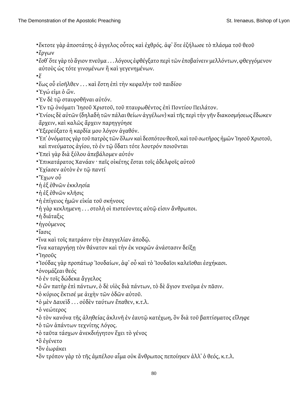- •[ἔκτοτε γὰρ ἀποστάτης ὁ ἀγγελος οὗτος καὶ ἐχθρός. ἀφ᾽ ὅτε ἐζήλωσε τὸ πλάσμα τοῦ θεοῦ](#page-45-2)
- •[ἔργων](#page-16-1)
- •[ἔσθ᾽ ὅτε γὰρ τὸ ἅγιον πνεῦμα . . . λόγους ἐφθέγξατο περὶ τῶν ἐποβαίνειν μελλόντων, φθεγγόμενον](#page-64-3) [αὐτοὺς ὡς τότε γινομένων ἢ καὶ γεγενημένων.](#page-64-3)
- •[ἕ](#page-39-2)
- •[ἕως οὗ εἰσῆλθεν . . . καὶ ἔστη ἐπὶ τὴν κεφαλὴν τοῦ παιδίου](#page-61-4)
- Έγώ είμι ὁ ὥν.
- Έν δε τώ σταυροθήναι αὐτόν.
- [Ἐν τῷ ὀνόματι Ἰησοῦ Χριστοῦ, τοῦ πταυρωθέντος ἐπὶ Ποντίου Πειλάτον.](#page-72-1)
- •[Ἐνίοις δὲ αὐτῶν \(δηλαδὴ τῶν πάλαι θείων ἀγγέλων\) καὶ τῆς περὶ τὴν γῆν διακοσμήσεως ἔδωκεν](#page-44-3) [ἄρχειν, καὶ καλῶς ἄρχειν παρηγγύησε](#page-44-3)
- Έξερεύξατο ή καρδία μου λόγον άγαθόν.
- •[Ἐπ᾽ ὀνόματος γὰρ τοῦ πατρὸς τῶν ὅλων καὶ δεσπότου θεοῦ, καὶ τοῦ σωτῆρος ἠμῶν Ἰησοῦ Χριστοῦ,](#page-22-1) [καὶ πνεύματος ἁγίου, τὸ ἐν τῷ ὕδατι τότε λουτρόν ποιοῦνται](#page-22-1)
- Έπεὶ γὰρ διὰ ξύλου ἀπεβάλομεν αὐτόν
- Έπικατάρατος Χανάαν · παῖς οἰκέτης ἔσται τοῖς ἀδελφοῖς αὐτοῦ
- Έχίασεν αὐτὸν ἐν τῶ παντί
- $\cdot$ "Eχων οὖ
- •[ἡ ἐξ ἐθνῶν ἐκκλησία](#page-47-4)
- •[ἡ ἐξ ἐθνῶν κλῆσις](#page-47-5)
- •[ἡ ἐπίγειος ἡμῶν εἰκία τοῦ σκήνους](#page-63-4)
- •[ἡ γὰρ κεκλημενη . . . στολὴ οἱ πιστεύοντες αὐτῷ εἰσιν ἄνθρωποι.](#page-61-5)
- •[ἡ διάταξις](#page-34-0)
- •[ἡγοὐμενος](#page-61-1)
- •[ἴασις](#page-17-2)
- •[ἵνα καὶ τοῖς πατράσιν τὴν ἐπαγγελίαν ἀποδῷ.](#page-51-2)
- •[ἵνα καταργήσῃ τὸν θάνατον καὶ τὴν ἐκ νεκρῶν ἀνάστασιν δείξῃ](#page-53-2)
- •[Ἰησοῦς](#page-17-3)
- •[Ἰούδας γὰρ προπάτωρ Ἰουδαίων, ἀφ᾽ οὖ καὶ τὸ Ἰουδαῖοι καλεῖσθαι ἐσχήκασι.](#page-61-6)
- •[ὀνομάζεαι θεός](#page-43-7)
- •[ὁ ἐν τοῖς δώδεκα ἄγγελος](#page-29-8)
- •[ὁ ὢν πατὴρ ἐπὶ πάντων, ὁ δὲ υἱὸς διὰ πάντων, τὸ δὲ ἅγιον πνεῦμα ἐν πᾶσιν.](#page-41-2)
- •[ὁ κύριος ἔκτισέ με ἀιχὴν τῶν ὁδῶν αὐτοῦ.](#page-55-2)
- •[ὁ μὲν Δαυεὶδ . . . οὐδὲν ταύτων ἔπαθεν, κ.τ.λ.](#page-64-2)
- •[ὁ νεώτερος](#page-46-0)
- •[ὁ τὸν κανόνα τῆς ἀληθείας ἀκλινῆ ἐν ἑαυτῷ κατέχωη, ὃν διὰ τοῦ βαπτίσματος εἴληφε](#page-40-1)
- •[ὁ τῶν ἁπάντων τεχνίτης Λόγος.](#page-53-3)
- •[ὁ ταῦτα τάσχων ἀνεκδιήγητον ἔχει τὸ γένος](#page-65-1)
- •[ὃ ἐγένετο](#page-50-2)
- •[ὃν ἐωράκει](#page-43-3)
- •[ὃν τρόπον γὰρ τὸ τῆς ἀμπέλου αἷμα οὐκ ἄνθρωπος πεποίηκεν ἀλλ᾽ ὁ θεός, κ.τ.λ.](#page-61-5)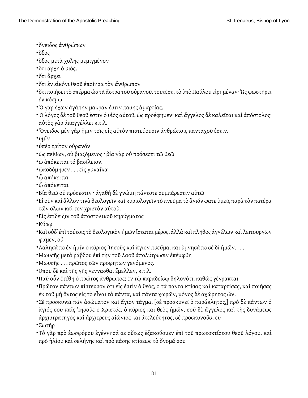- •[ὄνειδος ἀνθρώπων](#page-60-0)
- •[ὄξος](#page-68-6)
- •[ὄξος μετὰ χολῆς μεμιγμένον](#page-68-2)
- •[ὅτι ἀρχὴ ὁ υἱός.](#page-55-0)
- •[ὅτι ἄρχει](#page-32-2)
- •[ὅτι ἐν εἰκόνι θεοῦ ἐποίησα τὸν ἄνθρωπον](#page-48-2)
- •[ὅτι ποιήσει τὸ σπέρμα ὡσ τὰ ἄστρα τοῦ οὐρανοῦ. τουτέστι τὸ ὑπὸ Παύλου εἰρημέναν· Ὡς φωστῆρει](#page-53-4) [ἐν κόσμῳ](#page-53-4)
- •[Ὁ γὰρ ἔχων ἀγάπην μακράν ἐστιν πάσης ἁμαρτίας.](#page-72-2)
- •[Ὁ λόγος δὲ τοῦ θεοῦ ἐστιν ὁ υἱὸς αὐτοῦ, ὡς προέφημεν· καὶ ἄγγελος δὲ καλεῖται καὶ ἀπόστολος·](#page-21-3) [αὐτὸς γὰρ ἀπαγγέλλει κ.τ.λ.](#page-21-3)
- •[Ὄνειδος μὲν γὰρ ἡμῖν τοῖς εἰς αὐτὸν πιστεύουσιν ἀνθρώποις πανταχοῦ ἐστιν.](#page-60-4)
- •[ὑμῖν](#page-13-1)
- •[ὑπὲρ τρίτον οὐρανόν](#page-44-4)
- •[ὡς πείθων, οὐ βιαζόμενος · βία γὰρ οὐ πρόσεστι τῷ θεῷ](#page-60-2)
- •[ὧ ἀπόκειται τό βασίλειον.](#page-61-7)
- •[ᾠκοδόμησεν . . . εἰς γυναῖκα](#page-45-3)
- •[ᾦ ἀπόκειται](#page-13-2)
- •[ᾧ ἀπόκειται](#page-60-5)
- •[Βία θεῷ οὐ πρόσεστιν · ἀγαθὴ δὲ γνώμη πάντοτε συμπάρεστιν αὐτῷ](#page-60-6)
- •[Εἰ οὖν καὶ ἄλλον τινὰ θεολογεῖν καὶ κυριολογεῖν τὸ πνεῦμα τὸ ἅγιόν φατε ὑμεῖς παρὰ τὸν πατέρα](#page-35-1) [τῶν ὅλων καὶ τὸν χριστὸν αὐτοῦ.](#page-35-1)
- •[Εἰς ἐπίδειξιν τοῦ ἀποστολικοῦ κηρύγματος](#page-9-0)
- •[Κύρῳ](#page-58-2)
- •[Καὶ οὐδ᾽ ἐπὶ τούτοις τὸ θεολογικὸν ἡμῶν ἵσταται μέρος, ἀλλὰ καὶ πλῆθος ἀγγέλων καὶ λειτουργῶν](#page-21-4) [φαμεν, οὓ](#page-21-4)
- •[Λαλησάτω ἐν ἡμῖν ὁ κύριος Ἰησοῦς καὶ ἅγιον πυεῦμα, καὶ ὑμνησάτω σὲ δἰ ἡμῶν. . . .](#page-26-1)
- •[Μωυσῆς μετὰ ῥάβδου ἐπὶ τὴν τοῦ λαοῦ ἀπολύτρωσιν ἐπέμφθη](#page-62-1)
- •[Μωυσῆς . . . πρῶτος τῶν προφητῶν γενόμενος.](#page-55-3)
- •[Οπου δὲ καὶ τῆς γῆς γεννᾶσθαι ἔμελλεν, κ.τ.λ.](#page-60-1)
- •[Παῦ οὖν ἐτέθη ὁ πρῶτος ἄνθρωπος; ἐν τῷ παραδείσῳ δηλονότι, καθὼς γέγραπται](#page-44-5)
- •[Πρῶτον πάντων πίστευσον ὅτι εἷς ἐστὶν ὁ θεός, ὁ τὰ πάντα κτίσας καὶ καταρτίσας, καὶ ποιήσας](#page-41-3) [ἐκ τοῦ μὴ ὄντος εἰς τὸ εἶναι τὰ πάντα, καὶ πάντα χωρῶν, μόνος δὲ ἀχώρητος ὤν.](#page-41-3)
- •[Σὲ προσκυνεῖ πᾶν ἀσώματον καὶ ἅγιον τάγμα, \[σὲ προσκυνεῖ ὁ παράκλητος,\] πρὸ δὲ πάντων ὁ](#page-26-2) [ἅγιός σου παῖς Ἰησοῦς ὁ Χριστός, ὁ κύριος καὶ θεὸς ἡμῶν, σοῦ δὲ ἄγγελος καὶ τῆς δυνάμεως](#page-26-2) [ἀρχιστρατηγὸς καὶ ἀρχιερεὺς αἰώνιος καὶ ἀτελεύτητος, σὲ προσκυνοῦσι εὔ](#page-26-2)
- •[Σωτήρ](#page-17-4)
- •[Τὸ γὰρ πρὸ ἑωσφόρου ἐγέννησά σε οὕτως ἐξακούομεν ἐπὶ τοῦ πρωτοκτίστου θεοῦ λόγου, καὶ](#page-18-5) [πρὸ ἡλίου καὶ σελήνης καὶ πρὸ πάσης κτίσεως τὸ ὄνομά σου](#page-18-5)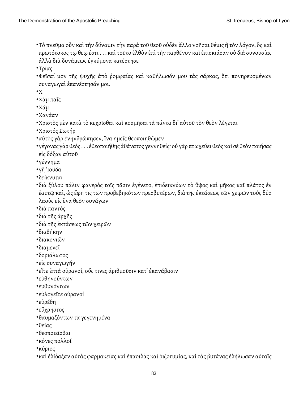- •[Τὸ πνεῦμα οὖν καὶ τὴν δύναμιν τὴν παρὰ τοῦ θεοῦ οὐδὲν ἄλλο νοῆσαι θέμις ἢ τὸν λόγον, ὃς καὶ](#page-23-5) [πρωτότοκος τῷ θεῷ ἐστι . . . καὶ τοῦτο ἐλθὸν ἐπὶ τὴν παρθένον καὶ ἐπισκιάσαν οὐ διὰ συνουσίας](#page-23-5) [ἀλλὰ διὰ δυνάμεως ἐγκύμονα κατέστησε](#page-23-5)
- •[Τρίας](#page-34-1)
- •[Φεῖσαί μον τῆς ψυχῆς ὰπὸ ῥομφαίας καὶ καθήλωσόν μου τὰς σάρκας, ὅτι πονηρευομένων](#page-67-4) [συναγωγαὶ ἐπανέστησάν μοι.](#page-67-4)
- •[Χ](#page-21-5)
- •[Χὰμ παῖς](#page-47-6)
- •[Χάμ](#page-47-3)
- •[Χανάαν](#page-47-6)
- •[Χριστὸς μὲν κατὰ τὸ κεχρῖσθαι καὶ κοσμῆσαι τὰ πάντα δι᾽ αὐτοῦ τὸν θεὸν λέγεται](#page-17-5)
- •[Χριστός Σωτήρ](#page-16-2)
- •[αὐτὸς γὰρ ἐνηνθρώπησεν, ἵνα ἡμεῖς θεοποιηθῶμεν](#page-40-2)
- •[γέγονας γὰρ θεός . . . ἐθεοποιήθης ἀθάνατος γεννηθείς· οὐ γὰρ πτωχεύει θεὸς καὶ σὲ θεὸν ποιήσας](#page-40-3) [εἰς δόξαν αὺτοῦ](#page-40-3)
- •[γέννημα](#page-34-2)
- •[γῆ Ἰούδα](#page-63-6)
- •[δείκνυται](#page-41-4)
- •[διὰ ξὐλου πάλιν φανερὸς τοῖς πᾶσιν ἐγένετο, ἐπιδεικνύων τὸ ὕψος καὶ μῆκος καῖ πλάτος ἐν](#page-52-0) [ἑαυτῷ·καὶ, ὡς ἔφη τις τῶν προβεβηκότων πρεσβυτέρων, διὰ τῆς ἐκτάσεως τῶν χειρῶν τοὺς δὐο](#page-52-0) [λαοὺς εἰς ἓνα θεὸν συνάγων](#page-52-0)
- •[διὰ παντὸς](#page-43-0)
- •[διὰ τῆς ἀρχῆς](#page-34-3)
- •[διὰ τῆς ἐκτάσεως τῶν χειρῶν](#page-57-4)
- •[διαθήκην](#page-70-1)
- •[διακονιῶν](#page-43-4)
- •[διαμενεῖ](#page-18-6)
- •[δοριάλωτος](#page-13-3)
- •[εἰς συναγωγήν](#page-34-4)
- •[εἵτε ἑπτὰ οὐρανοί, οὕς τινες ἀριθμοῦσιν κατ᾽ ἐπανάβασιν](#page-42-0)
- •[εὐθηνούντων](#page-68-7)
- •[εὐθυνόντων](#page-68-7)
- •[εὐλογεῖτε οὐρανοί](#page-42-1)
- •[εὑρέθη](#page-48-3)
- •[εὔχρηστος](#page-32-3)
- •[θαυμαζόντων τὰ γεγενημένα](#page-59-0)
- •[θείας](#page-57-4)
- •[θεοποιεῖσθαι](#page-40-4)
- •[κόνες πολλοί](#page-67-5)
- •[κύριος](#page-43-7)
- •[καὶ ἐδίδαξαν αὐτὰς φαρμακείας καὶ ἐπαοιδὰς καὶ ῥιζοτυμίας, καὶ τὰς βυτάνας ἐδήλωσαν αὐταῖς](#page-46-1)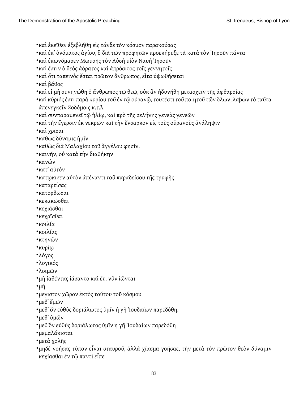- •[καὶ ἐκεῖθεν ἐξεβλήθη εἰς τάνδε τὸν κόσμον παρακούσας](#page-44-0)
- •[καὶ ἐπ᾽ ὀνόματος ἁγίου, ὃ διὰ τῶν προφητῶν προεκήρυξε τὰ κατὰ τὸν Ἰησοῦν πάντα](#page-22-2)
- •[καὶ ἐπωνόμασεν Μωυσῆς τὸν Αὑσὴ υἱὸν Ναυὴ Ἰησοῦν](#page-50-0)
- •[καὶ ἔστιν ὁ θεὸς ἀόρατος καὶ ἀπρόσιτος τοῖς γεννητοῖς](#page-57-5)
- •[καὶ ὅτι ταπεινὸς ἔσται πρῶτον ἄνθρωπος, εἶτα ὑψωθήσεται](#page-57-6)
- •[καὶ βάθος](#page-52-2)
- •[καὶ εἰ μἡ συνηνώθη ὁ ἄνθρωπος τῷ θεῷ, οὐκ ἂν ἠδυνήθη μετασχεῖν τῆς ἀφθαρσίας](#page-51-3)
- •[καὶ κύριός ἐστι παρὰ κυρίου τοῦ ἐν τῷ οὐρανῷ, τουτέστι τοῦ ποιητοῦ τῶν ὅλων, λαβὼν τὸ ταῦτα](#page-14-2) [ἀπενεγκεῖν Σοδόμοις κ.τ.λ.](#page-14-2)
- •[καὶ συνπαραμενεῖ τῷ ἡλίῳ, καὶ πρὸ τῆς σελήνης γενεὰς γενεῶν](#page-18-0)
- •[καὶ τὴν ἔγερσιν ἐκ νεκρῶν καὶ τὴν ἔνσαρκον εἰς τοὺς οὐρανοὺς ἀνάληψιν](#page-54-1)
- •[καὶ χρῖσαι](#page-17-6)
- •[καθὼς δύναμις ἡμῖν](#page-39-0)
- •[καθὼς διὰ Μαλαχίου τοῦ ἄγγέλου φησίν.](#page-29-8)
- •[καινήν, οὐ κατὰ τὴν διαθήκην](#page-70-2)
- •[κανών](#page-40-5)
- •[κατ᾽ αὐτόν](#page-44-6)
- •κατώκισεν αὐτὸν ἀπέναντι τοῦ παραδείσου τῆς τρυφῆς
- •[καταρτίσας](#page-31-5)
- •[κατορθῶσαι](#page-60-3)
- •[κεκακῶσθαι](#page-64-2)
- •[κεχιάσθαι](#page-21-6)
- •[κεχρῖσθαι](#page-17-6)
- •[κοιλία](#page-53-5)
- •[κοιλίας](#page-67-6)
- •[κτηνῶν](#page-72-3)
- •[κυρίῳ](#page-58-2)
- •[λόγος](#page-41-5)
- •[λογικός](#page-41-5)
- •[λοιμῶν](#page-40-6)
- •[μὴ ἰαθέντας ἰάσαντο καὶ ἔτι νῦν ἰῶνται](#page-17-7)
- •[μή](#page-63-7)
- •[μεγιστον χῶρον ἐκτὸς τούτου τοῦ κόσμου](#page-44-7)
- •[μεθ᾽ ἔμῶν](#page-59-1)
- •[μεθ᾽ ὅν εὐθὺς δοριάλωτος ὑμῖν ἡ γῆ Ἰουδαίων παρεδόθη.](#page-61-8)
- •[μεθ᾽ ὑμῶν](#page-59-1)
- •[μεθ᾽ὃν εὐθὺς δοριάλωτος ὑμῖν ἡ γῆ Ἰουδαίων παρεδόθη](#page-13-4)
- •[μεμαλάκισται](#page-64-0)
- •[μετὰ χολῆς](#page-68-6)
- •[μηδὲ νοήσας τύπον εἶναι σταυροῦ, ἀλλὰ χίασμα γοήσας, τὴν μετὰ τὸν πρῶτον θεὸν δύναμιν](#page-52-3) [κεχίασθαι ἐν τῷ παντὶ εἶπε](#page-52-3)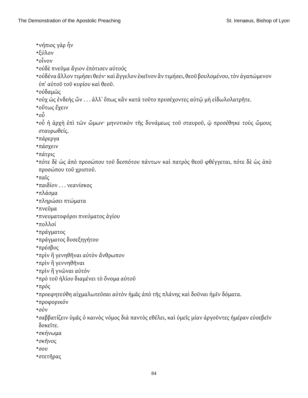- •[νήπιος γὰρ ἦν](#page-44-8)
- •[ξύλον](#page-14-3)
- •[οἶνον](#page-68-4)
- •[οὐδὲ πνεῦμα ἅγιον ἐπὸτισεν αὐτούς](#page-70-3)
- •[οὐδένα ἄλλον τιμήσει θεόν· καὶ ἄγγελον ἐκεῖνον ἂν τιμήσει, θεοῦ βουλομένου, τὸν ἀγαπώμενον](#page-21-7) [ὑπ᾽ αὐτοῦ τοῦ κυρίου καὶ θεοῦ.](#page-21-7)
- •[οὐδαμῶς](#page-63-6)
- •[οὐχ ὡς ἐνδεὴς ὤν . . . ἀλλ᾽ ὅπως κἂν κατὰ τοῦτο πρυσέχοντες αὐτῷ μὴ εἰδωλολατρῆτε.](#page-43-8)
- •[οὕτως ἔχειν](#page-55-4)
- $\cdot$ [οὖ](#page-67-5)
- •[οὗ ἡ ἀρχὴ ἐπὶ τῶν ὤμων· μηνυτικὸν τῆς δυνάμεως τοῦ σταυροῦ, ῷ προσέθηκε τοὺς ὤμους](#page-60-7) [σταυρωθείς.](#page-60-7)
- •[πάρεργα](#page-34-5)
- •[πάσχειν](#page-49-2)
- •[πάτρις](#page-63-3)
- •[πότε δὲ ὡς ἀπὸ προσώπου τοῦ δεσπότου πάντων καὶ πατρὸς θεοῦ φθέγγεται, πότε δὲ ὡς ἀπὸ](#page-58-3) [προσώπου τοῦ χριστοῦ.](#page-58-3)
- •[παῖς](#page-47-6)
- •[παιδίον . . . νεανίσκος](#page-59-2)
- •[πλάσμα](#page-31-6)
- •[πληρώσει πτώματα](#page-57-3)
- •[πνεῦμα](#page-70-3)
- •[πνευματοφόροι πνεύματος ἁγίου](#page-33-5)
- •[πολλοί](#page-67-7)
- •[πράγματος](#page-16-3)
- •[πράγματος δυσεξηγήτου](#page-16-4)
- •[πρέσβυς](#page-70-4)
- •[πρὶν ἢ γενηθῆναι αὐτὸν ἄνθρωπον](#page-19-1)
- •[πρὶν ἢ γεννηθῆναι](#page-19-2)
- •[πρὶν ἢ γνῶναι αὐτόν](#page-19-1)
- •[πρὸ τοῦ ἡλίου διαμένει τὸ ὄνομα αὐτοῦ](#page-18-6)
- •[πρός](#page-58-4)
- •[προεφητεύθη αἰχμαλωτεῦσαι αὐτὸν ἡμᾶς ἀπὸ τῆς πλάνης καὶ δοῦναι ἡμῖν δόματα.](#page-68-8)
- •[προφορικόν](#page-35-3)
- •[σύν](#page-58-4)
- •σαββατίζειν ὑμᾶς ὁ καινὸς νόμος διὰ παντὸς εθέλει, καὶ ὑμεῖς μίαν ἀργοὔντες ἡμέραν εὐσεβεῖν [δοκεῖτε.](#page-72-4)
- •[σκήνωμα](#page-63-4)
- •[σκῆνος](#page-63-8)
- •[σου](#page-63-9)
- •[στετῆρας](#page-68-1)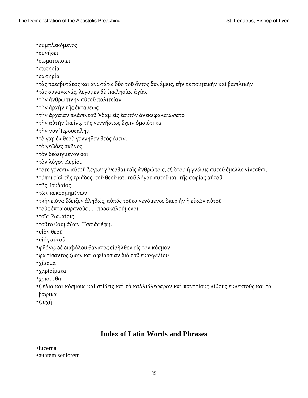- •[συμπλεκόμενος](#page-36-3)
- •[συνήσει](#page-64-4)
- •[σωματοποιεῖ](#page-41-1)
- •[σωτηοία](#page-17-2)
- •[σωτηρία](#page-17-4)
- •[τὰς πρεσβυτάτας καὶ ἀνωτάτω δύο τοῦ ὄντος δυνάμεις, τὴν τε ποιητικὴν καὶ βασιλικήν](#page-43-9)
- •[τὰς συναγωγάς, λεγομεν δὲ ἐκκλησίας ἁγίας](#page-34-6)
- •[τὴν ἀνθρωπινὴν αὐτοῦ πολιτείαν.](#page-72-5)
- •[τὴν ἀρχὴν τῆς ἐκτάσεως](#page-32-4)
- •[τὴν ἀρχαίαν πλάσιντοῦ Ἀδάμ εἰς ἑαυτὸν ἀνεκεφαλαιώσατο](#page-51-4)
- •[τὴν αὐτὴν ἐκείνῳ τῆς γεννήσεως ἔχειν ὁμοιότητα](#page-52-4)
- •[τὴν νῦν Ἰερουσαλήμ](#page-51-0)
- •[τὸ γὰρ ἐκ θεοῦ γεννηθὲν θεός ἐστιν.](#page-57-7)
- •[τὸ γεῶδες σκῆνος](#page-63-5)
- •[τὸν δεδειγμένον σοι](#page-43-10)
- •[τὸν λόγον Κυρίου](#page-52-0)
- •[τότε γένεσιν αὐτοῦ λέγων γίνεσθαι τοῖς ἀνθρώποις, ἐξ ὅτου ἡ γνῶσις αὐτοῦ ἔμελλε γίνεσθαι.](#page-56-1)
- •[τύποι εἰσὶ τῆς τριάδος, τοῦ θεοῦ καὶ τοῦ λόγου αὐτοῦ καὶ τῆς σοφίας αὐτοῦ](#page-34-7)
- •[τῆς Ἰουδαίας](#page-63-7)
- •[τῶν κεκοσμημένων](#page-31-2)
- •[τκὴνεἰόνα ἔδειξεν ἀληθῶς, αὐπός τοῦτο γενόμενος ὅπερ ἦν ἡ εἰκὼν αὐτοῦ](#page-48-4)
- •[τοὺς ἑπτὰ οὐρανοὺς . . . προσκαλούμενοι](#page-42-0)
- •[τοῖς Ῥωμαίοις](#page-13-1)
- •τοῦτο θαυμάζων Ήσαιὰς ἔφη.
- •[υἱὸν θεοῦ](#page-21-1)
- •[υἱός αὐτοῦ](#page-35-4)
- •[φθόνῳ δὲ διαβόλου θάνατος εἰσῆλθεν εἰς τὸν κόσμον](#page-45-1)
- •[φωτίσαντος ζωὴν καὶ ἀφθαρσίαν διὰ τοῦ εὐαγγελίου](#page-51-1)
- •[χίασμα](#page-21-8)
- •[χαρίσίματα](#page-24-0)
- •[χριόμεθα](#page-32-5)
- •[ψέλια καὶ κόσμους καὶ στίβεις καὶ τὸ καλλιβλέφαρον καὶ παντοίους λίθους ἐκλεκτοὺς καὶ τὰ](#page-46-2) [βαφικά](#page-46-2)
- •[ψυχή](#page-39-3)

## **Index of Latin Words and Phrases**

- •[lucerna](#page-43-6)
- •[ætatem seniorem](#page-66-0)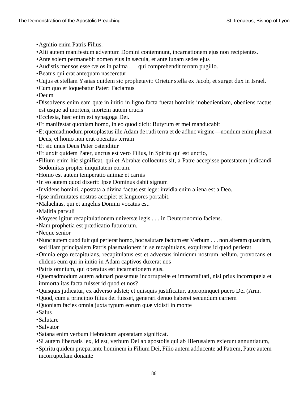- •[Agnitio enim Patris Filius.](#page-42-2)
- •[Alii autem manifestum adventum Domini contemnunt, incarnationem ejus non recipientes.](#page-54-2)
- •[Ante solem permanebit nomen ejus in sæcula, et ante lunam sedes ejus](#page-18-7)
- •[Audistis mensos esse cælos in palma .](#page-56-3) . . qui comprehendit terram pugillo.
- •[Beatus qui erat antequam nasceretur](#page-19-3)
- •[Cujus et stellam Ysaias quidem sic prophetavit: Orietur stella ex Jacob, et surget dux in Israel.](#page-14-4)
- •[Cum quo et loquebatur Pater: Faciamus](#page-60-8)

•[Deum](#page-40-7)

- •[Dissolvens enim eam quæ in initio in ligno facta fuerat hominis inobedientiam, obediens factus](#page-52-5) [est usque ad mortens, mortem autem crucis](#page-52-5)
- •[Ecclesia, hæc enim est synagoga Dei.](#page-71-3)
- •[Et manifestat quoniam homo, in eo quod dicit: Butyrum et mel manducabit](#page-15-3)
- •[Et quemadmodum protoplastus ille Adam de rudi terra et de adhuc virgine—nondum enim pluerat](#page-51-5) [Deus, et homo non erat operatus terram](#page-51-5)
- •[Et sic unus Deus Pater ostenditur](#page-41-4)
- •[Et unxit quidem Pater, unctus est vero Filius, in Spiritu qui est unctio,](#page-57-8)
- •[Filium enim hic significat, qui et Abrahæ collocutus sit, a Patre accepisse potestatem judicandi](#page-56-4) [Sodomitas propter iniquitatem eorum.](#page-56-4)
- •[Homo est autem temperatio animæ et carnis](#page-39-4)
- •[In eo autem quod dixerit: Ipse Dominus dabit signum](#page-59-3)
- •[Invidens homini, apostata a divina factus est lege: invidia enim aliena est a Deo.](#page-45-2)
- •[Ipse infirmitates nostras accipiet et languores portabit.](#page-64-5)
- •[Malachias, qui et angelus Domini vocatus est.](#page-29-9)
- •[Malitia parvuli](#page-57-9)
- •[Moyses igitur recapitulationem universæ legis .](#page-50-3) . . in Deuteronomio faciens.
- •[Nam prophetia est prædicatio futurorum.](#page-52-6)
- •[Neque senior](#page-70-4)
- •[Nunc autem quod fuit qui perierat homo, hoc salutare factum est Verbum .](#page-52-7) . . non alteram quandam, [sed illam principalem Patris plasmationem in se recapitulans, exquirens id quod perierat.](#page-52-7)
- •[Omnia ergo recapitulans, recapitulatus est et adversus inimicum nostrum hellum, provocans et](#page-51-6) [elidens eum qui in initio in Adam captivos duxerat nos](#page-51-6)
- •[Patris omnium, qui operatus est incarnationem ejus.](#page-59-4)
- •[Quemadmodum autem adunari possemus incorruptelæ et immortalitati, nisi prius incorruptela et](#page-51-7) [immortalitas facta fuisset id quod et nos?](#page-51-7)
- •[Quisquis judicatur, ex adverso adstet; et quisquis justificatur, appropinquet puero Dei \(Arm.](#page-69-2)
- •[Quod, cum a principio filius dei fuisset, generari denuo haberet secundum carnem](#page-19-4)
- •[Quoniam facies omnia juxta typum eorum quæ vidisti in monte](#page-43-10)
- •[Salus](#page-36-4)
- •[Salutare](#page-36-5)
- •[Salvator](#page-36-5)
- •[Satana enim verbum Hebraicum apostatam significat.](#page-45-4)
- •[Si autem libertatis lex, id est, verbum Dei ab apostolis qui ab Hierusalem exierunt annuntiatum,](#page-69-3)
- •[Spiritu quidem præparante hominem in Filium Dei, Filio autem adducente ad Patrem, Patre autem](#page-42-3) [incorruptelam donante](#page-42-3)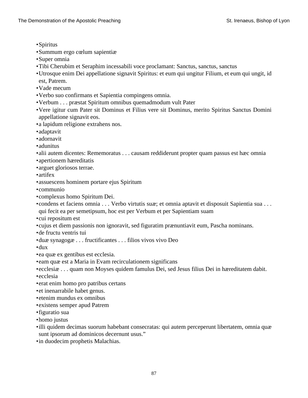- •[Spiritus](#page-65-2)
- •[Summum ergo cœlum sapientiæ](#page-74-0)
- •[Super omnia](#page-41-6)
- •[Tibi Cherubim et Seraphim incessabili voce proclamant: Sanctus, sanctus, sanctus](#page-26-3)
- •[Utrosque enim Dei appellatione signavit Spiritus: et eum qui ungitur Filium, et eum qui ungit, id](#page-57-10) [est, Patrem.](#page-57-10)
- •[Vade mecum](#page-9-1)
- •[Verbo suo confirmans et Sapientia compingens omnia.](#page-31-7)
- •Verbum . . [. præstat Spiritum omnibus quemadmodum vult Pater](#page-42-4)
- •[Vere igitur cum Pater sit Dominus et Filius vere sit Dominus, merito Spiritus Sanctus Domini](#page-57-11) [appellatione signavit eos.](#page-57-11)
- •[a lapidum religione extrahens nos.](#page-71-4)
- •[adaptavit](#page-31-8)
- •[adornavit](#page-31-9)
- •[adunitus](#page-37-1)
- •alii autem dicentes: Rememoratus . . [. causam reddiderunt propter quam passus est hæc omnia](#page-67-8)
- •[apertionem hæreditatis](#page-42-5)
- •[arguet gloriosos terrae.](#page-61-2)
- •[artifex](#page-53-3)
- •[assuescens hominem portare ejus Spiritum](#page-42-6)
- •[communio](#page-41-7)
- •[complexus homo Spiritum Dei.](#page-36-3)
- •condens et faciens omnia . . [. Verbo virtutis suæ; et omnia aptavit et disposuit Sapientia sua .](#page-31-10) . . [qui fecit ea per semetipsum, hoc est per Verbum et per Sapientiam suam](#page-31-10)
- •[cui repositum est](#page-60-5)
- •[cujus et diem passionis non ignoravit, sed figuratim prænuntiavit eum, Pascha nominans.](#page-49-2)
- •[de fructu ventris tui](#page-53-6)
- •duæ synagogæ . . . fructificantes . . [. filios vivos vivo Deo](#page-71-5)
- •[dux](#page-61-1)
- •[ea quæ ex gentibus est ecclesia.](#page-47-7)
- •[eam quæ est a Maria in Evam recirculationem significans](#page-52-8)
- •ecclesiæ . . [. quam non Moyses quidem famulus Dei, sed Jesus filius Dei in hæreditatem dabit.](#page-57-12) •[ecclesia](#page-43-6)
- •[erat enim homo pro patribus certans](#page-51-6)
- •[et inenarrabile habet genus.](#page-65-1)
- •[etenim mundus ex omnibus](#page-41-8)
- •[existens semper apud Patrem](#page-43-11)
- •[figuratio sua](#page-31-11)
- •[homo justus](#page-54-3)
- •[illi quidem decimas suorum habebant consecratas: qui autem perceperunt libertatem, omnia quæ](#page-72-6) [sunt ipsorum ad dominicos decernunt usus."](#page-72-6)
- •[in duodecim prophetis Malachias.](#page-67-9)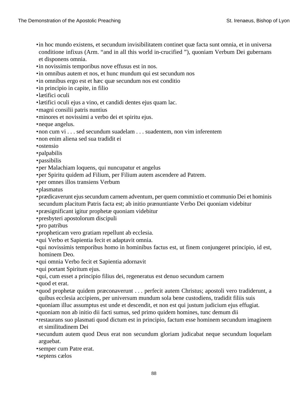- •[in hoc mundo existens, et secundum invisibilitatem continet quæ facta sunt omnia, et in universa](#page-52-9) [conditione infixus \(Arm. "and in all this world in-crucified "\), quoniam Verbum Dei gubernans](#page-52-9) [et disponens omnia.](#page-52-9)
- •[in novissimis temporibus nove effusus est in nos.](#page-42-7)
- •[in omnibus autem et nos, et hunc mundum qui est secundum nos](#page-41-8)
- •[in omnibus ergo est et hæc quæ secundum nos est conditio](#page-41-9)
- •[in principio in capite, in filio](#page-55-1)
- •[lætifici oculi](#page-13-5)
- •[lætifici oculi ejus a vino, et candidi dentes ejus quam lac.](#page-13-0)
- •[magni consilii patris nuntius](#page-60-9)
- •[minores et novissimi a verbo dei et spiritu ejus.](#page-25-0)
- •[neque angelus.](#page-70-4)
- •non cum vi . . . sed secundum suadelam . . [. suadentem, non vim inferentem](#page-60-6)
- •[non enim aliena sed sua tradidit ei](#page-40-8)
- •[ostensio](#page-39-1)
- •[palpabilis](#page-41-10)
- •[passibilis](#page-41-11)
- •[per Malachiam loquens, qui nuncupatur et angelus](#page-29-10)
- •[per Spiritu quidem ad Filium, per Filium autem ascendere ad Patrem.](#page-42-8)
- •[per omnes illos transiens Verbum](#page-70-5)
- •[plasmatus](#page-31-12)
- •[prædicaverunt ejus secundum carnem adventum, per quem commixtio et communio Dei et hominis](#page-73-0) [secundum placitum Patris facta est; ab initio prænuntiante Verbo Dei quoniam videbitur](#page-73-0)
- •[præsignificant igitur prophetæ quoniam videbitur](#page-73-1)
- •[presbyteri apostolorum discipuli](#page-40-9)
- •[pro patribus](#page-51-2)
- •[propheticam vero gratiam repellunt ab ecclesia.](#page-73-2)
- •[qui Verbo et Sapientia fecit et adaptavit omnia.](#page-41-12)
- •[qui novissimis temporibus homo in hominibus factus est, ut finem conjungeret principio, id est,](#page-41-13) [hominem Deo.](#page-41-13)
- •[qui omnia Verbo fecit et Sapientia adornavit](#page-41-14)
- •[qui portant Spiritum ejus.](#page-42-6)
- •[qui, cum esset a principio filius dei, regeneratus est denuo secundum carnem](#page-19-5)
- •[quod et erat.](#page-50-4)
- •quod prophetæ quidem præconaverunt . . [. perfecit autem Christus; apostoli vero tradiderunt, a](#page-73-3) [quibus ecclesia accipiens, per universum mundum sola bene custodiens, tradidit filiis suis](#page-73-3)
- •[quoniam illuc assumptus est unde et descendit, et non est qui justum judicium ejus effugiat.](#page-69-4)
- •[quoniam non ab initio dii facti sumus, sed primo quidem homines, tunc demum dii](#page-40-10)
- •[restaurans suo plasmati quod dictum est in principio, factum esse hominem secundum imaginem](#page-52-10) [et similitudinem Dei](#page-52-10)
- •[secundum autem quod Deus erat non secundum gloriam judicabat neque secundum loquelam](#page-62-2) [arguebat.](#page-62-2)
- •[semper cum Patre erat.](#page-43-11)
- •[septens cælos](#page-43-12)